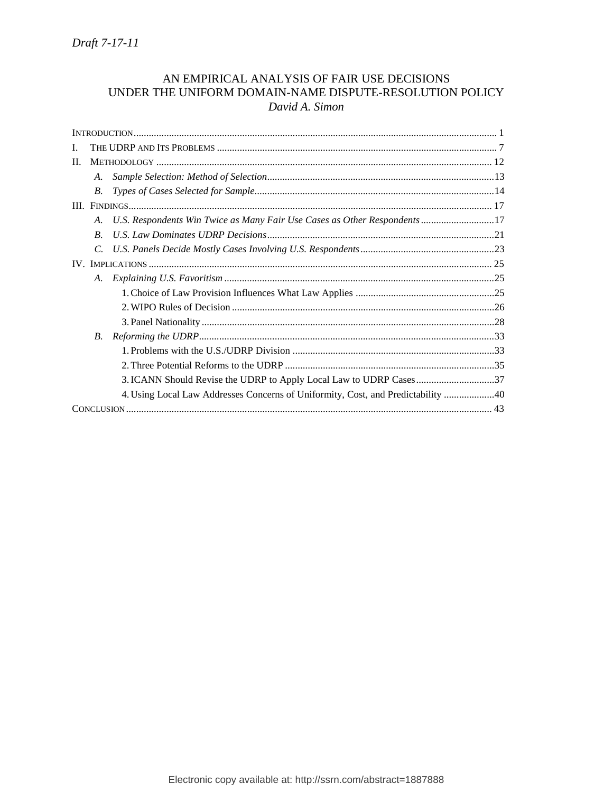# AN EMPIRICAL ANALYSIS OF FAIR USE DECISIONS UNDER THE UNIFORM DOMAIN-NAME DISPUTE-RESOLUTION POLICY David A. Simon

| L  |                |                                                                                  |  |  |
|----|----------------|----------------------------------------------------------------------------------|--|--|
| П. |                |                                                                                  |  |  |
|    | A.             |                                                                                  |  |  |
|    | <b>B.</b>      |                                                                                  |  |  |
|    |                |                                                                                  |  |  |
|    | A.             | U.S. Respondents Win Twice as Many Fair Use Cases as Other Respondents17         |  |  |
|    | $\mathbf{B}$ . |                                                                                  |  |  |
|    |                |                                                                                  |  |  |
|    |                |                                                                                  |  |  |
|    | A.             |                                                                                  |  |  |
|    |                |                                                                                  |  |  |
|    |                |                                                                                  |  |  |
|    |                |                                                                                  |  |  |
|    | В.             |                                                                                  |  |  |
|    |                |                                                                                  |  |  |
|    |                |                                                                                  |  |  |
|    |                |                                                                                  |  |  |
|    |                | 4. Using Local Law Addresses Concerns of Uniformity, Cost, and Predictability 40 |  |  |
|    |                |                                                                                  |  |  |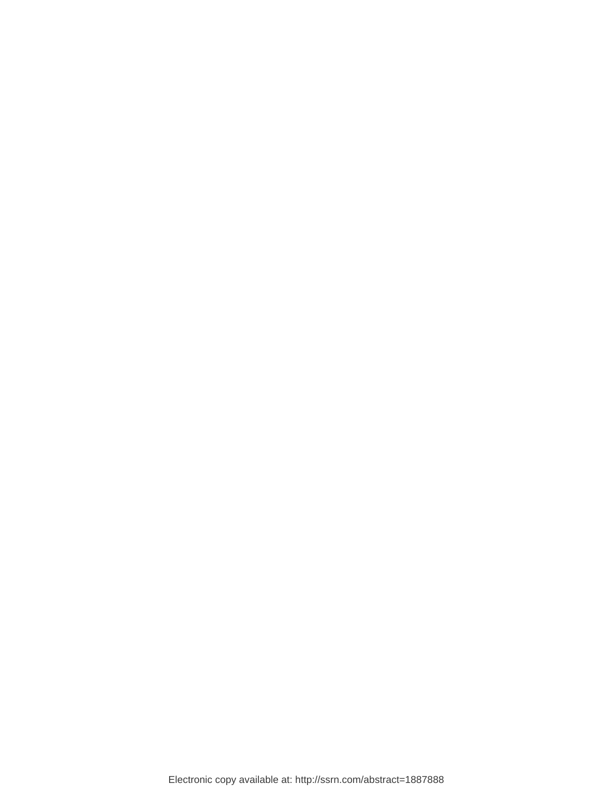Electronic copy available at: http://ssrn.com/abstract=1887888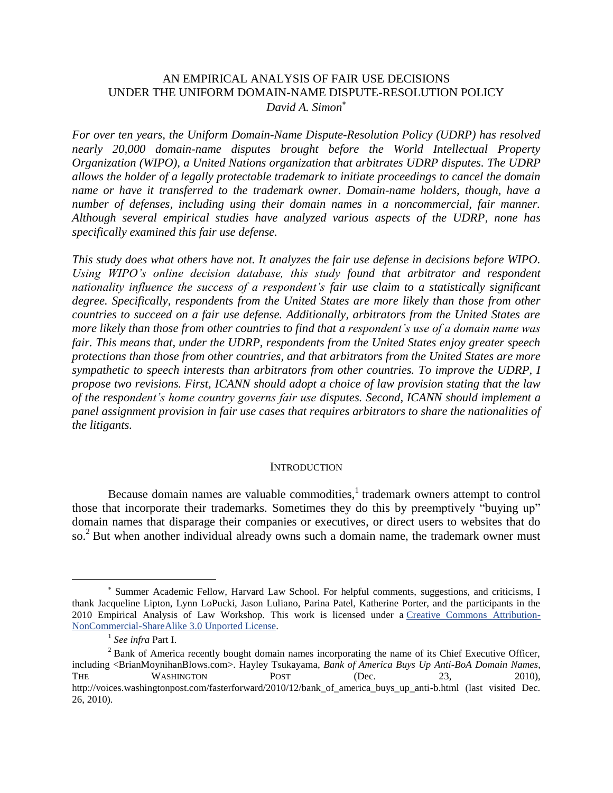# AN EMPIRICAL ANALYSIS OF FAIR USE DECISIONS UNDER THE UNIFORM DOMAIN-NAME DISPUTE-RESOLUTION POLICY *David A. Simon*

*For over ten years, the Uniform Domain-Name Dispute-Resolution Policy (UDRP) has resolved nearly 20,000 domain-name disputes brought before the World Intellectual Property Organization (WIPO), a United Nations organization that arbitrates UDRP disputes. The UDRP allows the holder of a legally protectable trademark to initiate proceedings to cancel the domain name or have it transferred to the trademark owner. Domain-name holders, though, have a number of defenses, including using their domain names in a noncommercial, fair manner. Although several empirical studies have analyzed various aspects of the UDRP, none has specifically examined this fair use defense.* 

*This study does what others have not. It analyzes the fair use defense in decisions before WIPO. Using WIPO's online decision database, this study found that arbitrator and respondent nationality influence the success of a respondent's fair use claim to a statistically significant degree. Specifically, respondents from the United States are more likely than those from other countries to succeed on a fair use defense. Additionally, arbitrators from the United States are more likely than those from other countries to find that a respondent's use of a domain name was fair. This means that, under the UDRP, respondents from the United States enjoy greater speech protections than those from other countries, and that arbitrators from the United States are more sympathetic to speech interests than arbitrators from other countries. To improve the UDRP, I propose two revisions. First, ICANN should adopt a choice of law provision stating that the law of the respondent's home country governs fair use disputes. Second, ICANN should implement a panel assignment provision in fair use cases that requires arbitrators to share the nationalities of the litigants.* 

### **INTRODUCTION**

<span id="page-2-0"></span>Because domain names are valuable commodities, $<sup>1</sup>$  trademark owners attempt to control</sup> those that incorporate their trademarks. Sometimes they do this by preemptively "buying up" domain names that disparage their companies or executives, or direct users to websites that do so.<sup>2</sup> But when another individual already owns such a domain name, the trademark owner must

Summer Academic Fellow, Harvard Law School. For helpful comments, suggestions, and criticisms, I thank Jacqueline Lipton, Lynn LoPucki, Jason Luliano, Parina Patel, Katherine Porter, and the participants in the 2010 Empirical Analysis of Law Workshop. This work is licensed under a Creative Commons [Attribution-](http://creativecommons.org/licenses/by-nc-sa/3.0/)[NonCommercial-ShareAlike](http://creativecommons.org/licenses/by-nc-sa/3.0/) 3.0 Unported License.

<sup>1</sup> *See infra* Part I.

<sup>&</sup>lt;sup>2</sup> Bank of America recently bought domain names incorporating the name of its Chief Executive Officer, including <BrianMoynihanBlows.com>. Hayley Tsukayama, *Bank of America Buys Up Anti-BoA Domain Names*, THE WASHINGTON POST (Dec. 23, 2010), http://voices.washingtonpost.com/fasterforward/2010/12/bank of america buys up anti-b.html (last visited Dec. 26, 2010).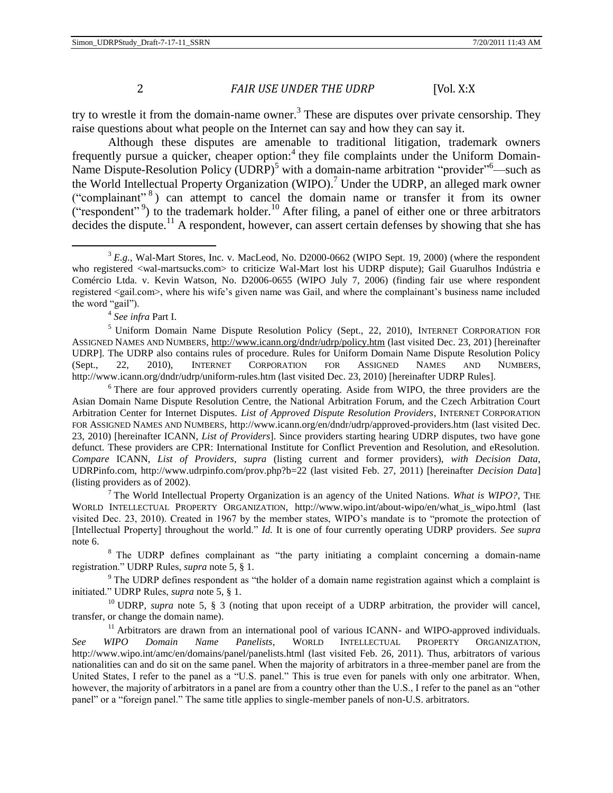<span id="page-3-1"></span>

<span id="page-3-0"></span>

try to wrestle it from the domain-name owner. 3 These are disputes over private censorship. They raise questions about what people on the Internet can say and how they can say it.

Although these disputes are amenable to traditional litigation, trademark owners frequently pursue a quicker, cheaper option:<sup>4</sup> they file complaints under the Uniform Domain-Name Dispute-Resolution Policy  $(UDRP)^5$  with a domain-name arbitration "provider" such as the World Intellectual Property Organization (WIPO). <sup>7</sup> Under the UDRP, an alleged mark owner ("complainant"<sup>8</sup>) can attempt to cancel the domain name or transfer it from its owner ("respondent"<sup>9</sup>) to the trademark holder.<sup>10</sup> After filing, a panel of either one or three arbitrators decides the dispute.<sup>11</sup> A respondent, however, can assert certain defenses by showing that she has

4 *See infra* Part I.

<span id="page-3-2"></span> $\overline{a}$ 

<sup>5</sup> Uniform Domain Name Dispute Resolution Policy (Sept., 22, 2010), INTERNET CORPORATION FOR ASSIGNED NAMES AND NUMBERS,<http://www.icann.org/dndr/udrp/policy.htm> (last visited Dec. 23, 201) [hereinafter UDRP]. The UDRP also contains rules of procedure. Rules for Uniform Domain Name Dispute Resolution Policy (Sept., 22, 2010), INTERNET CORPORATION FOR ASSIGNED NAMES AND NUMBERS, http://www.icann.org/dndr/udrp/uniform-rules.htm (last visited Dec. 23, 2010) [hereinafter UDRP Rules].

<sup>6</sup> There are four approved providers currently operating. Aside from WIPO, the three providers are the Asian Domain Name Dispute Resolution Centre, the National Arbitration Forum, and the Czech Arbitration Court Arbitration Center for Internet Disputes. *List of Approved Dispute Resolution Providers*, INTERNET CORPORATION FOR ASSIGNED NAMES AND NUMBERS, http://www.icann.org/en/dndr/udrp/approved-providers.htm (last visited Dec. 23, 2010) [hereinafter ICANN, *List of Providers*]. Since providers starting hearing UDRP disputes, two have gone defunct. These providers are CPR: International Institute for Conflict Prevention and Resolution, and eResolution. *Compare* ICANN, *List of Providers*, *supra* (listing current and former providers), *with Decision Data*, UDRPinfo.com, http://www.udrpinfo.com/prov.php?b=22 (last visited Feb. 27, 2011) [hereinafter *Decision Data*] (listing providers as of 2002).

<sup>7</sup> The World Intellectual Property Organization is an agency of the United Nations. *What is WIPO?*, THE WORLD INTELLECTUAL PROPERTY ORGANIZATION, [http://www.wipo.int/about-wipo/en/what\\_is\\_wipo.html](http://www.wipo.int/about-wipo/en/what_is_wipo.html) (last visited Dec. 23, 2010). Created in 1967 by the member states, WIPO's mandate is to "promote the protection of [Intellectual Property] throughout the world.‖ *Id.* It is one of four currently operating UDRP providers. *See supra*  not[e 6.](#page-3-0)

 $8$  The UDRP defines complainant as "the party initiating a complaint concerning a domain-name registration.‖ UDRP Rules, *supra* note [5,](#page-3-1) § 1.

 $9$  The UDRP defines respondent as "the holder of a domain name registration against which a complaint is initiated.‖ UDRP Rules, *supra* note [5,](#page-3-1) § 1.

<sup>10</sup> UDRP, *supra* note [5,](#page-3-1) § 3 (noting that upon receipt of a UDRP arbitration, the provider will cancel, transfer, or change the domain name).

 $11$  Arbitrators are drawn from an international pool of various ICANN- and WIPO-approved individuals. *See WIPO Domain Name Panelists*, WORLD INTELLECTUAL PROPERTY ORGANIZATION, http://www.wipo.int/amc/en/domains/panel/panelists.html (last visited Feb. 26, 2011). Thus, arbitrators of various nationalities can and do sit on the same panel. When the majority of arbitrators in a three-member panel are from the United States, I refer to the panel as a "U.S. panel." This is true even for panels with only one arbitrator. When, however, the majority of arbitrators in a panel are from a country other than the U.S., I refer to the panel as an "other panel" or a "foreign panel." The same title applies to single-member panels of non-U.S. arbitrators.

<sup>&</sup>lt;sup>3</sup> E.g., Wal-Mart Stores, Inc. v. MacLeod, No. D2000-0662 (WIPO Sept. 19, 2000) (where the respondent who registered <wal-martsucks.com> to criticize Wal-Mart lost his UDRP dispute); Gail Guarulhos Indústria e Comércio Ltda. v. Kevin Watson, No. D2006-0655 (WIPO July 7, 2006) (finding fair use where respondent registered <gail.com>, where his wife's given name was Gail, and where the complainant's business name included the word "gail").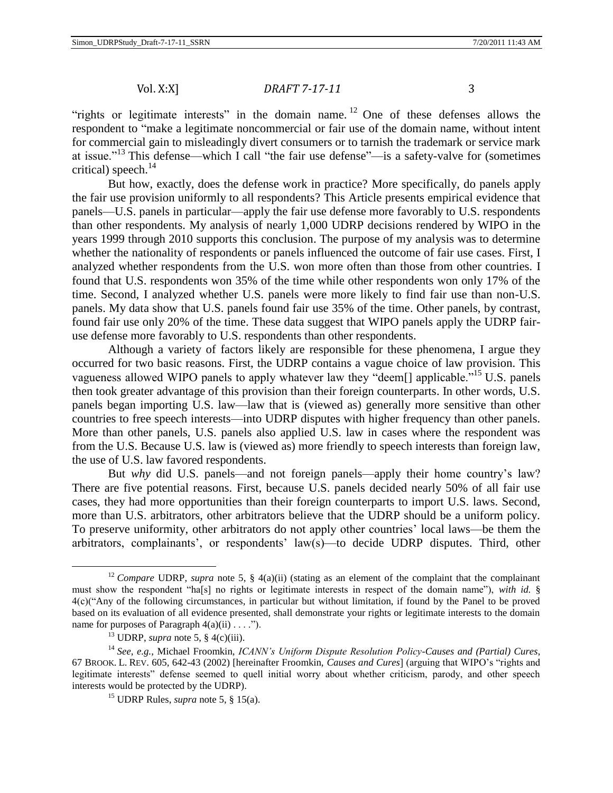"rights or legitimate interests" in the domain name.<sup>12</sup> One of these defenses allows the respondent to "make a legitimate noncommercial or fair use of the domain name, without intent for commercial gain to misleadingly divert consumers or to tarnish the trademark or service mark at issue."<sup>13</sup> This defense—which I call "the fair use defense"—is a safety-valve for (sometimes critical) speech. $^{14}$ 

<span id="page-4-0"></span>But how, exactly, does the defense work in practice? More specifically, do panels apply the fair use provision uniformly to all respondents? This Article presents empirical evidence that panels—U.S. panels in particular—apply the fair use defense more favorably to U.S. respondents than other respondents. My analysis of nearly 1,000 UDRP decisions rendered by WIPO in the years 1999 through 2010 supports this conclusion. The purpose of my analysis was to determine whether the nationality of respondents or panels influenced the outcome of fair use cases. First, I analyzed whether respondents from the U.S. won more often than those from other countries. I found that U.S. respondents won 35% of the time while other respondents won only 17% of the time. Second, I analyzed whether U.S. panels were more likely to find fair use than non-U.S. panels. My data show that U.S. panels found fair use 35% of the time. Other panels, by contrast, found fair use only 20% of the time. These data suggest that WIPO panels apply the UDRP fairuse defense more favorably to U.S. respondents than other respondents.

Although a variety of factors likely are responsible for these phenomena, I argue they occurred for two basic reasons. First, the UDRP contains a vague choice of law provision. This vagueness allowed WIPO panels to apply whatever law they "deem<sup>[]</sup> applicable.<sup> $15$ </sup> U.S. panels then took greater advantage of this provision than their foreign counterparts. In other words, U.S. panels began importing U.S. law—law that is (viewed as) generally more sensitive than other countries to free speech interests—into UDRP disputes with higher frequency than other panels. More than other panels, U.S. panels also applied U.S. law in cases where the respondent was from the U.S. Because U.S. law is (viewed as) more friendly to speech interests than foreign law, the use of U.S. law favored respondents.

But *why* did U.S. panels—and not foreign panels—apply their home country's law? There are five potential reasons. First, because U.S. panels decided nearly 50% of all fair use cases, they had more opportunities than their foreign counterparts to import U.S. laws. Second, more than U.S. arbitrators, other arbitrators believe that the UDRP should be a uniform policy. To preserve uniformity, other arbitrators do not apply other countries' local laws—be them the arbitrators, complainants', or respondents' law(s)—to decide UDRP disputes. Third, other

<sup>&</sup>lt;sup>12</sup> *Compare* UDRP, *supra* note [5,](#page-3-1) § 4(a)(ii) (stating as an element of the complaint that the complainant must show the respondent "ha[s] no rights or legitimate interests in respect of the domain name"), *with id.* §  $4(c)$ <sup>("</sup>Any of the following circumstances, in particular but without limitation, if found by the Panel to be proved based on its evaluation of all evidence presented, shall demonstrate your rights or legitimate interests to the domain name for purposes of Paragraph  $4(a)(ii) \ldots$ .").

<sup>13</sup> UDRP, *supra* not[e 5,](#page-3-1) § 4(c)(iii).

<sup>14</sup> *See*, *e.g.*, Michael Froomkin, *ICANN's Uniform Dispute Resolution Policy-Causes and (Partial) Cures*, 67 BROOK. L. REV. 605, 642-43 (2002) [hereinafter Froomkin, *Causes and Cures*] (arguing that WIPO's "rights and legitimate interests" defense seemed to quell initial worry about whether criticism, parody, and other speech interests would be protected by the UDRP).

<sup>15</sup> UDRP Rules, *supra* note [5,](#page-3-1) § 15(a).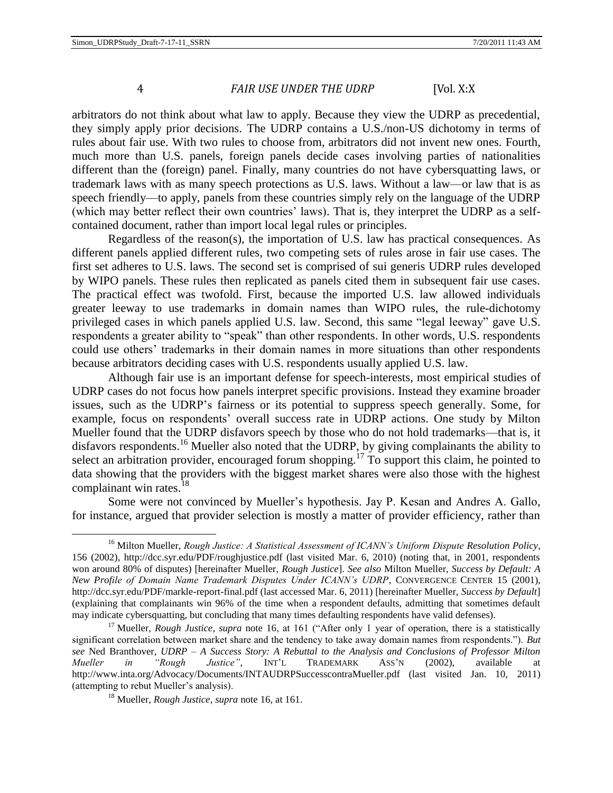4 *FAIR USE UNDER THE UDRP* [Vol. X:X

arbitrators do not think about what law to apply. Because they view the UDRP as precedential, they simply apply prior decisions. The UDRP contains a U.S./non-US dichotomy in terms of rules about fair use. With two rules to choose from, arbitrators did not invent new ones. Fourth, much more than U.S. panels, foreign panels decide cases involving parties of nationalities different than the (foreign) panel. Finally, many countries do not have cybersquatting laws, or trademark laws with as many speech protections as U.S. laws. Without a law—or law that is as speech friendly—to apply, panels from these countries simply rely on the language of the UDRP (which may better reflect their own countries' laws). That is, they interpret the UDRP as a selfcontained document, rather than import local legal rules or principles.

Regardless of the reason(s), the importation of U.S. law has practical consequences. As different panels applied different rules, two competing sets of rules arose in fair use cases. The first set adheres to U.S. laws. The second set is comprised of sui generis UDRP rules developed by WIPO panels. These rules then replicated as panels cited them in subsequent fair use cases. The practical effect was twofold. First, because the imported U.S. law allowed individuals greater leeway to use trademarks in domain names than WIPO rules, the rule-dichotomy privileged cases in which panels applied U.S. law. Second, this same "legal leeway" gave U.S. respondents a greater ability to "speak" than other respondents. In other words, U.S. respondents could use others' trademarks in their domain names in more situations than other respondents because arbitrators deciding cases with U.S. respondents usually applied U.S. law.

Although fair use is an important defense for speech-interests, most empirical studies of UDRP cases do not focus how panels interpret specific provisions. Instead they examine broader issues, such as the UDRP's fairness or its potential to suppress speech generally. Some, for example, focus on respondents' overall success rate in UDRP actions. One study by Milton Mueller found that the UDRP disfavors speech by those who do not hold trademarks—that is, it disfavors respondents.<sup>16</sup> Mueller also noted that the UDRP, by giving complainants the ability to select an arbitration provider, encouraged forum shopping.<sup>17</sup> To support this claim, he pointed to data showing that the providers with the biggest market shares were also those with the highest complainant win rates.<sup>18</sup>

<span id="page-5-0"></span>Some were not convinced by Mueller's hypothesis. Jay P. Kesan and Andres A. Gallo, for instance, argued that provider selection is mostly a matter of provider efficiency, rather than

<sup>16</sup> Milton Mueller, *Rough Justice: A Statistical Assessment of ICANN's Uniform Dispute Resolution Policy*, 156 (2002), http://dcc.syr.edu/PDF/roughjustice.pdf (last visited Mar. 6, 2010) (noting that, in 2001, respondents won around 80% of disputes) [hereinafter Mueller, *Rough Justice*]. *See also* Milton Mueller, *Success by Default: A New Profile of Domain Name Trademark Disputes Under ICANN's UDRP*, CONVERGENCE CENTER 15 (2001), http://dcc.syr.edu/PDF/markle-report-final.pdf (last accessed Mar. 6, 2011) [hereinafter Mueller, *Success by Default*] (explaining that complainants win 96% of the time when a respondent defaults, admitting that sometimes default may indicate cybersquatting, but concluding that many times defaulting respondents have valid defenses).

<sup>&</sup>lt;sup>17</sup> Mueller, *Rough Justice*, *supra* note [16,](#page-5-0) at 161 ("After only 1 year of operation, there is a statistically significant correlation between market share and the tendency to take away domain names from respondents."). *But see* Ned Branthover, *UDRP – A Success Story: A Rebuttal to the Analysis and Conclusions of Professor Milton Mueller in "Rough Justice"*, INT'L TRADEMARK ASS'N (2002), available at http://www.inta.org/Advocacy/Documents/INTAUDRPSuccesscontraMueller.pdf (last visited Jan. 10, 2011) (attempting to rebut Mueller's analysis).

<sup>18</sup> Mueller, *Rough Justice*, *supra* note [16,](#page-5-0) at 161.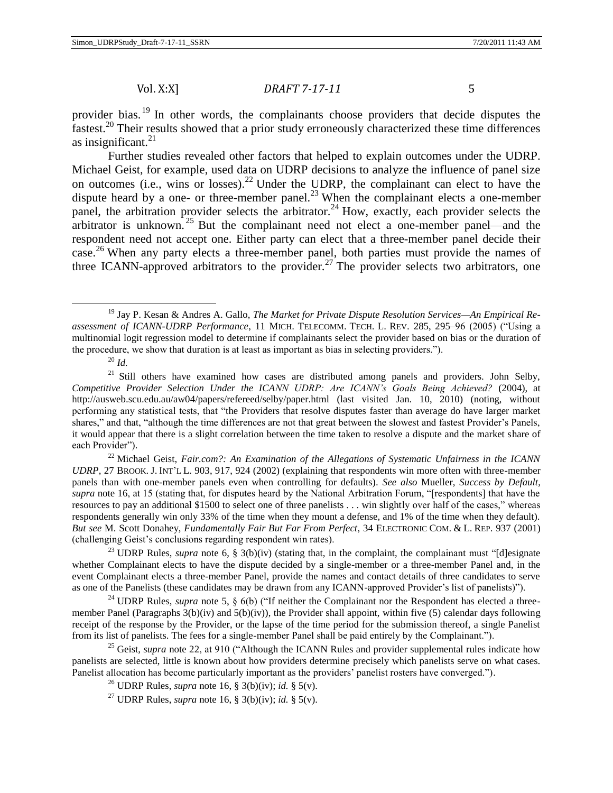<span id="page-6-2"></span>

provider bias. <sup>19</sup> In other words, the complainants choose providers that decide disputes the fastest.<sup>20</sup> Their results showed that a prior study erroneously characterized these time differences as insignificant. $21$ 

<span id="page-6-1"></span><span id="page-6-0"></span>Further studies revealed other factors that helped to explain outcomes under the UDRP. Michael Geist, for example, used data on UDRP decisions to analyze the influence of panel size on outcomes (i.e., wins or losses). <sup>22</sup> Under the UDRP, the complainant can elect to have the dispute heard by a one- or three-member panel.<sup>23</sup> When the complainant elects a one-member panel, the arbitration provider selects the arbitrator.<sup>24</sup> How, exactly, each provider selects the arbitrator is unknown. <sup>25</sup> But the complainant need not elect a one-member panel—and the respondent need not accept one. Either party can elect that a three-member panel decide their case.<sup>26</sup> When any party elects a three-member panel, both parties must provide the names of three ICANN-approved arbitrators to the provider.<sup>27</sup> The provider selects two arbitrators, one

 $^{20}$  *Id.* 

 $\overline{a}$ 

<sup>23</sup> UDRP Rules, *supra* note [6,](#page-3-0) § 3(b)(iv) (stating that, in the complaint, the complainant must "[d]esignate whether Complainant elects to have the dispute decided by a single-member or a three-member Panel and, in the event Complainant elects a three-member Panel, provide the names and contact details of three candidates to serve as one of the Panelists (these candidates may be drawn from any ICANN-approved Provider's list of panelists)").

<sup>24</sup> UDRP Rules, *supra* note [5,](#page-3-1)  $\S$  6(b) ("If neither the Complainant nor the Respondent has elected a threemember Panel (Paragraphs  $3(b)(iv)$ ) and  $5(b)(iv)$ ), the Provider shall appoint, within five (5) calendar days following receipt of the response by the Provider, or the lapse of the time period for the submission thereof, a single Panelist from its list of panelists. The fees for a single-member Panel shall be paid entirely by the Complainant.").

<sup>25</sup> Geist, *supra* note [22,](#page-6-0) at 910 ("Although the ICANN Rules and provider supplemental rules indicate how panelists are selected, little is known about how providers determine precisely which panelists serve on what cases. Panelist allocation has become particularly important as the providers' panelist rosters have converged.").

<sup>26</sup> UDRP Rules, *supra* note [16,](#page-5-0) § 3(b)(iv); *id.* § 5(v).

<sup>27</sup> UDRP Rules, *supra* note [16,](#page-5-0) § 3(b)(iv); *id.* § 5(v).

<sup>19</sup> Jay P. Kesan & Andres A. Gallo, *The Market for Private Dispute Resolution Services—An Empirical Reassessment of ICANN-UDRP Performance*, 11 MICH. TELECOMM. TECH. L. REV. 285, 295–96 (2005) ("Using a multinomial logit regression model to determine if complainants select the provider based on bias or the duration of the procedure, we show that duration is at least as important as bias in selecting providers.").

<sup>&</sup>lt;sup>21</sup> Still others have examined how cases are distributed among panels and providers. John Selby, *Competitive Provider Selection Under the ICANN UDRP: Are ICANN's Goals Being Achieved?* (2004), at http://ausweb.scu.edu.au/aw04/papers/refereed/selby/paper.html (last visited Jan. 10, 2010) (noting, without performing any statistical tests, that "the Providers that resolve disputes faster than average do have larger market shares," and that, "although the time differences are not that great between the slowest and fastest Provider's Panels, it would appear that there is a slight correlation between the time taken to resolve a dispute and the market share of each Provider").

<sup>22</sup> Michael Geist, *Fair.com?: An Examination of the Allegations of Systematic Unfairness in the ICANN UDRP*, 27 BROOK. J. INT'L L. 903, 917, 924 (2002) (explaining that respondents win more often with three-member panels than with one-member panels even when controlling for defaults). *See also* Mueller, *Success by Default*, *supra* note [16,](#page-5-0) at 15 (stating that, for disputes heard by the National Arbitration Forum, "[respondents] that have the resources to pay an additional \$1500 to select one of three panelists . . . win slightly over half of the cases," whereas respondents generally win only 33% of the time when they mount a defense, and 1% of the time when they default). *But see* M. Scott Donahey, *Fundamentally Fair But Far From Perfect*, 34 ELECTRONIC COM. & L. REP. 937 (2001) (challenging Geist's conclusions regarding respondent win rates).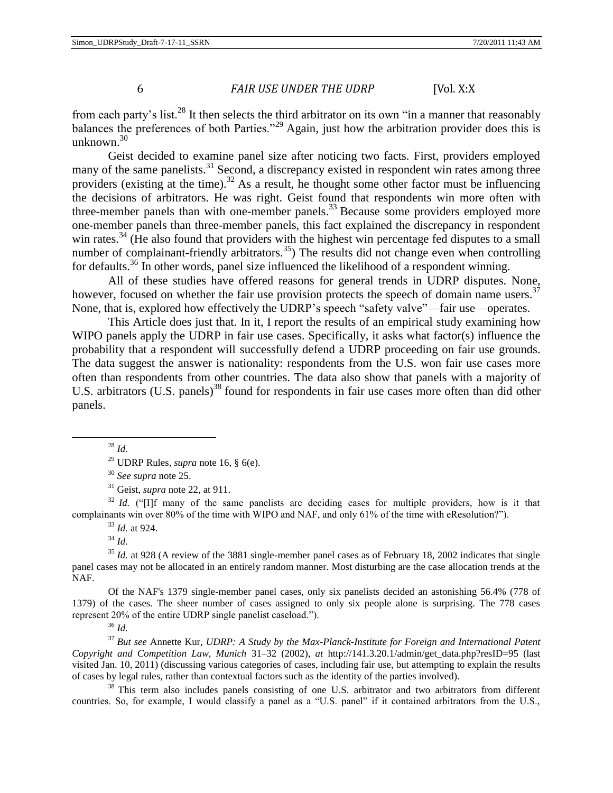from each party's list.<sup>28</sup> It then selects the third arbitrator on its own "in a manner that reasonably balances the preferences of both Parties.<sup> $29$ </sup> Again, just how the arbitration provider does this is unknown.<sup>30</sup>

<span id="page-7-0"></span>Geist decided to examine panel size after noticing two facts. First, providers employed many of the same panelists.<sup>31</sup> Second, a discrepancy existed in respondent win rates among three providers (existing at the time).<sup>32</sup> As a result, he thought some other factor must be influencing the decisions of arbitrators. He was right. Geist found that respondents win more often with three-member panels than with one-member panels.<sup>33</sup> Because some providers employed more one-member panels than three-member panels, this fact explained the discrepancy in respondent win rates.<sup>34</sup> (He also found that providers with the highest win percentage fed disputes to a small number of complainant-friendly arbitrators.<sup>35</sup>) The results did not change even when controlling for defaults.<sup>36</sup> In other words, panel size influenced the likelihood of a respondent winning.

All of these studies have offered reasons for general trends in UDRP disputes. None, however, focused on whether the fair use provision protects the speech of domain name users.<sup>37</sup> None, that is, explored how effectively the UDRP's speech "safety valve"—fair use—operates.

This Article does just that. In it, I report the results of an empirical study examining how WIPO panels apply the UDRP in fair use cases. Specifically, it asks what factor(s) influence the probability that a respondent will successfully defend a UDRP proceeding on fair use grounds. The data suggest the answer is nationality: respondents from the U.S. won fair use cases more often than respondents from other countries. The data also show that panels with a majority of U.S. arbitrators (U.S. panels)<sup>38</sup> found for respondents in fair use cases more often than did other panels.

<sup>28</sup> *Id.*

 $\overline{a}$ 

 $32$  *Id.* ("[I]f many of the same panelists are deciding cases for multiple providers, how is it that complainants win over 80% of the time with WIPO and NAF, and only 61% of the time with eResolution?").

<sup>33</sup> *Id.* at 924.

<sup>34</sup> *Id.*

<sup>35</sup> *Id.* at 928 (A review of the 3881 single-member panel cases as of February 18, 2002 indicates that single panel cases may not be allocated in an entirely random manner. Most disturbing are the case allocation trends at the NAF.

Of the NAF's 1379 single-member panel cases, only six panelists decided an astonishing 56.4% (778 of 1379) of the cases. The sheer number of cases assigned to only six people alone is surprising. The 778 cases represent 20% of the entire UDRP single panelist caseload.").

<sup>36</sup> *Id.*

<sup>37</sup> *But see* Annette Kur, *UDRP: A Study by the Max-Planck-Institute for Foreign and International Patent Copyright and Competition Law, Munich* 31–32 (2002), *at* http://141.3.20.1/admin/get\_data.php?resID=95 (last visited Jan. 10, 2011) (discussing various categories of cases, including fair use, but attempting to explain the results of cases by legal rules, rather than contextual factors such as the identity of the parties involved).

<sup>38</sup> This term also includes panels consisting of one U.S. arbitrator and two arbitrators from different countries. So, for example, I would classify a panel as a "U.S. panel" if it contained arbitrators from the U.S.,

<sup>29</sup> UDRP Rules, *supra* note [16,](#page-5-0) § 6(e).

<sup>30</sup> *See supra* note [25.](#page-6-1) 

<sup>31</sup> Geist, *supra* note [22,](#page-6-0) at 911.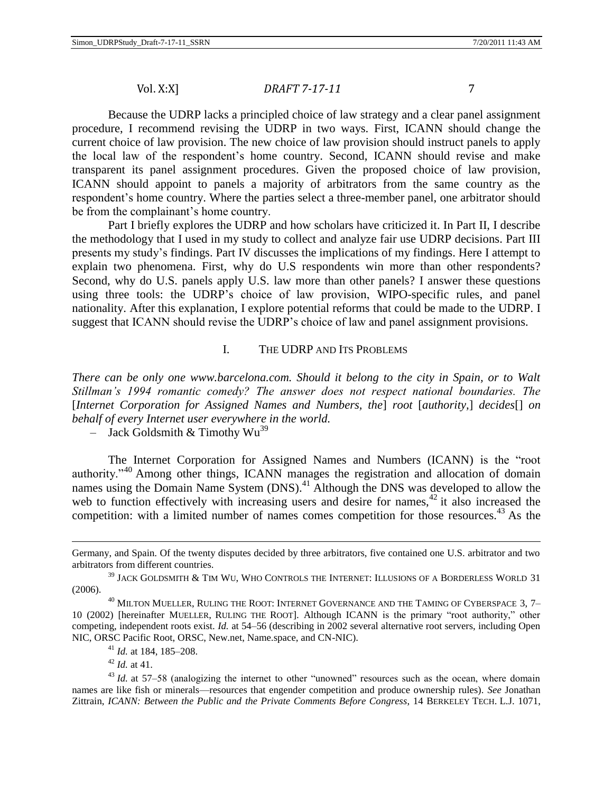Because the UDRP lacks a principled choice of law strategy and a clear panel assignment procedure, I recommend revising the UDRP in two ways. First, ICANN should change the current choice of law provision. The new choice of law provision should instruct panels to apply the local law of the respondent's home country. Second, ICANN should revise and make transparent its panel assignment procedures. Given the proposed choice of law provision, ICANN should appoint to panels a majority of arbitrators from the same country as the respondent's home country. Where the parties select a three-member panel, one arbitrator should be from the complainant's home country.

Part I briefly explores the UDRP and how scholars have criticized it. In Part II, I describe the methodology that I used in my study to collect and analyze fair use UDRP decisions. Part III presents my study's findings. Part IV discusses the implications of my findings. Here I attempt to explain two phenomena. First, why do U.S respondents win more than other respondents? Second, why do U.S. panels apply U.S. law more than other panels? I answer these questions using three tools: the UDRP's choice of law provision, WIPO-specific rules, and panel nationality. After this explanation, I explore potential reforms that could be made to the UDRP. I suggest that ICANN should revise the UDRP's choice of law and panel assignment provisions.

## <span id="page-8-2"></span>I. THE UDRP AND ITS PROBLEMS

<span id="page-8-0"></span>*There can be only one www.barcelona.com. Should it belong to the city in Spain, or to Walt Stillman's 1994 romantic comedy? The answer does not respect national boundaries. The*  [*Internet Corporation for Assigned Names and Numbers, the*] *root* [*authority,*] *decides*[] *on behalf of every Internet user everywhere in the world.*

– Jack Goldsmith & Timothy  $Wu^{39}$ 

<span id="page-8-1"></span>The Internet Corporation for Assigned Names and Numbers (ICANN) is the "root authority."<sup>40</sup> Among other things, ICANN manages the registration and allocation of domain names using the Domain Name System (DNS).<sup>41</sup> Although the DNS was developed to allow the web to function effectively with increasing users and desire for names,  $42$  it also increased the competition: with a limited number of names comes competition for those resources.<sup>43</sup> As the

<sup>42</sup> *Id.* at 41.

Germany, and Spain. Of the twenty disputes decided by three arbitrators, five contained one U.S. arbitrator and two arbitrators from different countries.

 $^{39}$  Jack Goldsmith & Tim Wu, Who Controls the Internet: Illusions of a Borderless World 31 (2006).

 $^{40}$  MILTON MUELLER, RULING THE ROOT: INTERNET GOVERNANCE AND THE TAMING OF CYBERSPACE 3,  $7-$ 10 (2002) [hereinafter MUELLER, RULING THE ROOT]. Although ICANN is the primary "root authority," other competing, independent roots exist. *Id.* at 54–56 (describing in 2002 several alternative root servers, including Open NIC, ORSC Pacific Root, ORSC, New.net, Name.space, and CN-NIC).

<sup>41</sup> *Id.* at 184, 185–208.

 $^{43}$  *Id.* at 57–58 (analogizing the internet to other "unowned" resources such as the ocean, where domain names are like fish or minerals—resources that engender competition and produce ownership rules). *See* Jonathan Zittrain, *ICANN: Between the Public and the Private Comments Before Congress*, 14 BERKELEY TECH. L.J. 1071,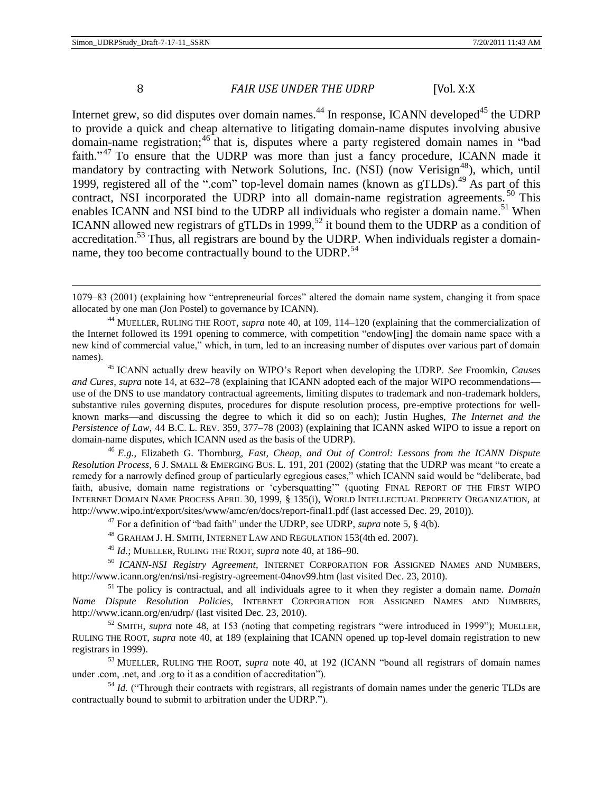## <span id="page-9-1"></span>8 *FAIR USE UNDER THE UDRP* [Vol. X:X

<span id="page-9-0"></span>

Internet grew, so did disputes over domain names.<sup>44</sup> In response, ICANN developed<sup>45</sup> the UDRP to provide a quick and cheap alternative to litigating domain-name disputes involving abusive domain-name registration;<sup>46</sup> that is, disputes where a party registered domain names in "bad faith." $47$  To ensure that the UDRP was more than just a fancy procedure, ICANN made it mandatory by contracting with Network Solutions, Inc. (NSI) (now Verisign<sup>48</sup>), which, until 1999, registered all of the ".com" top-level domain names (known as gTLDs).<sup>49</sup> As part of this contract, NSI incorporated the UDRP into all domain-name registration agreements.<sup>50</sup> This enables ICANN and NSI bind to the UDRP all individuals who register a domain name.<sup>51</sup> When ICANN allowed new registrars of gTLDs in 1999,<sup>52</sup> it bound them to the UDRP as a condition of accreditation.<sup>53</sup> Thus, all registrars are bound by the UDRP. When individuals register a domainname, they too become contractually bound to the UDRP.<sup>54</sup>

<sup>45</sup> ICANN actually drew heavily on WIPO's Report when developing the UDRP. *See* Froomkin, *Causes and Cures*, *supra* note [14,](#page-4-0) at 632–78 (explaining that ICANN adopted each of the major WIPO recommendations use of the DNS to use mandatory contractual agreements, limiting disputes to trademark and non-trademark holders, substantive rules governing disputes, procedures for dispute resolution process, pre-emptive protections for wellknown marks—and discussing the degree to which it did so on each); Justin Hughes, *The Internet and the Persistence of Law*, 44 B.C. L. REV. 359, 377–78 (2003) (explaining that ICANN asked WIPO to issue a report on domain-name disputes, which ICANN used as the basis of the UDRP).

<sup>46</sup> *E.g.*, Elizabeth G. Thornburg, *Fast, Cheap, and Out of Control: Lessons from the ICANN Dispute Resolution Process*, 6 J. SMALL & EMERGING BUS. L. 191, 201 (2002) (stating that the UDRP was meant "to create a remedy for a narrowly defined group of particularly egregious cases," which ICANN said would be "deliberate, bad faith, abusive, domain name registrations or 'cybersquatting'" (quoting FINAL REPORT OF THE FIRST WIPO INTERNET DOMAIN NAME PROCESS APRIL 30, 1999, § 135(i), WORLD INTELLECTUAL PROPERTY ORGANIZATION, at http://www.wipo.int/export/sites/www/amc/en/docs/report-final1.pdf (last accessed Dec. 29, 2010)).

 $47$  For a definition of "bad faith" under the UDRP, see UDRP, *supra* note [5,](#page-3-1) § 4(b).

<sup>48</sup> GRAHAM J. H. SMITH, INTERNET LAW AND REGULATION 153(4th ed. 2007).

<sup>49</sup> *Id.*; MUELLER, RULING THE ROOT, *supra* note [40,](#page-8-1) at 186–90.

<sup>50</sup> *ICANN-NSI Registry Agreement*, INTERNET CORPORATION FOR ASSIGNED NAMES AND NUMBERS, http://www.icann.org/en/nsi/nsi-registry-agreement-04nov99.htm (last visited Dec. 23, 2010).

<sup>51</sup> The policy is contractual, and all individuals agree to it when they register a domain name. *Domain Name Dispute Resolution Policies*, INTERNET CORPORATION FOR ASSIGNED NAMES AND NUMBERS, http://www.icann.org/en/udrp/ (last visited Dec. 23, 2010).

 $52$  SMITH, *supra* note [48,](#page-9-0) at 153 (noting that competing registrars "were introduced in 1999"); MUELLER, RULING THE ROOT, *supra* note [40,](#page-8-1) at 189 (explaining that ICANN opened up top-level domain registration to new registrars in 1999).

<sup>53</sup> MUELLER, RULING THE ROOT, *supra* note [40,](#page-8-1) at 192 (ICANN "bound all registrars of domain names under .com, .net, and .org to it as a condition of accreditation").

 $54$  *Id.* ("Through their contracts with registrars, all registrants of domain names under the generic TLDs are contractually bound to submit to arbitration under the UDRP.").

<sup>1079–83 (2001) (</sup>explaining how "entrepreneurial forces" altered the domain name system, changing it from space allocated by one man (Jon Postel) to governance by ICANN).

<sup>44</sup> MUELLER, RULING THE ROOT, *supra* note [40,](#page-8-1) at 109, 114–120 (explaining that the commercialization of the Internet followed its 1991 opening to commerce, with competition "endow[ing] the domain name space with a new kind of commercial value," which, in turn, led to an increasing number of disputes over various part of domain names).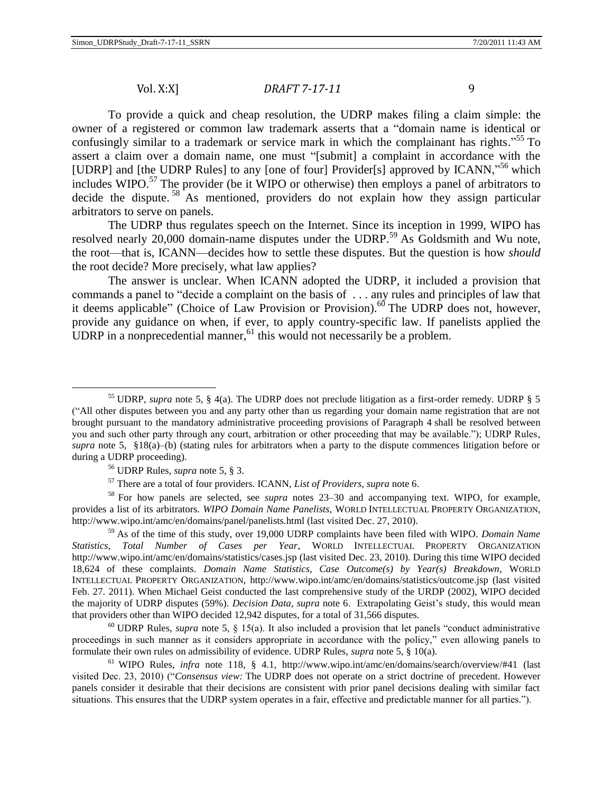To provide a quick and cheap resolution, the UDRP makes filing a claim simple: the owner of a registered or common law trademark asserts that a "domain name is identical or confusingly similar to a trademark or service mark in which the complainant has rights."<sup>55</sup> To assert a claim over a domain name, one must "[submit] a complaint in accordance with the [UDRP] and [the UDRP Rules] to any [one of four] Provider[s] approved by ICANN,"<sup>56</sup> which includes WIPO.<sup>57</sup> The provider (be it WIPO or otherwise) then employs a panel of arbitrators to decide the dispute.  $58^{4}$ As mentioned, providers do not explain how they assign particular arbitrators to serve on panels.

The UDRP thus regulates speech on the Internet. Since its inception in 1999, WIPO has resolved nearly 20,000 domain-name disputes under the UDRP.<sup>59</sup> As Goldsmith and Wu note, the root—that is, ICANN—decides how to settle these disputes. But the question is how *should* the root decide? More precisely, what law applies?

The answer is unclear. When ICANN adopted the UDRP, it included a provision that commands a panel to "decide a complaint on the basis of  $\dots$  any rules and principles of law that it deems applicable" (Choice of Law Provision or Provision).<sup>60</sup> The UDRP does not, however, provide any guidance on when, if ever, to apply country-specific law. If panelists applied the UDRP in a nonprecedential manner,  $61$  this would not necessarily be a problem.

 $\overline{a}$ 

<sup>58</sup> For how panels are selected, see *supra* notes [23](#page-6-2)[–30](#page-7-0) and accompanying text. WIPO, for example, provides a list of its arbitrators. *WIPO Domain Name Panelists*, WORLD INTELLECTUAL PROPERTY ORGANIZATION, http://www.wipo.int/amc/en/domains/panel/panelists.html (last visited Dec. 27, 2010).

<sup>60</sup> UDRP Rules, *supra* note [5,](#page-3-1) § 15(a). It also included a provision that let panels "conduct administrative" proceedings in such manner as it considers appropriate in accordance with the policy," even allowing panels to formulate their own rules on admissibility of evidence. UDRP Rules, *supra* note [5,](#page-3-1) § 10(a).

<sup>61</sup> WIPO Rules, *infra* note [118,](#page-27-1) § 4.1, http://www.wipo.int/amc/en/domains/search/overview/#41 (last visited Dec. 23, 2010) ("*Consensus view:* The UDRP does not operate on a strict doctrine of precedent. However panels consider it desirable that their decisions are consistent with prior panel decisions dealing with similar fact situations. This ensures that the UDRP system operates in a fair, effective and predictable manner for all parties.").

<sup>55</sup> UDRP, *supra* note [5,](#page-3-1) § 4(a). The UDRP does not preclude litigation as a first-order remedy. UDRP § 5 (―All other disputes between you and any party other than us regarding your domain name registration that are not brought pursuant to the mandatory administrative proceeding provisions of Paragraph 4 shall be resolved between you and such other party through any court, arbitration or other proceeding that may be available."); UDRP Rules, *supra* note [5,](#page-3-1) §18(a)–(b) (stating rules for arbitrators when a party to the dispute commences litigation before or during a UDRP proceeding).

<sup>56</sup> UDRP Rules, *supra* note [5,](#page-3-1) § 3.

<sup>57</sup> There are a total of four providers. ICANN, *List of Providers*, *supra* note [6.](#page-3-0)

<sup>59</sup> As of the time of this study, over 19,000 UDRP complaints have been filed with WIPO. *Domain Name Statistics, Total Number of Cases per Year*, WORLD INTELLECTUAL PROPERTY ORGANIZATION http://www.wipo.int/amc/en/domains/statistics/cases.jsp (last visited Dec. 23, 2010). During this time WIPO decided 18,624 of these complaints. *Domain Name Statistics, Case Outcome(s) by Year(s) Breakdown*, WORLD INTELLECTUAL PROPERTY ORGANIZATION, http://www.wipo.int/amc/en/domains/statistics/outcome.jsp (last visited Feb. 27. 2011). When Michael Geist conducted the last comprehensive study of the URDP (2002), WIPO decided the majority of UDRP disputes (59%). *Decision Data*, *supra* note [6.](#page-3-0) Extrapolating Geist's study, this would mean that providers other than WIPO decided 12,942 disputes, for a total of 31,566 disputes.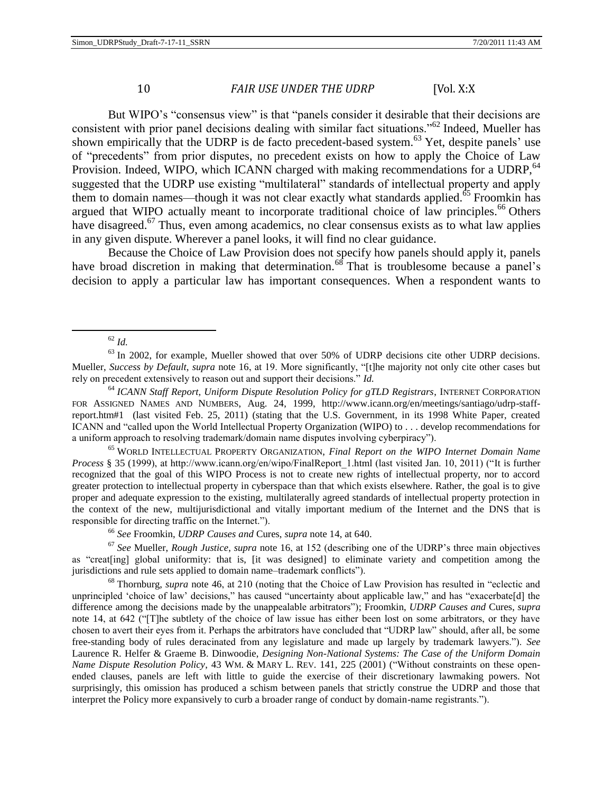<span id="page-11-0"></span>

But WIPO's "consensus view" is that "panels consider it desirable that their decisions are consistent with prior panel decisions dealing with similar fact situations.<sup>562</sup> Indeed, Mueller has shown empirically that the UDRP is de facto precedent-based system.<sup>63</sup> Yet, despite panels' use of "precedents" from prior disputes, no precedent exists on how to apply the Choice of Law Provision. Indeed, WIPO, which ICANN charged with making recommendations for a UDRP, <sup>64</sup> suggested that the UDRP use existing "multilateral" standards of intellectual property and apply them to domain names—though it was not clear exactly what standards applied.<sup>65</sup> Froomkin has argued that WIPO actually meant to incorporate traditional choice of law principles.<sup>66</sup> Others have disagreed.<sup>67</sup> Thus, even among academics, no clear consensus exists as to what law applies in any given dispute. Wherever a panel looks, it will find no clear guidance.

Because the Choice of Law Provision does not specify how panels should apply it, panels have broad discretion in making that determination.<sup>68</sup> That is troublesome because a panel's decision to apply a particular law has important consequences. When a respondent wants to

<sup>62</sup> *Id.*

 $\overline{a}$ 

 $63$  In 2002, for example, Mueller showed that over 50% of UDRP decisions cite other UDRP decisions. Mueller, *Success by Default*, *supra* note [16,](#page-5-0) at 19. More significantly, "[t]he majority not only cite other cases but rely on precedent extensively to reason out and support their decisions." *Id.* 

<sup>64</sup> *ICANN Staff Report, Uniform Dispute Resolution Policy for gTLD Registrars*, INTERNET CORPORATION FOR ASSIGNED NAMES AND NUMBERS, Aug. 24, 1999, http://www.icann.org/en/meetings/santiago/udrp-staffreport.htm#1 (last visited Feb. 25, 2011) (stating that the U.S. Government, in its 1998 White Paper, created ICANN and "called upon the World Intellectual Property Organization (WIPO) to . . . develop recommendations for a uniform approach to resolving trademark/domain name disputes involving cyberpiracy").

<sup>65</sup> WORLD INTELLECTUAL PROPERTY ORGANIZATION, *Final Report on the WIPO Internet Domain Name Process* § 35 (1999), at http://www.icann.org/en/wipo/FinalReport\_1.html (last visited Jan. 10, 2011) ("It is further recognized that the goal of this WIPO Process is not to create new rights of intellectual property, nor to accord greater protection to intellectual property in cyberspace than that which exists elsewhere. Rather, the goal is to give proper and adequate expression to the existing, multilaterally agreed standards of intellectual property protection in the context of the new, multijurisdictional and vitally important medium of the Internet and the DNS that is responsible for directing traffic on the Internet.").

<sup>66</sup> *See* Froomkin, *UDRP Causes and* Cures, *supra* note [14,](#page-4-0) at 640.

<sup>67</sup> *See* Mueller, *Rough Justice*, *supra* note [16,](#page-5-0) at 152 (describing one of the UDRP's three main objectives as "creat[ing] global uniformity: that is, [it was designed] to eliminate variety and competition among the jurisdictions and rule sets applied to domain name–trademark conflicts").

<sup>68</sup> Thornburg, *supra* note [46,](#page-9-1) at 210 (noting that the Choice of Law Provision has resulted in "eclectic and unprincipled 'choice of law' decisions," has caused "uncertainty about applicable law," and has "exacerbate $[d]$  the difference among the decisions made by the unappealable arbitrators"); Froomkin, *UDRP Causes and* Cures, *supra* note [14,](#page-4-0) at 642 ("The subtlety of the choice of law issue has either been lost on some arbitrators, or they have chosen to avert their eyes from it. Perhaps the arbitrators have concluded that "UDRP law" should, after all, be some free-standing body of rules deracinated from any legislature and made up largely by trademark lawyers.‖). *See* Laurence R. Helfer & Graeme B. Dinwoodie, *Designing Non-National Systems: The Case of the Uniform Domain Name Dispute Resolution Policy*, 43 WM. & MARY L. REV. 141, 225 (2001) ("Without constraints on these openended clauses, panels are left with little to guide the exercise of their discretionary lawmaking powers. Not surprisingly, this omission has produced a schism between panels that strictly construe the UDRP and those that interpret the Policy more expansively to curb a broader range of conduct by domain-name registrants.").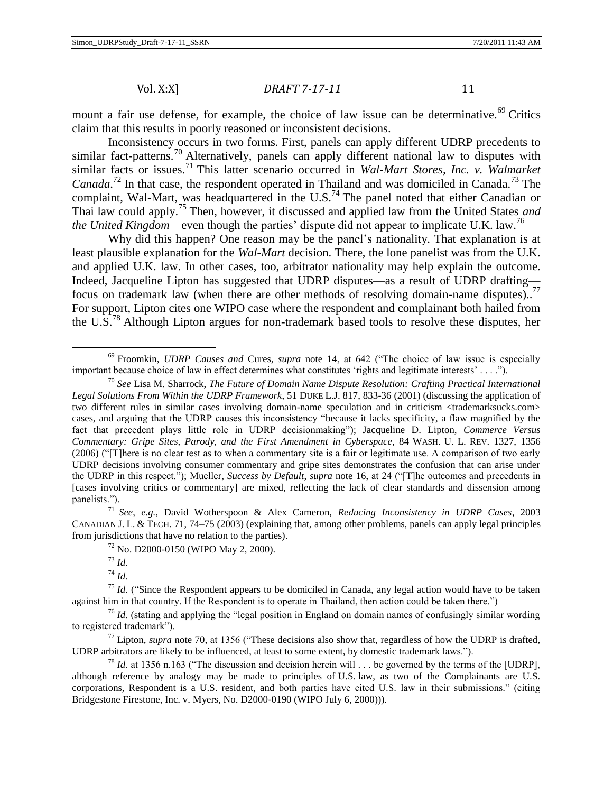mount a fair use defense, for example, the choice of law issue can be determinative.<sup>69</sup> Critics claim that this results in poorly reasoned or inconsistent decisions.

<span id="page-12-0"></span>Inconsistency occurs in two forms. First, panels can apply different UDRP precedents to similar fact-patterns.<sup>70</sup> Alternatively, panels can apply different national law to disputes with similar facts or issues. <sup>71</sup> This latter scenario occurred in *Wal-Mart Stores, Inc. v. Walmarket*  Canada.<sup>72</sup> In that case, the respondent operated in Thailand and was domiciled in Canada.<sup>73</sup> The complaint, Wal-Mart, was headquartered in the U.S.<sup>74</sup> The panel noted that either Canadian or Thai law could apply.<sup>75</sup> Then, however, it discussed and applied law from the United States *and the United Kingdom*—even though the parties' dispute did not appear to implicate U.K. law. 76

Why did this happen? One reason may be the panel's nationality. That explanation is at least plausible explanation for the *Wal-Mart* decision. There, the lone panelist was from the U.K. and applied U.K. law. In other cases, too, arbitrator nationality may help explain the outcome. Indeed, Jacqueline Lipton has suggested that UDRP disputes—as a result of UDRP drafting focus on trademark law (when there are other methods of resolving domain-name disputes).. 77 For support, Lipton cites one WIPO case where the respondent and complainant both hailed from the U.S.<sup>78</sup> Although Lipton argues for non-trademark based tools to resolve these disputes, her

<sup>71</sup> *See*, *e.g.*, David Wotherspoon & Alex Cameron, *Reducing Inconsistency in UDRP Cases*, 2003 CANADIAN J. L. & TECH. 71, 74–75 (2003) (explaining that, among other problems, panels can apply legal principles from jurisdictions that have no relation to the parties).

 $72$  No. D2000-0150 (WIPO May 2, 2000).

<sup>73</sup> *Id.* 

 $\overline{a}$ 

<sup>74</sup> *Id.* 

<sup>75</sup> *Id.* ("Since the Respondent appears to be domiciled in Canada, any legal action would have to be taken against him in that country. If the Respondent is to operate in Thailand, then action could be taken there.")

 $77$  Lipton, *supra* note [70,](#page-12-0) at 1356 ("These decisions also show that, regardless of how the UDRP is drafted. UDRP arbitrators are likely to be influenced, at least to some extent, by domestic trademark laws.").

 $^{78}$  *Id.* at 1356 n.163 ("The discussion and decision herein will . . . be governed by the terms of the [UDRP], although reference by analogy may be made to principles of U.S. law, as two of the Complainants are U.S. corporations, Respondent is a U.S. resident, and both parties have cited U.S. law in their submissions." (citing Bridgestone Firestone, Inc. v. Myers, No. D2000-0190 (WIPO July 6, 2000))).

<sup>&</sup>lt;sup>69</sup> Froomkin, *UDRP Causes and Cures, supra note [14,](#page-4-0) at 642* ("The choice of law issue is especially important because choice of law in effect determines what constitutes 'rights and legitimate interests' . . . .").

<sup>70</sup> *See* Lisa M. Sharrock, *The Future of Domain Name Dispute Resolution: Crafting Practical International Legal Solutions From Within the UDRP Framework*, 51 DUKE L.J. 817, 833-36 (2001) (discussing the application of two different rules in similar cases involving domain-name speculation and in criticism <trademarksucks.com> cases, and arguing that the UDRP causes this inconsistency "because it lacks specificity, a flaw magnified by the fact that precedent plays little role in UDRP decisionmaking"); Jacqueline D. Lipton, *Commerce Versus Commentary: Gripe Sites, Parody, and the First Amendment in Cyberspace*, 84 WASH. U. L. REV. 1327, 1356  $(2006)$  ("[T]here is no clear test as to when a commentary site is a fair or legitimate use. A comparison of two early UDRP decisions involving consumer commentary and gripe sites demonstrates the confusion that can arise under the UDRP in this respect."); Mueller, *Success by Default*, *supra* note [16,](#page-5-0) at 24 ("[T]he outcomes and precedents in [cases involving critics or commentary] are mixed, reflecting the lack of clear standards and dissension among panelists.").

<sup>&</sup>lt;sup>76</sup> *Id.* (stating and applying the "legal position in England on domain names of confusingly similar wording to registered trademark").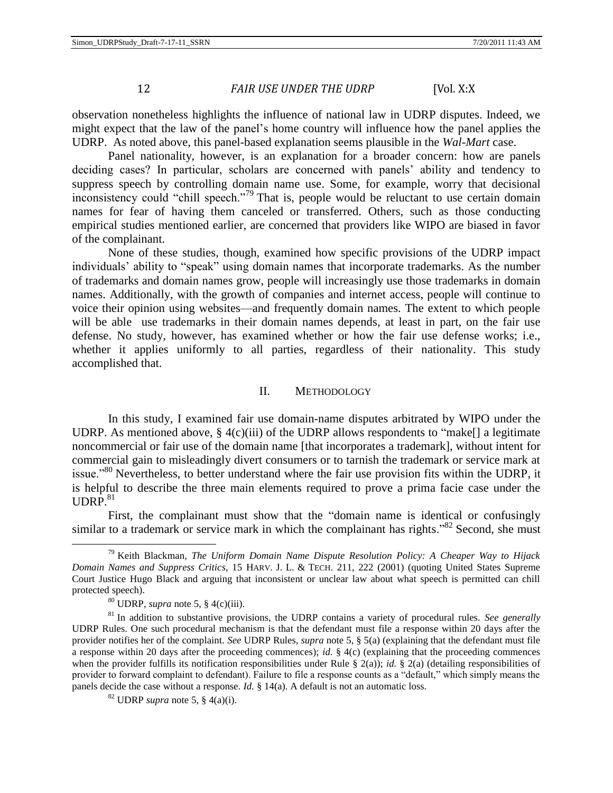observation nonetheless highlights the influence of national law in UDRP disputes. Indeed, we might expect that the law of the panel's home country will influence how the panel applies the UDRP. As noted above, this panel-based explanation seems plausible in the *Wal-Mart* case.

Panel nationality, however, is an explanation for a broader concern: how are panels deciding cases? In particular, scholars are concerned with panels' ability and tendency to suppress speech by controlling domain name use. Some, for example, worry that decisional inconsistency could "chill speech."<sup>79</sup> That is, people would be reluctant to use certain domain names for fear of having them canceled or transferred. Others, such as those conducting empirical studies mentioned earlier, are concerned that providers like WIPO are biased in favor of the complainant.

None of these studies, though, examined how specific provisions of the UDRP impact individuals' ability to "speak" using domain names that incorporate trademarks. As the number of trademarks and domain names grow, people will increasingly use those trademarks in domain names. Additionally, with the growth of companies and internet access, people will continue to voice their opinion using websites—and frequently domain names. The extent to which people will be able use trademarks in their domain names depends, at least in part, on the fair use defense. No study, however, has examined whether or how the fair use defense works; i.e., whether it applies uniformly to all parties, regardless of their nationality. This study accomplished that.

# II. METHODOLOGY

<span id="page-13-0"></span>In this study, I examined fair use domain-name disputes arbitrated by WIPO under the UDRP. As mentioned above,  $\S$  4(c)(iii) of the UDRP allows respondents to "make" a legitimate noncommercial or fair use of the domain name [that incorporates a trademark], without intent for commercial gain to misleadingly divert consumers or to tarnish the trademark or service mark at issue.<sup>80</sup> Nevertheless, to better understand where the fair use provision fits within the UDRP, it is helpful to describe the three main elements required to prove a prima facie case under the  $UDRP.<sup>81</sup>$ 

First, the complainant must show that the "domain name is identical or confusingly similar to a trademark or service mark in which the complainant has rights.<sup>82</sup> Second, she must

<sup>79</sup> Keith Blackman, *The Uniform Domain Name Dispute Resolution Policy: A Cheaper Way to Hijack Domain Names and Suppress Critics*, 15 HARV. J. L. & TECH. 211, 222 (2001) (quoting United States Supreme Court Justice Hugo Black and arguing that inconsistent or unclear law about what speech is permitted can chill protected speech).

<sup>80</sup> UDRP, *supra* not[e 5,](#page-3-1) § 4(c)(iii).

<sup>&</sup>lt;sup>81</sup> In addition to substantive provisions, the UDRP contains a variety of procedural rules. *See generally* UDRP Rules. One such procedural mechanism is that the defendant must file a response within 20 days after the provider notifies her of the complaint. *See* UDRP Rules, *supra* note [5,](#page-3-1) § 5(a) (explaining that the defendant must file a response within 20 days after the proceeding commences); *id.* § 4(c) (explaining that the proceeding commences when the provider fulfills its notification responsibilities under Rule § 2(a)); *id.* § 2(a) (detailing responsibilities of provider to forward complaint to defendant). Failure to file a response counts as a "default," which simply means the panels decide the case without a response. *Id.* § 14(a). A default is not an automatic loss.

<sup>82</sup> UDRP *supra* note [5,](#page-3-1) § 4(a)(i).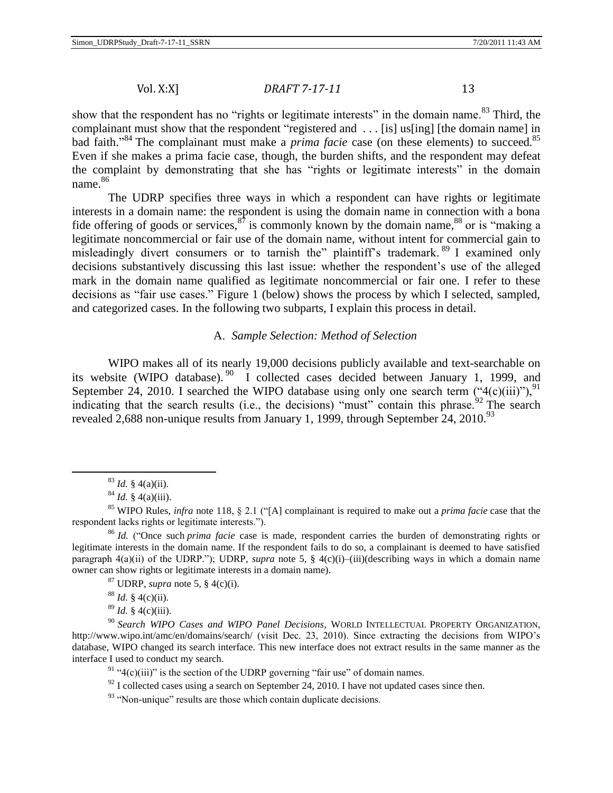show that the respondent has no "rights or legitimate interests" in the domain name.<sup>83</sup> Third, the complainant must show that the respondent "registered and  $\ldots$  [is] us[ing] [the domain name] in bad faith."<sup>84</sup> The complainant must make a *prima facie* case (on these elements) to succeed.<sup>85</sup> Even if she makes a prima facie case, though, the burden shifts, and the respondent may defeat the complaint by demonstrating that she has "rights or legitimate interests" in the domain name.<sup>86</sup>

The UDRP specifies three ways in which a respondent can have rights or legitimate interests in a domain name: the respondent is using the domain name in connection with a bona fide offering of goods or services,<sup>87</sup> is commonly known by the domain name,<sup>88</sup> or is "making a legitimate noncommercial or fair use of the domain name, without intent for commercial gain to misleadingly divert consumers or to tarnish the" plaintiff's trademark. <sup>89</sup> I examined only decisions substantively discussing this last issue: whether the respondent's use of the alleged mark in the domain name qualified as legitimate noncommercial or fair one. I refer to these decisions as "fair use cases." Figure 1 (below) shows the process by which I selected, sampled, and categorized cases. In the following two subparts, I explain this process in detail.

## A. *Sample Selection: Method of Selection*

<span id="page-14-0"></span>WIPO makes all of its nearly 19,000 decisions publicly available and text-searchable on its website (WIPO database). <sup>90</sup> I collected cases decided between January 1, 1999, and September 24, 2010. I searched the WIPO database using only one search term  $("4(c)(iii))$ <sup>91</sup> indicating that the search results (i.e., the decisions) "must" contain this phrase.<sup>92</sup> The search revealed 2,688 non-unique results from January 1, 1999, through September 24, 2010.<sup>93</sup>

 $\overline{a}$ 

<sup>87</sup> UDRP, *supra* not[e 5,](#page-3-1) § 4(c)(i).

 $88$  *Id.* § 4(c)(ii).

<sup>89</sup> *Id.* § 4(c)(iii).

 $91$  "4(c)(iii)" is the section of the UDRP governing "fair use" of domain names.

 $92$  I collected cases using a search on September 24, 2010. I have not updated cases since then.

 $93$  "Non-unique" results are those which contain duplicate decisions.

<sup>83</sup> *Id.* § 4(a)(ii).

 $^{84}$  *Id.* § 4(a)(iii).

<sup>&</sup>lt;sup>85</sup> WIPO Rules, *infra* note [118,](#page-27-1) § 2.1 ("[A] complainant is required to make out a *prima facie* case that the respondent lacks rights or legitimate interests.").

<sup>&</sup>lt;sup>86</sup> *Id.* ("Once such *prima facie* case is made, respondent carries the burden of demonstrating rights or legitimate interests in the domain name. If the respondent fails to do so, a complainant is deemed to have satisfied paragraph  $4(a)(ii)$  of the UDRP."); UDRP, *supra* note [5,](#page-3-1) §  $4(c)(i)-(iii)(describing ways in which a domain name)$ owner can show rights or legitimate interests in a domain name).

<sup>90</sup> *Search WIPO Cases and WIPO Panel Decisions*, WORLD INTELLECTUAL PROPERTY ORGANIZATION, http://www.wipo.int/amc/en/domains/search/ (visit Dec. 23, 2010). Since extracting the decisions from WIPO's database, WIPO changed its search interface. This new interface does not extract results in the same manner as the interface I used to conduct my search.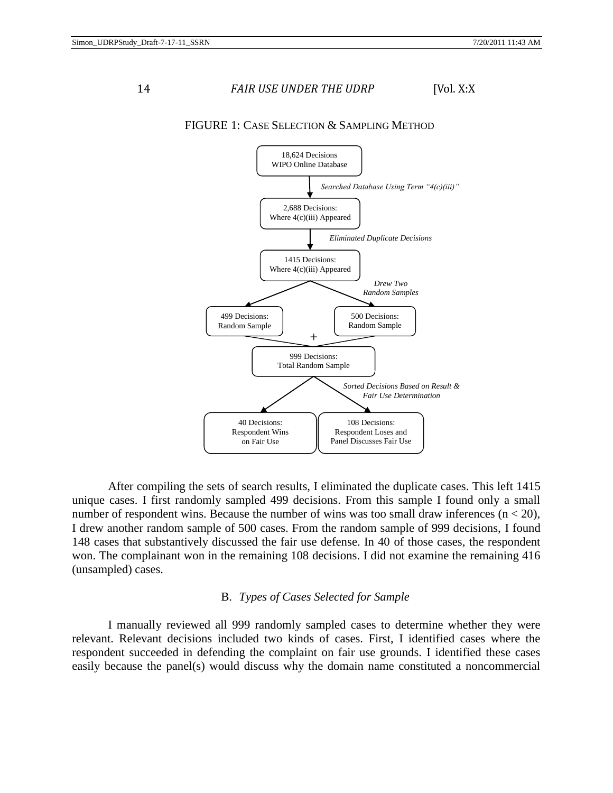#### FIGURE 1: CASE SELECTION & SAMPLING METHOD



After compiling the sets of search results, I eliminated the duplicate cases. This left 1415 unique cases. I first randomly sampled 499 decisions. From this sample I found only a small number of respondent wins. Because the number of wins was too small draw inferences  $(n < 20)$ , I drew another random sample of 500 cases. From the random sample of 999 decisions, I found 148 cases that substantively discussed the fair use defense. In 40 of those cases, the respondent won. The complainant won in the remaining 108 decisions. I did not examine the remaining 416 (unsampled) cases.

## B. *Types of Cases Selected for Sample*

<span id="page-15-0"></span>I manually reviewed all 999 randomly sampled cases to determine whether they were relevant. Relevant decisions included two kinds of cases. First, I identified cases where the respondent succeeded in defending the complaint on fair use grounds. I identified these cases easily because the panel(s) would discuss why the domain name constituted a noncommercial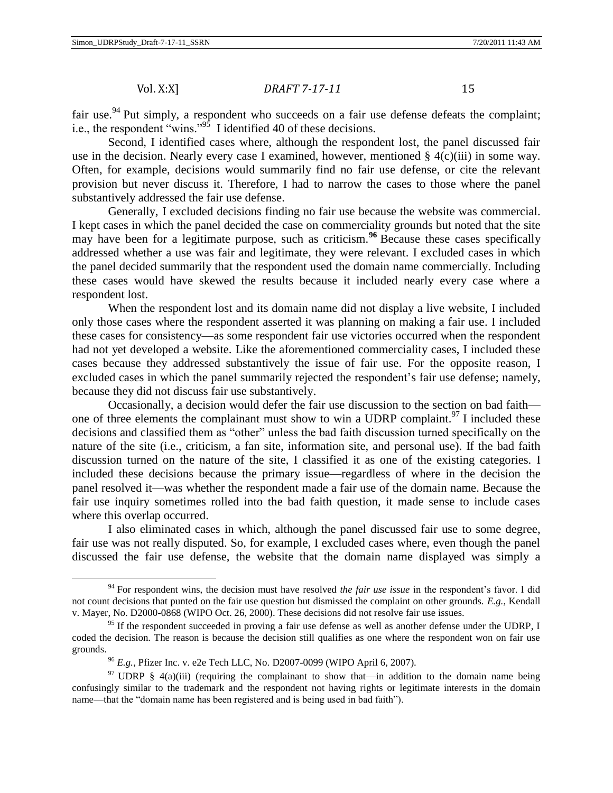### Vol. X:X] *DRAFT 7-17-11* 15

fair use.<sup>94</sup> Put simply, a respondent who succeeds on a fair use defense defeats the complaint; i.e., the respondent "wins."<sup>95</sup> I identified 40 of these decisions.

Second, I identified cases where, although the respondent lost, the panel discussed fair use in the decision. Nearly every case I examined, however, mentioned  $\S$  4(c)(iii) in some way. Often, for example, decisions would summarily find no fair use defense, or cite the relevant provision but never discuss it. Therefore, I had to narrow the cases to those where the panel substantively addressed the fair use defense.

Generally, I excluded decisions finding no fair use because the website was commercial. I kept cases in which the panel decided the case on commerciality grounds but noted that the site may have been for a legitimate purpose, such as criticism.<sup>96</sup> Because these cases specifically addressed whether a use was fair and legitimate, they were relevant. I excluded cases in which the panel decided summarily that the respondent used the domain name commercially. Including these cases would have skewed the results because it included nearly every case where a respondent lost.

When the respondent lost and its domain name did not display a live website, I included only those cases where the respondent asserted it was planning on making a fair use. I included these cases for consistency—as some respondent fair use victories occurred when the respondent had not yet developed a website. Like the aforementioned commerciality cases, I included these cases because they addressed substantively the issue of fair use. For the opposite reason, I excluded cases in which the panel summarily rejected the respondent's fair use defense; namely, because they did not discuss fair use substantively.

Occasionally, a decision would defer the fair use discussion to the section on bad faith one of three elements the complainant must show to win a UDRP complaint.<sup>97</sup> I included these decisions and classified them as "other" unless the bad faith discussion turned specifically on the nature of the site (i.e., criticism, a fan site, information site, and personal use). If the bad faith discussion turned on the nature of the site, I classified it as one of the existing categories. I included these decisions because the primary issue—regardless of where in the decision the panel resolved it—was whether the respondent made a fair use of the domain name. Because the fair use inquiry sometimes rolled into the bad faith question, it made sense to include cases where this overlap occurred.

I also eliminated cases in which, although the panel discussed fair use to some degree, fair use was not really disputed. So, for example, I excluded cases where, even though the panel discussed the fair use defense, the website that the domain name displayed was simply a

<sup>&</sup>lt;sup>94</sup> For respondent wins, the decision must have resolved *the fair use issue* in the respondent's favor. I did not count decisions that punted on the fair use question but dismissed the complaint on other grounds. *E.g.*, Kendall v. Mayer, No. D2000-0868 (WIPO Oct. 26, 2000). These decisions did not resolve fair use issues.

<sup>&</sup>lt;sup>95</sup> If the respondent succeeded in proving a fair use defense as well as another defense under the UDRP, I coded the decision. The reason is because the decision still qualifies as one where the respondent won on fair use grounds.

<sup>96</sup> *E.g.*, Pfizer Inc. v. e2e Tech LLC, No. D2007-0099 (WIPO April 6, 2007).

 $97$  UDRP § 4(a)(iii) (requiring the complainant to show that—in addition to the domain name being confusingly similar to the trademark and the respondent not having rights or legitimate interests in the domain name—that the "domain name has been registered and is being used in bad faith").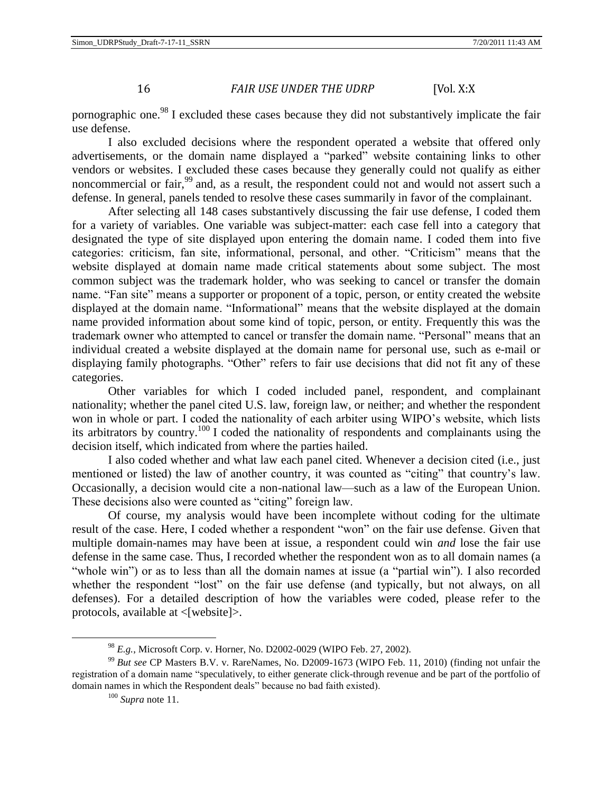pornographic one.<sup>98</sup> I excluded these cases because they did not substantively implicate the fair use defense.

I also excluded decisions where the respondent operated a website that offered only advertisements, or the domain name displayed a "parked" website containing links to other vendors or websites. I excluded these cases because they generally could not qualify as either noncommercial or fair, <sup>99</sup> and, as a result, the respondent could not and would not assert such a defense. In general, panels tended to resolve these cases summarily in favor of the complainant.

After selecting all 148 cases substantively discussing the fair use defense, I coded them for a variety of variables. One variable was subject-matter: each case fell into a category that designated the type of site displayed upon entering the domain name. I coded them into five categories: criticism, fan site, informational, personal, and other. "Criticism" means that the website displayed at domain name made critical statements about some subject. The most common subject was the trademark holder, who was seeking to cancel or transfer the domain name. "Fan site" means a supporter or proponent of a topic, person, or entity created the website displayed at the domain name. "Informational" means that the website displayed at the domain name provided information about some kind of topic, person, or entity. Frequently this was the trademark owner who attempted to cancel or transfer the domain name. "Personal" means that an individual created a website displayed at the domain name for personal use, such as e-mail or displaying family photographs. "Other" refers to fair use decisions that did not fit any of these categories.

Other variables for which I coded included panel, respondent, and complainant nationality; whether the panel cited U.S. law, foreign law, or neither; and whether the respondent won in whole or part. I coded the nationality of each arbiter using WIPO's website, which lists its arbitrators by country.<sup>100</sup> I coded the nationality of respondents and complainants using the decision itself, which indicated from where the parties hailed.

I also coded whether and what law each panel cited. Whenever a decision cited (i.e., just mentioned or listed) the law of another country, it was counted as "citing" that country's law. Occasionally, a decision would cite a non-national law—such as a law of the European Union. These decisions also were counted as "citing" foreign law.

Of course, my analysis would have been incomplete without coding for the ultimate result of the case. Here, I coded whether a respondent "won" on the fair use defense. Given that multiple domain-names may have been at issue, a respondent could win *and* lose the fair use defense in the same case. Thus, I recorded whether the respondent won as to all domain names (a "whole win") or as to less than all the domain names at issue (a "partial win"). I also recorded whether the respondent "lost" on the fair use defense (and typically, but not always, on all defenses). For a detailed description of how the variables were coded, please refer to the protocols, available at  $\langle$ [website] $\rangle$ .

<sup>98</sup> *E.g.*, Microsoft Corp. v. Horner, No. D2002-0029 (WIPO Feb. 27, 2002).

<sup>99</sup> *But see* CP Masters B.V. v. RareNames, No. D2009-1673 (WIPO Feb. 11, 2010) (finding not unfair the registration of a domain name "speculatively, to either generate click-through revenue and be part of the portfolio of domain names in which the Respondent deals" because no bad faith existed).

<sup>100</sup> *Supra* note [11.](#page-3-2)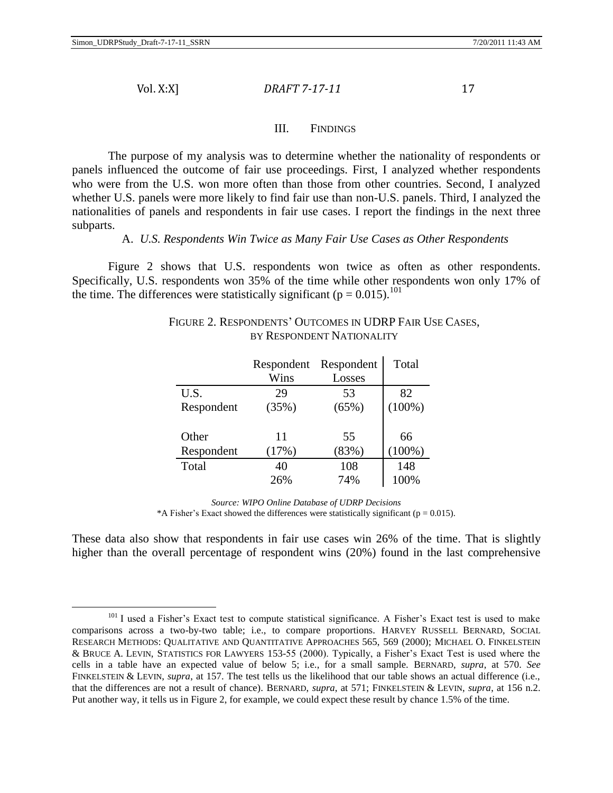Vol. X:X] *DRAFT 7-17-11* 17

### III. FINDINGS

<span id="page-18-0"></span>The purpose of my analysis was to determine whether the nationality of respondents or panels influenced the outcome of fair use proceedings. First, I analyzed whether respondents who were from the U.S. won more often than those from other countries. Second, I analyzed whether U.S. panels were more likely to find fair use than non-U.S. panels. Third, I analyzed the nationalities of panels and respondents in fair use cases. I report the findings in the next three subparts.

### A. *U.S. Respondents Win Twice as Many Fair Use Cases as Other Respondents*

<span id="page-18-1"></span>Figure 2 shows that U.S. respondents won twice as often as other respondents. Specifically, U.S. respondents won 35% of the time while other respondents won only 17% of the time. The differences were statistically significant ( $p = 0.015$ ).<sup>101</sup>

|            | Respondent | Respondent | Total     |
|------------|------------|------------|-----------|
|            | Wins       | Losses     |           |
| U.S.       | 29         | 53         | 82        |
| Respondent | (35%)      | (65%)      | $(100\%)$ |
|            |            |            |           |
| Other      | 11         | 55         | 66        |
| Respondent | (17%)      | (83%)      | $(100\%)$ |
| Total      | 40         | 108        | 148       |
|            | 26%        | 74%        | 100%      |

# FIGURE 2. RESPONDENTS' OUTCOMES IN UDRP FAIR USE CASES, BY RESPONDENT NATIONALITY

*Source: WIPO Online Database of UDRP Decisions* \*A Fisher's Exact showed the differences were statistically significant ( $p = 0.015$ ).

These data also show that respondents in fair use cases win 26% of the time. That is slightly higher than the overall percentage of respondent wins (20%) found in the last comprehensive

<sup>&</sup>lt;sup>101</sup> I used a Fisher's Exact test to compute statistical significance. A Fisher's Exact test is used to make comparisons across a two-by-two table; i.e., to compare proportions. HARVEY RUSSELL BERNARD, SOCIAL RESEARCH METHODS: QUALITATIVE AND QUANTITATIVE APPROACHES 565, 569 (2000); MICHAEL O. FINKELSTEIN & BRUCE A. LEVIN, STATISTICS FOR LAWYERS 153-55 (2000). Typically, a Fisher's Exact Test is used where the cells in a table have an expected value of below 5; i.e., for a small sample. BERNARD, *supra*, at 570. *See* FINKELSTEIN & LEVIN, *supra*, at 157. The test tells us the likelihood that our table shows an actual difference (i.e., that the differences are not a result of chance). BERNARD, *supra*, at 571; FINKELSTEIN & LEVIN, *supra*, at 156 n.2. Put another way, it tells us in Figure 2, for example, we could expect these result by chance 1.5% of the time.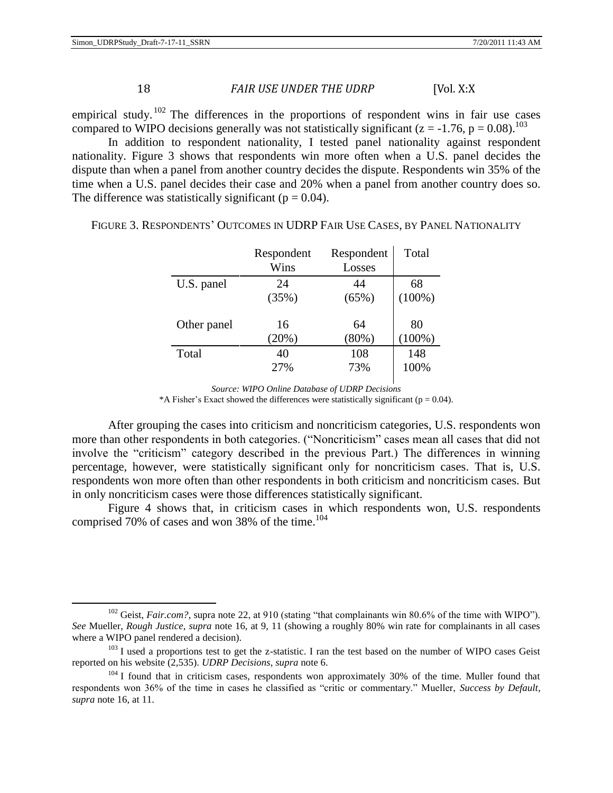### 18 *FAIR USE UNDER THE UDRP* [Vol. X:X]

empirical study.<sup>102</sup> The differences in the proportions of respondent wins in fair use cases compared to WIPO decisions generally was not statistically significant ( $z = -1.76$ ,  $p = 0.08$ ).<sup>103</sup>

In addition to respondent nationality, I tested panel nationality against respondent nationality. Figure 3 shows that respondents win more often when a U.S. panel decides the dispute than when a panel from another country decides the dispute. Respondents win 35% of the time when a U.S. panel decides their case and 20% when a panel from another country does so. The difference was statistically significant ( $p = 0.04$ ).

|             | Respondent | Respondent | Total     |
|-------------|------------|------------|-----------|
|             | Wins       | Losses     |           |
| U.S. panel  | 24         | 44         | 68        |
|             | (35%)      | (65%)      | $(100\%)$ |
|             |            |            |           |
| Other panel | 16         | 64         | 80        |
|             | (20%)      | (80%)      | $(100\%)$ |
| Total       | 40         | 108        | 148       |
|             | 27%        | 73%        | 100%      |
|             |            |            |           |

FIGURE 3. RESPONDENTS' OUTCOMES IN UDRP FAIR USE CASES, BY PANEL NATIONALITY

After grouping the cases into criticism and noncriticism categories, U.S. respondents won more than other respondents in both categories. ("Noncriticism" cases mean all cases that did not involve the "criticism" category described in the previous Part.) The differences in winning percentage, however, were statistically significant only for noncriticism cases. That is, U.S. respondents won more often than other respondents in both criticism and noncriticism cases. But in only noncriticism cases were those differences statistically significant.

Figure 4 shows that, in criticism cases in which respondents won, U.S. respondents comprised 70% of cases and won 38% of the time. 104

*Source: WIPO Online Database of UDRP Decisions* \*A Fisher's Exact showed the differences were statistically significant ( $p = 0.04$ ).

<sup>&</sup>lt;sup>102</sup> Geist, *Fair.com?*, supra note [22,](#page-6-0) at 910 (stating "that complainants win 80.6% of the time with WIPO"). *See* Mueller, *Rough Justice*, *supra* note [16,](#page-5-0) at 9, 11 (showing a roughly 80% win rate for complainants in all cases where a WIPO panel rendered a decision).

 $103$  I used a proportions test to get the z-statistic. I ran the test based on the number of WIPO cases Geist reported on his website (2,535). *UDRP Decisions*, *supra* note [6.](#page-3-0)

 $104$  I found that in criticism cases, respondents won approximately 30% of the time. Muller found that respondents won 36% of the time in cases he classified as "critic or commentary." Mueller, *Success by Default*, *supra* note [16,](#page-5-0) at 11.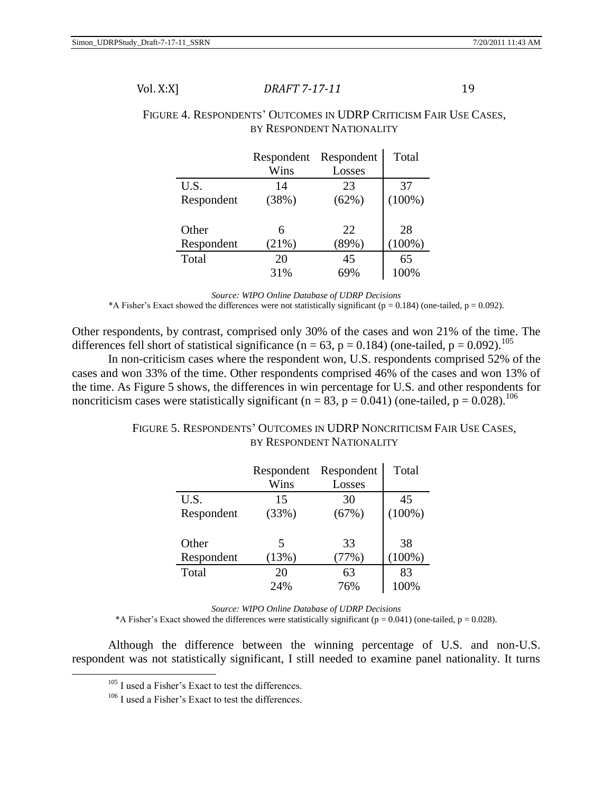## FIGURE 4. RESPONDENTS' OUTCOMES IN UDRP CRITICISM FAIR USE CASES, BY RESPONDENT NATIONALITY

|            | Respondent | Respondent | Total     |
|------------|------------|------------|-----------|
|            | Wins       | Losses     |           |
| U.S.       | 14         | 23         | 37        |
| Respondent | (38%)      | (62%)      | $(100\%)$ |
|            |            |            |           |
| Other      | 6          | 22         | 28        |
| Respondent | (21%)      | (89%)      | $(100\%)$ |
| Total      | 20         | 45         | 65        |
|            | 31%        | 69%        | 100%      |

*Source: WIPO Online Database of UDRP Decisions* \*A Fisher's Exact showed the differences were not statistically significant ( $p = 0.184$ ) (one-tailed,  $p = 0.092$ ).

Other respondents, by contrast, comprised only 30% of the cases and won 21% of the time. The differences fell short of statistical significance ( $n = 63$ ,  $p = 0.184$ ) (one-tailed,  $p = 0.092$ ).<sup>105</sup>

In non-criticism cases where the respondent won, U.S. respondents comprised 52% of the cases and won 33% of the time. Other respondents comprised 46% of the cases and won 13% of the time. As Figure 5 shows, the differences in win percentage for U.S. and other respondents for noncriticism cases were statistically significant ( $n = 83$ ,  $p = 0.041$ ) (one-tailed,  $p = 0.028$ ).<sup>106</sup>

# FIGURE 5. RESPONDENTS' OUTCOMES IN UDRP NONCRITICISM FAIR USE CASES, BY RESPONDENT NATIONALITY

|            | Respondent | Respondent | Total     |
|------------|------------|------------|-----------|
|            | Wins       | Losses     |           |
| U.S.       | 15         | 30         | 45        |
| Respondent | (33%)      | (67%)      | $(100\%)$ |
|            |            |            |           |
| Other      | 5          | 33         | 38        |
| Respondent | (13%)      | (77%)      | $(100\%)$ |
| Total      | 20         | 63         | 83        |
|            | 24%        | 76%        | 100%      |

*Source: WIPO Online Database of UDRP Decisions*

\*A Fisher's Exact showed the differences were statistically significant ( $p = 0.041$ ) (one-tailed,  $p = 0.028$ ).

Although the difference between the winning percentage of U.S. and non-U.S. respondent was not statistically significant, I still needed to examine panel nationality. It turns

 $105$  I used a Fisher's Exact to test the differences.

 $106$  I used a Fisher's Exact to test the differences.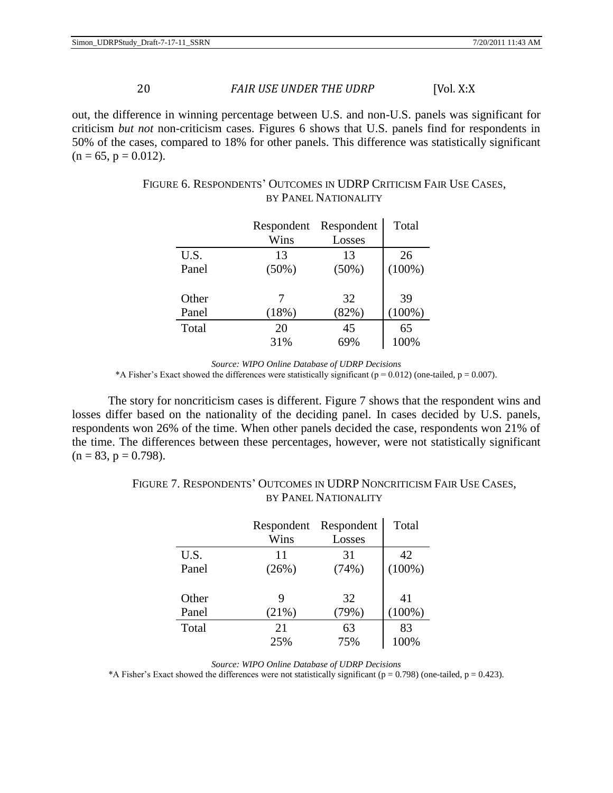out, the difference in winning percentage between U.S. and non-U.S. panels was significant for criticism *but not* non-criticism cases. Figures 6 shows that U.S. panels find for respondents in 50% of the cases, compared to 18% for other panels. This difference was statistically significant  $(n = 65, p = 0.012).$ 

|       | Respondent<br>Wins | Respondent<br>Losses | Total     |
|-------|--------------------|----------------------|-----------|
| U.S.  | 13                 | 13                   | 26        |
| Panel | $(50\%)$           | $(50\%)$             | $(100\%)$ |
|       |                    |                      |           |
| Other | 7                  | 32                   | 39        |
| Panel | (18%)              | (82%)                | $(100\%)$ |
| Total | 20                 | 45                   | 65        |
|       | 31%                | 69%                  | 100%      |

# FIGURE 6. RESPONDENTS' OUTCOMES IN UDRP CRITICISM FAIR USE CASES, BY PANEL NATIONALITY

*Source: WIPO Online Database of UDRP Decisions*

\*A Fisher's Exact showed the differences were statistically significant ( $p = 0.012$ ) (one-tailed,  $p = 0.007$ ).

The story for noncriticism cases is different. Figure 7 shows that the respondent wins and losses differ based on the nationality of the deciding panel. In cases decided by U.S. panels, respondents won 26% of the time. When other panels decided the case, respondents won 21% of the time. The differences between these percentages, however, were not statistically significant  $(n = 83, p = 0.798)$ .

|       | Respondent | Respondent | Total     |
|-------|------------|------------|-----------|
|       | Wins       | Losses     |           |
| U.S.  | 11         | 31         | 42        |
| Panel | (26%)      | (74%)      | $(100\%)$ |
|       |            |            |           |
| Other | 9          | 32         | 41        |
| Panel | (21%)      | (79%)      | $(100\%)$ |
| Total | 21         | 63         | 83        |
|       | 25%        | 75%        | 100%      |

# FIGURE 7. RESPONDENTS' OUTCOMES IN UDRP NONCRITICISM FAIR USE CASES, BY PANEL NATIONALITY

*Source: WIPO Online Database of UDRP Decisions*

\*A Fisher's Exact showed the differences were not statistically significant ( $p = 0.798$ ) (one-tailed,  $p = 0.423$ ).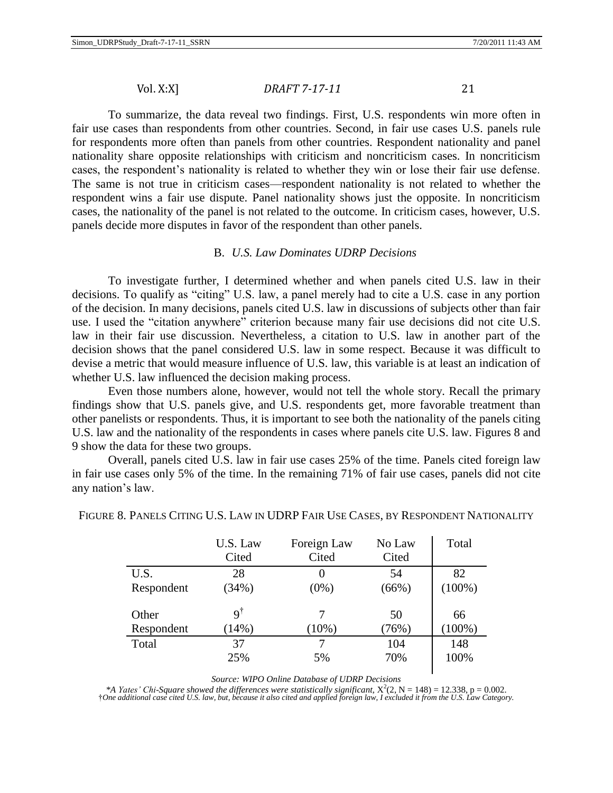To summarize, the data reveal two findings. First, U.S. respondents win more often in fair use cases than respondents from other countries. Second, in fair use cases U.S. panels rule for respondents more often than panels from other countries. Respondent nationality and panel nationality share opposite relationships with criticism and noncriticism cases. In noncriticism cases, the respondent's nationality is related to whether they win or lose their fair use defense. The same is not true in criticism cases—respondent nationality is not related to whether the respondent wins a fair use dispute. Panel nationality shows just the opposite. In noncriticism cases, the nationality of the panel is not related to the outcome. In criticism cases, however, U.S. panels decide more disputes in favor of the respondent than other panels.

### B. *U.S. Law Dominates UDRP Decisions*

<span id="page-22-0"></span>To investigate further, I determined whether and when panels cited U.S. law in their decisions. To qualify as "citing" U.S. law, a panel merely had to cite a U.S. case in any portion of the decision. In many decisions, panels cited U.S. law in discussions of subjects other than fair use. I used the "citation anywhere" criterion because many fair use decisions did not cite U.S. law in their fair use discussion. Nevertheless, a citation to U.S. law in another part of the decision shows that the panel considered U.S. law in some respect. Because it was difficult to devise a metric that would measure influence of U.S. law, this variable is at least an indication of whether U.S. law influenced the decision making process.

Even those numbers alone, however, would not tell the whole story. Recall the primary findings show that U.S. panels give, and U.S. respondents get, more favorable treatment than other panelists or respondents. Thus, it is important to see both the nationality of the panels citing U.S. law and the nationality of the respondents in cases where panels cite U.S. law. Figures 8 and 9 show the data for these two groups.

Overall, panels cited U.S. law in fair use cases 25% of the time. Panels cited foreign law in fair use cases only 5% of the time. In the remaining 71% of fair use cases, panels did not cite any nation's law.

|            | U.S. Law      | Foreign Law | No Law | Total     |
|------------|---------------|-------------|--------|-----------|
|            | Cited         | Cited       | Cited  |           |
| U.S.       | 28            | 0           | 54     | 82        |
| Respondent | (34%)         | $(0\%)$     | (66%)  | $(100\%)$ |
| Other      | $9^{\dagger}$ | 7           | 50     | 66        |
| Respondent | (14%)         | $(10\%)$    | (76%)  | $(100\%)$ |
| Total      | 37            | 7           | 104    | 148       |
|            | 25%           | 5%          | 70%    | 100%      |
|            |               |             |        |           |

FIGURE 8. PANELS CITING U.S. LAW IN UDRP FAIR USE CASES, BY RESPONDENT NATIONALITY

*Source: WIPO Online Database of UDRP Decisions*

\*A *Yates'* Chi-Square showed the differences were statistically significant,  $X^2(2, N = 148) = 12.338$ ,  $p = 0.002$ .

†*One additional case cited U.S. law, but, because it also cited and applied foreign law, I excluded it from the U.S. Law Category.*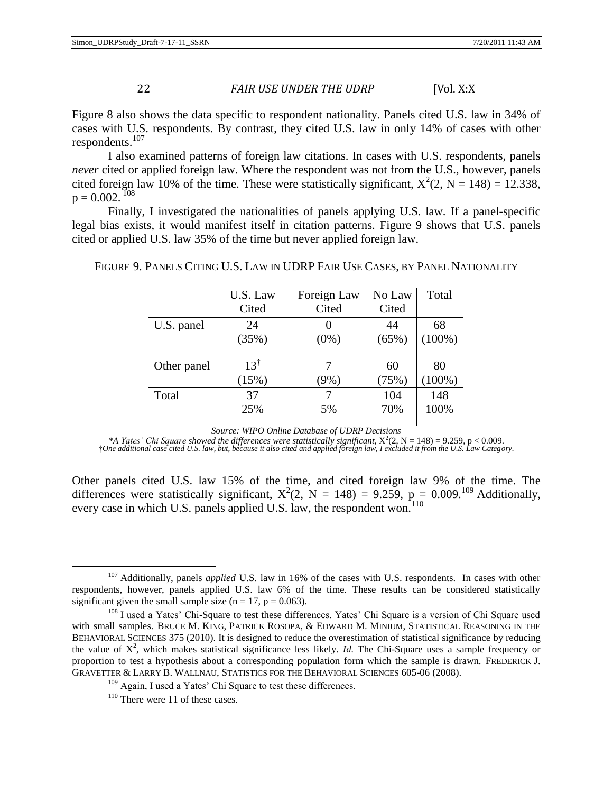Figure 8 also shows the data specific to respondent nationality. Panels cited U.S. law in 34% of cases with U.S. respondents. By contrast, they cited U.S. law in only 14% of cases with other respondents.<sup>107</sup>

I also examined patterns of foreign law citations. In cases with U.S. respondents, panels *never* cited or applied foreign law. Where the respondent was not from the U.S., however, panels cited foreign law 10% of the time. These were statistically significant,  $X^2(2, N = 148) = 12.338$ ,  $p = 0.002$ .<sup>108</sup>

Finally, I investigated the nationalities of panels applying U.S. law. If a panel-specific legal bias exists, it would manifest itself in citation patterns. Figure 9 shows that U.S. panels cited or applied U.S. law 35% of the time but never applied foreign law.

FIGURE 9. PANELS CITING U.S. LAW IN UDRP FAIR USE CASES, BY PANEL NATIONALITY

|             | U.S. Law       | Foreign Law       | No Law | Total |
|-------------|----------------|-------------------|--------|-------|
|             | Cited          | Cited             | Cited  |       |
| U.S. panel  | 24             | $\mathbf{\Omega}$ | 44     | 68    |
|             | (35%)          | $(0\%)$           | (65%)  | 100%) |
|             |                |                   |        |       |
| Other panel | $13^{\dagger}$ |                   | 60     | 80    |
|             | (15%)          | (9%)              | (75%)  | 100%) |
| Total       | 37             |                   | 104    | 148   |
|             | 25%            | 5%                | 70%    | 100%  |

*Source: WIPO Online Database of UDRP Decisions*

\*A Yates' Chi Square showed the differences were statistically significant,  $X^2(2, N = 148) = 9.259$ ,  $p < 0.009$ .<br>†One additional case cited U.S. law, but, because it also cited and applied foreign law, I excluded it from t

Other panels cited U.S. law 15% of the time, and cited foreign law 9% of the time. The differences were statistically significant,  $X^2(2, N = 148) = 9.259$ ,  $p = 0.009$ .<sup>109</sup> Additionally, every case in which U.S. panels applied U.S. law, the respondent won.<sup>110</sup>

<sup>&</sup>lt;sup>107</sup> Additionally, panels *applied* U.S. law in 16% of the cases with U.S. respondents. In cases with other respondents, however, panels applied U.S. law 6% of the time. These results can be considered statistically significant given the small sample size ( $n = 17$ ,  $p = 0.063$ ).

<sup>&</sup>lt;sup>108</sup> I used a Yates' Chi-Square to test these differences. Yates' Chi Square is a version of Chi Square used with small samples. BRUCE M. KING, PATRICK ROSOPA, & EDWARD M. MINIUM, STATISTICAL REASONING IN THE BEHAVIORAL SCIENCES 375 (2010). It is designed to reduce the overestimation of statistical significance by reducing the value of  $X^2$ , which makes statistical significance less likely. *Id*. The Chi-Square uses a sample frequency or proportion to test a hypothesis about a corresponding population form which the sample is drawn. FREDERICK J. GRAVETTER & LARRY B. WALLNAU, STATISTICS FOR THE BEHAVIORAL SCIENCES 605-06 (2008).

<sup>&</sup>lt;sup>109</sup> Again, I used a Yates' Chi Square to test these differences.

 $110$  There were 11 of these cases.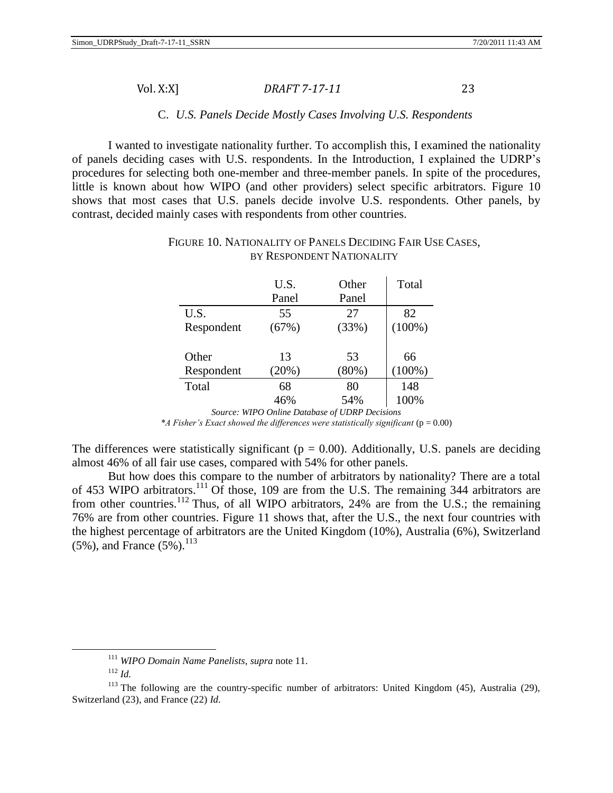## C. *U.S. Panels Decide Mostly Cases Involving U.S. Respondents*

<span id="page-24-0"></span>I wanted to investigate nationality further. To accomplish this, I examined the nationality of panels deciding cases with U.S. respondents. In the Introduction, I explained the UDRP's procedures for selecting both one-member and three-member panels. In spite of the procedures, little is known about how WIPO (and other providers) select specific arbitrators. Figure 10 shows that most cases that U.S. panels decide involve U.S. respondents. Other panels, by contrast, decided mainly cases with respondents from other countries.

|            | U.S.<br>Panel | Other<br>Panel | Total     |
|------------|---------------|----------------|-----------|
| U.S.       | 55            | 27             | 82        |
| Respondent | (67%)         | (33%)          | $(100\%)$ |
|            |               |                |           |
| Other      | 13            | 53             | 66        |
| Respondent | (20%)         | (80%)          | $(100\%)$ |
| Total      | 68            | 80             | 148       |
|            | 46%           | 54%            | 100%      |

# FIGURE 10. NATIONALITY OF PANELS DECIDING FAIR USE CASES, BY RESPONDENT NATIONALITY

*Source: WIPO Online Database of UDRP Decisions \*A Fisher's Exact showed the differences were statistically significant* (p = 0.00)

The differences were statistically significant ( $p = 0.00$ ). Additionally, U.S. panels are deciding almost 46% of all fair use cases, compared with 54% for other panels.

But how does this compare to the number of arbitrators by nationality? There are a total of 453 WIPO arbitrators.<sup>111</sup> Of those, 109 are from the U.S. The remaining 344 arbitrators are from other countries.<sup>112</sup> Thus, of all WIPO arbitrators, 24% are from the U.S.; the remaining 76% are from other countries. Figure 11 shows that, after the U.S., the next four countries with the highest percentage of arbitrators are the United Kingdom (10%), Australia (6%), Switzerland  $(5\%)$ , and France  $(5\%)$ .<sup>113</sup>

<sup>111</sup> *WIPO Domain Name Panelists*, *supra* note [11.](#page-3-2)

<sup>112</sup> *Id.*

<sup>&</sup>lt;sup>113</sup> The following are the country-specific number of arbitrators: United Kingdom (45), Australia (29), Switzerland (23), and France (22) *Id.*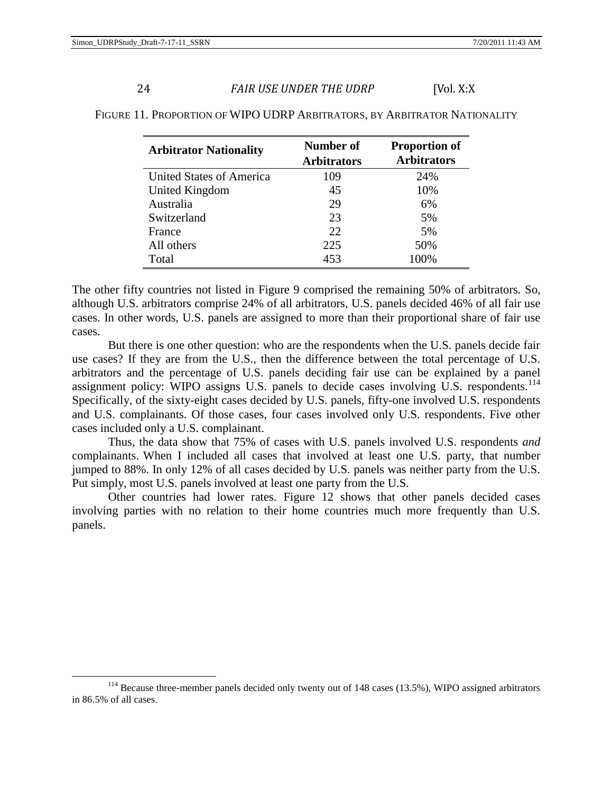| <b>Arbitrator Nationality</b> | Number of<br><b>Arbitrators</b> | <b>Proportion of</b><br><b>Arbitrators</b> |
|-------------------------------|---------------------------------|--------------------------------------------|
| United States of America      | 109                             | 24%                                        |
| United Kingdom                | 45                              | 10%                                        |
| Australia                     | 29                              | 6%                                         |
| Switzerland                   | 23                              | 5%                                         |
| France                        | 22                              | 5%                                         |
| All others                    | 225                             | 50%                                        |
| Total                         | 453                             | 100%                                       |

FIGURE 11. PROPORTION OF WIPO UDRP ARBITRATORS, BY ARBITRATOR NATIONALITY

The other fifty countries not listed in Figure 9 comprised the remaining 50% of arbitrators. So, although U.S. arbitrators comprise 24% of all arbitrators, U.S. panels decided 46% of all fair use cases. In other words, U.S. panels are assigned to more than their proportional share of fair use cases.

But there is one other question: who are the respondents when the U.S. panels decide fair use cases? If they are from the U.S., then the difference between the total percentage of U.S. arbitrators and the percentage of U.S. panels deciding fair use can be explained by a panel assignment policy: WIPO assigns U.S. panels to decide cases involving U.S. respondents.<sup>114</sup> Specifically, of the sixty-eight cases decided by U.S. panels, fifty-one involved U.S. respondents and U.S. complainants. Of those cases, four cases involved only U.S. respondents. Five other cases included only a U.S. complainant.

Thus, the data show that 75% of cases with U.S. panels involved U.S. respondents *and* complainants. When I included all cases that involved at least one U.S. party, that number jumped to 88%. In only 12% of all cases decided by U.S. panels was neither party from the U.S. Put simply, most U.S. panels involved at least one party from the U.S.

Other countries had lower rates. Figure 12 shows that other panels decided cases involving parties with no relation to their home countries much more frequently than U.S. panels.

<sup>&</sup>lt;sup>114</sup> Because three-member panels decided only twenty out of 148 cases (13.5%), WIPO assigned arbitrators in 86.5% of all cases.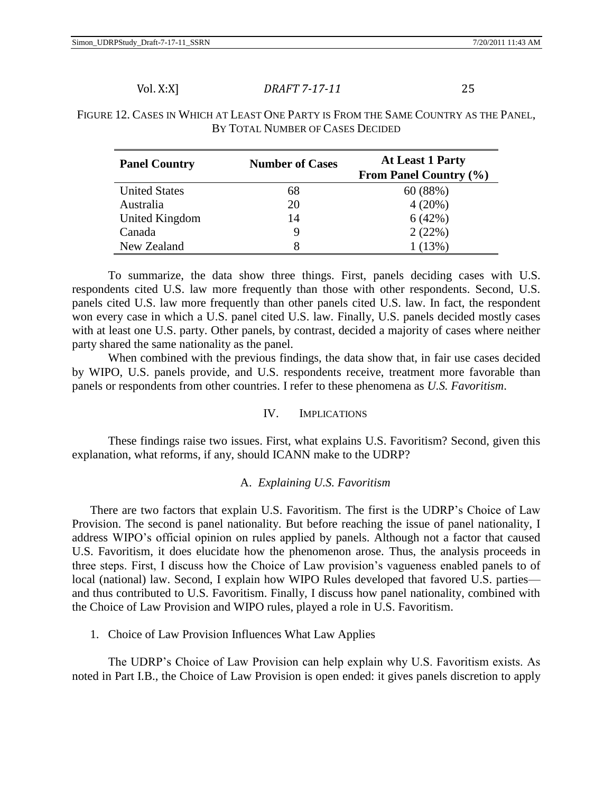FIGURE 12. CASES IN WHICH AT LEAST ONE PARTY IS FROM THE SAME COUNTRY AS THE PANEL, BY TOTAL NUMBER OF CASES DECIDED

| <b>Panel Country</b> | <b>Number of Cases</b> | <b>At Least 1 Party</b><br><b>From Panel Country (%)</b> |
|----------------------|------------------------|----------------------------------------------------------|
| <b>United States</b> | 68                     | 60(88%)                                                  |
| Australia            | 20                     | $4(20\%)$                                                |
| United Kingdom       | 14                     | 6(42%)                                                   |
| Canada               | 9                      | 2(22%)                                                   |
| New Zealand          |                        | (13%)                                                    |

To summarize, the data show three things. First, panels deciding cases with U.S. respondents cited U.S. law more frequently than those with other respondents. Second, U.S. panels cited U.S. law more frequently than other panels cited U.S. law. In fact, the respondent won every case in which a U.S. panel cited U.S. law. Finally, U.S. panels decided mostly cases with at least one U.S. party. Other panels, by contrast, decided a majority of cases where neither party shared the same nationality as the panel.

When combined with the previous findings, the data show that, in fair use cases decided by WIPO, U.S. panels provide, and U.S. respondents receive, treatment more favorable than panels or respondents from other countries. I refer to these phenomena as *U.S. Favoritism*.

# IV. IMPLICATIONS

<span id="page-26-0"></span>These findings raise two issues. First, what explains U.S. Favoritism? Second, given this explanation, what reforms, if any, should ICANN make to the UDRP?

### A. *Explaining U.S. Favoritism*

<span id="page-26-1"></span>There are two factors that explain U.S. Favoritism. The first is the UDRP's Choice of Law Provision. The second is panel nationality. But before reaching the issue of panel nationality, I address WIPO's official opinion on rules applied by panels. Although not a factor that caused U.S. Favoritism, it does elucidate how the phenomenon arose. Thus, the analysis proceeds in three steps. First, I discuss how the Choice of Law provision's vagueness enabled panels to of local (national) law. Second, I explain how WIPO Rules developed that favored U.S. parties and thus contributed to U.S. Favoritism. Finally, I discuss how panel nationality, combined with the Choice of Law Provision and WIPO rules, played a role in U.S. Favoritism.

<span id="page-26-2"></span>1. Choice of Law Provision Influences What Law Applies

The UDRP's Choice of Law Provision can help explain why U.S. Favoritism exists. As noted in Part I.B., the Choice of Law Provision is open ended: it gives panels discretion to apply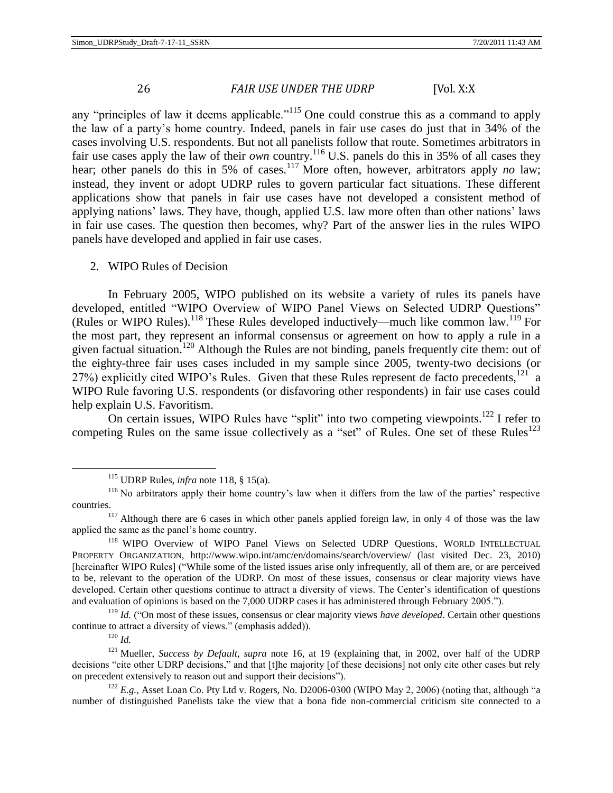any "principles of law it deems applicable."<sup>115</sup> One could construe this as a command to apply the law of a party's home country. Indeed, panels in fair use cases do just that in 34% of the cases involving U.S. respondents. But not all panelists follow that route. Sometimes arbitrators in fair use cases apply the law of their *own* country.<sup>116</sup> U.S. panels do this in 35% of all cases they hear; other panels do this in 5% of cases.<sup>117</sup> More often, however, arbitrators apply *no* law; instead, they invent or adopt UDRP rules to govern particular fact situations. These different applications show that panels in fair use cases have not developed a consistent method of applying nations' laws. They have, though, applied U.S. law more often than other nations' laws in fair use cases. The question then becomes, why? Part of the answer lies in the rules WIPO panels have developed and applied in fair use cases.

### <span id="page-27-1"></span><span id="page-27-0"></span>2. WIPO Rules of Decision

In February 2005, WIPO published on its website a variety of rules its panels have developed, entitled "WIPO Overview of WIPO Panel Views on Selected UDRP Questions" (Rules or WIPO Rules).<sup>118</sup> These Rules developed inductively—much like common law.<sup>119</sup> For the most part, they represent an informal consensus or agreement on how to apply a rule in a given factual situation.<sup>120</sup> Although the Rules are not binding, panels frequently cite them: out of the eighty-three fair uses cases included in my sample since 2005, twenty-two decisions (or  $27\%$ ) explicitly cited WIPO's Rules. Given that these Rules represent de facto precedents,  $^{121}$  a WIPO Rule favoring U.S. respondents (or disfavoring other respondents) in fair use cases could help explain U.S. Favoritism.

On certain issues, WIPO Rules have "split" into two competing viewpoints.<sup>122</sup> I refer to competing Rules on the same issue collectively as a "set" of Rules. One set of these Rules<sup>123</sup>

<sup>120</sup> *Id.*

<sup>115</sup> UDRP Rules, *infra* note [118,](#page-27-1) § 15(a).

<sup>&</sup>lt;sup>116</sup> No arbitrators apply their home country's law when it differs from the law of the parties' respective countries.

<sup>&</sup>lt;sup>117</sup> Although there are 6 cases in which other panels applied foreign law, in only 4 of those was the law applied the same as the panel's home country.

<sup>118</sup> WIPO Overview of WIPO Panel Views on Selected UDRP Questions, WORLD INTELLECTUAL PROPERTY ORGANIZATION, http://www.wipo.int/amc/en/domains/search/overview/ (last visited Dec. 23, 2010) [hereinafter WIPO Rules] ("While some of the listed issues arise only infrequently, all of them are, or are perceived to be, relevant to the operation of the UDRP. On most of these issues, consensus or clear majority views have developed. Certain other questions continue to attract a diversity of views. The Center's identification of questions and evaluation of opinions is based on the 7,000 UDRP cases it has administered through February 2005.").

 $119$  *Id.* ("On most of these issues, consensus or clear majority views *have developed*. Certain other questions continue to attract a diversity of views." (emphasis added)).

<sup>&</sup>lt;sup>121</sup> Mueller, *Success by Default*, *supra* note [16,](#page-5-0) at 19 (explaining that, in 2002, over half of the UDRP decisions "cite other UDRP decisions," and that [t]he majority [of these decisions] not only cite other cases but rely on precedent extensively to reason out and support their decisions").

 $122$  *E.g.*, Asset Loan Co. Pty Ltd v. Rogers, No. D2006-0300 (WIPO May 2, 2006) (noting that, although "a number of distinguished Panelists take the view that a bona fide non-commercial criticism site connected to a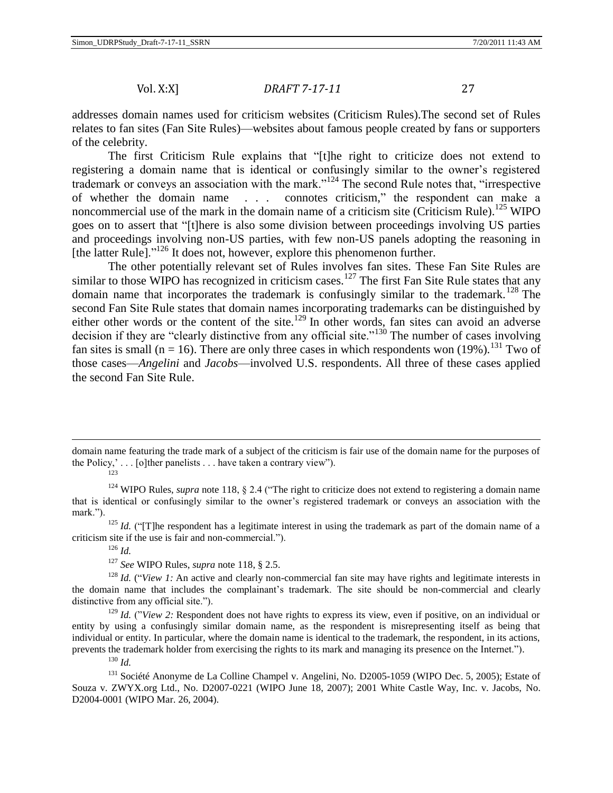addresses domain names used for criticism websites (Criticism Rules).The second set of Rules relates to fan sites (Fan Site Rules)—websites about famous people created by fans or supporters of the celebrity.

The first Criticism Rule explains that "[t]he right to criticize does not extend to registering a domain name that is identical or confusingly similar to the owner's registered trademark or conveys an association with the mark." $124$  The second Rule notes that, "irrespective of whether the domain name . . . connotes criticism," the respondent can make a noncommercial use of the mark in the domain name of a criticism site (Criticism Rule).<sup>125</sup> WIPO goes on to assert that "[t]here is also some division between proceedings involving US parties and proceedings involving non-US parties, with few non-US panels adopting the reasoning in [the latter Rule]. $126$  It does not, however, explore this phenomenon further.

The other potentially relevant set of Rules involves fan sites. These Fan Site Rules are similar to those WIPO has recognized in criticism cases.<sup>127</sup> The first Fan Site Rule states that any domain name that incorporates the trademark is confusingly similar to the trademark.<sup>128</sup> The second Fan Site Rule states that domain names incorporating trademarks can be distinguished by either other words or the content of the site.<sup>129</sup> In other words, fan sites can avoid an adverse decision if they are "clearly distinctive from any official site."<sup>130</sup> The number of cases involving fan sites is small (n = 16). There are only three cases in which respondents won (19%).<sup>131</sup> Two of those cases—*Angelini* and *Jacobs*—involved U.S. respondents. All three of these cases applied the second Fan Site Rule.

 $123$ 

 $\overline{a}$ 

<sup>124</sup> WIPO Rules, *supra* note [118,](#page-27-1) § 2.4 ("The right to criticize does not extend to registering a domain name that is identical or confusingly similar to the owner's registered trademark or conveys an association with the mark.").

 $125$  *Id.* ("IT] he respondent has a legitimate interest in using the trademark as part of the domain name of a criticism site if the use is fair and non-commercial.").

<sup>126</sup> *Id.*

<sup>127</sup> *See* WIPO Rules, *supra* note [118,](#page-27-1) § 2.5.

 $128$  *Id.* ("View 1: An active and clearly non-commercial fan site may have rights and legitimate interests in the domain name that includes the complainant's trademark. The site should be non-commercial and clearly distinctive from any official site.").

<sup>129</sup> *Id.* ("View 2: Respondent does not have rights to express its view, even if positive, on an individual or entity by using a confusingly similar domain name, as the respondent is misrepresenting itself as being that individual or entity. In particular, where the domain name is identical to the trademark, the respondent, in its actions, prevents the trademark holder from exercising the rights to its mark and managing its presence on the Internet.‖).

<sup>130</sup> *Id.*

<sup>131</sup> Société Anonyme de La Colline Champel v. Angelini, No. D2005-1059 (WIPO Dec. 5, 2005); Estate of Souza v. ZWYX.org Ltd., No. D2007-0221 (WIPO June 18, 2007); 2001 White Castle Way, Inc. v. Jacobs, No. D2004-0001 (WIPO Mar. 26, 2004).

domain name featuring the trade mark of a subject of the criticism is fair use of the domain name for the purposes of the Policy,'  $\ldots$  [o]ther panelists  $\ldots$  have taken a contrary view").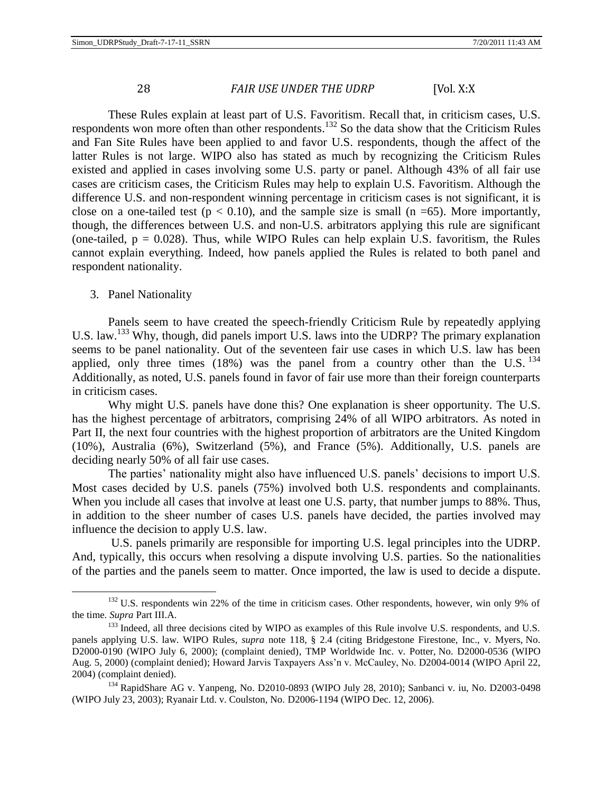These Rules explain at least part of U.S. Favoritism. Recall that, in criticism cases, U.S. respondents won more often than other respondents.<sup>132</sup> So the data show that the Criticism Rules and Fan Site Rules have been applied to and favor U.S. respondents, though the affect of the latter Rules is not large. WIPO also has stated as much by recognizing the Criticism Rules existed and applied in cases involving some U.S. party or panel. Although 43% of all fair use cases are criticism cases, the Criticism Rules may help to explain U.S. Favoritism. Although the difference U.S. and non-respondent winning percentage in criticism cases is not significant, it is close on a one-tailed test ( $p < 0.10$ ), and the sample size is small ( $n = 65$ ). More importantly, though, the differences between U.S. and non-U.S. arbitrators applying this rule are significant (one-tailed,  $p = 0.028$ ). Thus, while WIPO Rules can help explain U.S. favoritism, the Rules cannot explain everything. Indeed, how panels applied the Rules is related to both panel and respondent nationality.

## <span id="page-29-0"></span>3. Panel Nationality

 $\overline{a}$ 

Panels seem to have created the speech-friendly Criticism Rule by repeatedly applying U.S. law.<sup>133</sup> Why, though, did panels import U.S. laws into the UDRP? The primary explanation seems to be panel nationality. Out of the seventeen fair use cases in which U.S. law has been applied, only three times  $(18%)$  was the panel from a country other than the U.S.  $^{134}$ Additionally, as noted, U.S. panels found in favor of fair use more than their foreign counterparts in criticism cases.

Why might U.S. panels have done this? One explanation is sheer opportunity. The U.S. has the highest percentage of arbitrators, comprising 24% of all WIPO arbitrators. As noted in Part II, the next four countries with the highest proportion of arbitrators are the United Kingdom (10%), Australia (6%), Switzerland (5%), and France (5%). Additionally, U.S. panels are deciding nearly 50% of all fair use cases.

The parties' nationality might also have influenced U.S. panels' decisions to import U.S. Most cases decided by U.S. panels (75%) involved both U.S. respondents and complainants. When you include all cases that involve at least one U.S. party, that number jumps to 88%. Thus, in addition to the sheer number of cases U.S. panels have decided, the parties involved may influence the decision to apply U.S. law.

U.S. panels primarily are responsible for importing U.S. legal principles into the UDRP. And, typically, this occurs when resolving a dispute involving U.S. parties. So the nationalities of the parties and the panels seem to matter. Once imported, the law is used to decide a dispute.

<sup>&</sup>lt;sup>132</sup> U.S. respondents win 22% of the time in criticism cases. Other respondents, however, win only 9% of the time. *Supra* Part III.A.

<sup>&</sup>lt;sup>133</sup> Indeed, all three decisions cited by WIPO as examples of this Rule involve U.S. respondents, and U.S. panels applying U.S. law. WIPO Rules, *supra* note [118,](#page-27-1) § 2.4 (citing Bridgestone Firestone, Inc., v. Myers, No. [D2000-0190](http://www.wipo.int/amc/en/domains/decisions/html/2000/d2000-0190.html) (WIPO July 6, 2000); (complaint denied), TMP Worldwide Inc. v. Potter, No. [D2000-0536](http://www.wipo.int/amc/en/domains/decisions/html/2000/d2000-0536.html) (WIPO Aug. 5, 2000) (complaint denied); Howard Jarvis Taxpayers Ass'n v. McCauley, No. [D2004-0014](http://www.wipo.int/amc/en/domains/decisions/html/2004/d2004-0014.html) (WIPO April 22, 2004) (complaint denied).

<sup>134</sup> RapidShare AG v. Yanpeng, No. D2010-0893 (WIPO July 28, 2010); Sanbanci v. iu, No. D2003-0498 (WIPO July 23, 2003); Ryanair Ltd. v. Coulston, No. D2006-1194 (WIPO Dec. 12, 2006).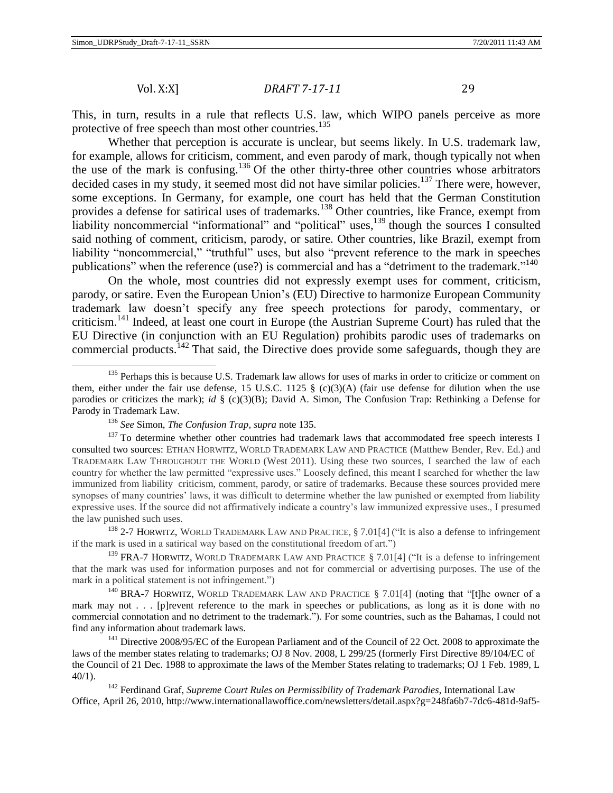Vol. X:X] *DRAFT 7-17-11* 29

<span id="page-30-0"></span>

This, in turn, results in a rule that reflects U.S. law, which WIPO panels perceive as more protective of free speech than most other countries.<sup>135</sup>

Whether that perception is accurate is unclear, but seems likely. In U.S. trademark law, for example, allows for criticism, comment, and even parody of mark, though typically not when the use of the mark is confusing. <sup>136</sup> Of the other thirty-three other countries whose arbitrators decided cases in my study, it seemed most did not have similar policies.<sup>137</sup> There were, however, some exceptions. In Germany, for example, one court has held that the German Constitution provides a defense for satirical uses of trademarks.<sup>138</sup> Other countries, like France, exempt from liability noncommercial "informational" and "political" uses, $^{139}$  though the sources I consulted said nothing of comment, criticism, parody, or satire. Other countries, like Brazil, exempt from liability "noncommercial," "truthful" uses, but also "prevent reference to the mark in speeches publications" when the reference (use?) is commercial and has a "detriment to the trademark."<sup>140</sup>

On the whole, most countries did not expressly exempt uses for comment, criticism, parody, or satire. Even the European Union's (EU) Directive to harmonize European Community trademark law doesn't specify any free speech protections for parody, commentary, or criticism.<sup>141</sup> Indeed, at least one court in Europe (the Austrian Supreme Court) has ruled that the EU Directive (in conjunction with an EU Regulation) prohibits parodic uses of trademarks on commercial products.<sup>142</sup> That said, the Directive does provide some safeguards, though they are

138 2-7 HORWITZ, WORLD TRADEMARK LAW AND PRACTICE, § 7.01[4] ("It is also a defense to infringement if the mark is used in a satirical way based on the constitutional freedom of art.")

<sup>139</sup> FRA-7 HORWITZ, WORLD TRADEMARK LAW AND PRACTICE § 7.01[4] ("It is a defense to infringement that the mark was used for information purposes and not for commercial or advertising purposes. The use of the mark in a political statement is not infringement."

<sup>140</sup> BRA-7 HORWITZ, WORLD TRADEMARK LAW AND PRACTICE § 7.01<sup>[4]</sup> (noting that "[t]he owner of a mark may not . . . [p]revent reference to the mark in speeches or publications, as long as it is done with no commercial connotation and no detriment to the trademark."). For some countries, such as the Bahamas, I could not find any information about trademark laws.

<sup>141</sup> Directive 2008/95/EC of the European Parliament and of the Council of 22 Oct. 2008 to approximate the laws of the member states relating to trademarks; OJ 8 Nov. 2008, L 299/25 (formerly First Directive 89/104/EC of the Council of 21 Dec. 1988 to approximate the laws of the Member States relating to trademarks; OJ 1 Feb. 1989, L 40/1).

<sup>142</sup> Ferdinand Graf, *Supreme Court Rules on Permissibility of Trademark Parodies*, International Law Office, April 26, 2010, http://www.internationallawoffice.com/newsletters/detail.aspx?g=248fa6b7-7dc6-481d-9af5-

<sup>&</sup>lt;sup>135</sup> Perhaps this is because U.S. Trademark law allows for uses of marks in order to criticize or comment on them, either under the fair use defense, 15 U.S.C. 1125  $\S$  (c)(3)(A) (fair use defense for dilution when the use parodies or criticizes the mark); *id* § (c)(3)(B); David A. Simon, The Confusion Trap: Rethinking a Defense for Parody in Trademark Law.

<sup>136</sup> *See* Simon, *The Confusion Trap*, *supra* note [135.](#page-30-0)

 $137$  To determine whether other countries had trademark laws that accommodated free speech interests I consulted two sources: ETHAN HORWITZ, WORLD TRADEMARK LAW AND PRACTICE (Matthew Bender, Rev. Ed.) and TRADEMARK LAW THROUGHOUT THE WORLD (West 2011). Using these two sources, I searched the law of each country for whether the law permitted "expressive uses." Loosely defined, this meant I searched for whether the law immunized from liability criticism, comment, parody, or satire of trademarks. Because these sources provided mere synopses of many countries' laws, it was difficult to determine whether the law punished or exempted from liability expressive uses. If the source did not affirmatively indicate a country's law immunized expressive uses., I presumed the law punished such uses.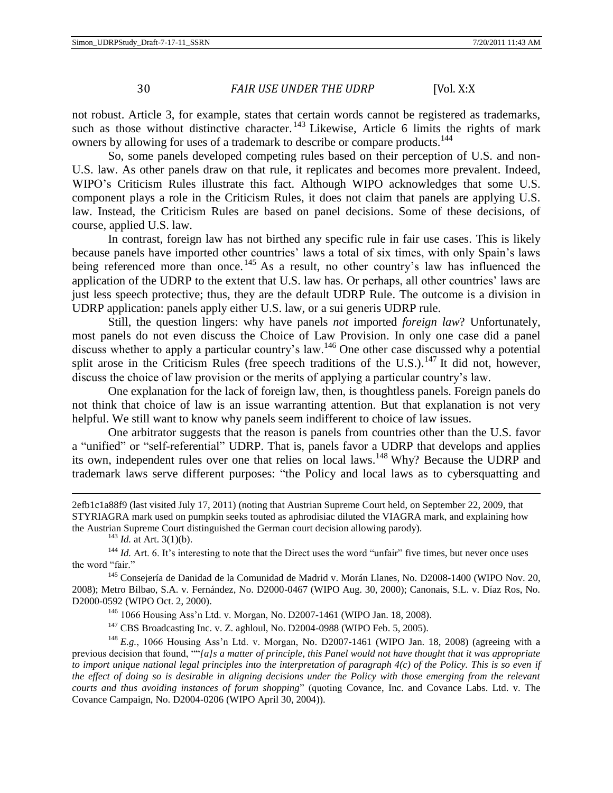not robust. Article 3, for example, states that certain words cannot be registered as trademarks, such as those without distinctive character.<sup>143</sup> Likewise, Article 6 limits the rights of mark owners by allowing for uses of a trademark to describe or compare products.<sup>144</sup>

So, some panels developed competing rules based on their perception of U.S. and non-U.S. law. As other panels draw on that rule, it replicates and becomes more prevalent. Indeed, WIPO's Criticism Rules illustrate this fact. Although WIPO acknowledges that some U.S. component plays a role in the Criticism Rules, it does not claim that panels are applying U.S. law. Instead, the Criticism Rules are based on panel decisions. Some of these decisions, of course, applied U.S. law.

In contrast, foreign law has not birthed any specific rule in fair use cases. This is likely because panels have imported other countries' laws a total of six times, with only Spain's laws being referenced more than once.<sup>145</sup> As a result, no other country's law has influenced the application of the UDRP to the extent that U.S. law has. Or perhaps, all other countries' laws are just less speech protective; thus, they are the default UDRP Rule. The outcome is a division in UDRP application: panels apply either U.S. law, or a sui generis UDRP rule.

Still, the question lingers: why have panels *not* imported *foreign law*? Unfortunately, most panels do not even discuss the Choice of Law Provision. In only one case did a panel discuss whether to apply a particular country's law.<sup>146</sup> One other case discussed why a potential split arose in the Criticism Rules (free speech traditions of the U.S.).<sup>147</sup> It did not, however, discuss the choice of law provision or the merits of applying a particular country's law.

One explanation for the lack of foreign law, then, is thoughtless panels. Foreign panels do not think that choice of law is an issue warranting attention. But that explanation is not very helpful. We still want to know why panels seem indifferent to choice of law issues.

One arbitrator suggests that the reason is panels from countries other than the U.S. favor a "unified" or "self-referential" UDRP. That is, panels favor a UDRP that develops and applies its own, independent rules over one that relies on local laws.<sup>148</sup> Why? Because the UDRP and trademark laws serve different purposes: "the Policy and local laws as to cybersquatting and

<sup>143</sup> *Id.* at Art. 3(1)(b).

 $\overline{a}$ 

 $144$  *Id.* Art. 6. It's interesting to note that the Direct uses the word "unfair" five times, but never once uses the word "fair."

<sup>145</sup> Consejería de Danidad de la Comunidad de Madrid v. Morán Llanes, No. D2008-1400 (WIPO Nov. 20, 2008); Metro Bilbao, S.A. v. Fernández, No. D2000-0467 (WIPO Aug. 30, 2000); Canonais, S.L. v. Díaz Ros, No. D2000-0592 (WIPO Oct. 2, 2000).

<sup>146</sup> 1066 Housing Ass'n Ltd. v. Morgan, No. D2007-1461 (WIPO Jan. 18, 2008).

<sup>147</sup> CBS Broadcasting Inc. v. Z. aghloul, No. D2004-0988 (WIPO Feb. 5, 2005).

<sup>148</sup> *E.g.*, 1066 Housing Ass'n Ltd. v. Morgan, No. D2007-1461 (WIPO Jan. 18, 2008) (agreeing with a previous decision that found, "*[a]s a matter of principle, this Panel would not have thought that it was appropriate to import unique national legal principles into the interpretation of paragraph 4(c) of the Policy. This is so even if the effect of doing so is desirable in aligning decisions under the Policy with those emerging from the relevant courts and thus avoiding instances of forum shopping*‖ (quoting Covance, Inc. and Covance Labs. Ltd. v. The Covance Campaign, No. D2004-0206 (WIPO April 30, 2004)).

<sup>2</sup>efb1c1a88f9 (last visited July 17, 2011) (noting that Austrian Supreme Court held, on September 22, 2009, that STYRIAGRA mark used on pumpkin seeks touted as aphrodisiac diluted the VIAGRA mark, and explaining how the Austrian Supreme Court distinguished the German court decision allowing parody).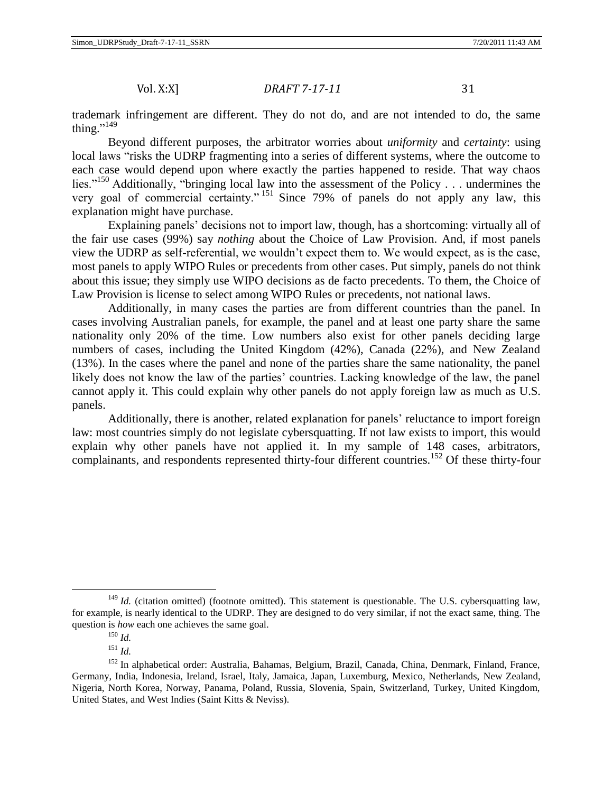trademark infringement are different. They do not do, and are not intended to do, the same thing."<sup>149</sup>

Beyond different purposes, the arbitrator worries about *uniformity* and *certainty*: using local laws "risks the UDRP fragmenting into a series of different systems, where the outcome to each case would depend upon where exactly the parties happened to reside. That way chaos lies."<sup>150</sup> Additionally, "bringing local law into the assessment of the Policy . . . undermines the very goal of commercial certainty."<sup>151</sup> Since 79% of panels do not apply any law, this explanation might have purchase.

Explaining panels' decisions not to import law, though, has a shortcoming: virtually all of the fair use cases (99%) say *nothing* about the Choice of Law Provision. And, if most panels view the UDRP as self-referential, we wouldn't expect them to. We would expect, as is the case, most panels to apply WIPO Rules or precedents from other cases. Put simply, panels do not think about this issue; they simply use WIPO decisions as de facto precedents. To them, the Choice of Law Provision is license to select among WIPO Rules or precedents, not national laws.

Additionally, in many cases the parties are from different countries than the panel. In cases involving Australian panels, for example, the panel and at least one party share the same nationality only 20% of the time. Low numbers also exist for other panels deciding large numbers of cases, including the United Kingdom (42%), Canada (22%), and New Zealand (13%). In the cases where the panel and none of the parties share the same nationality, the panel likely does not know the law of the parties' countries. Lacking knowledge of the law, the panel cannot apply it. This could explain why other panels do not apply foreign law as much as U.S. panels.

Additionally, there is another, related explanation for panels' reluctance to import foreign law: most countries simply do not legislate cybersquatting. If not law exists to import, this would explain why other panels have not applied it. In my sample of 148 cases, arbitrators, complainants, and respondents represented thirty-four different countries.<sup>152</sup> Of these thirty-four

<sup>&</sup>lt;sup>149</sup> *Id.* (citation omitted) (footnote omitted). This statement is questionable. The U.S. cybersquatting law, for example, is nearly identical to the UDRP. They are designed to do very similar, if not the exact same, thing. The question is *how* each one achieves the same goal.

<sup>150</sup> *Id.*

<sup>151</sup> *Id.*

<sup>&</sup>lt;sup>152</sup> In alphabetical order: Australia, Bahamas, Belgium, Brazil, Canada, China, Denmark, Finland, France, Germany, India, Indonesia, Ireland, Israel, Italy, Jamaica, Japan, Luxemburg, Mexico, Netherlands, New Zealand, Nigeria, North Korea, Norway, Panama, Poland, Russia, Slovenia, Spain, Switzerland, Turkey, United Kingdom, United States, and West Indies (Saint Kitts & Neviss).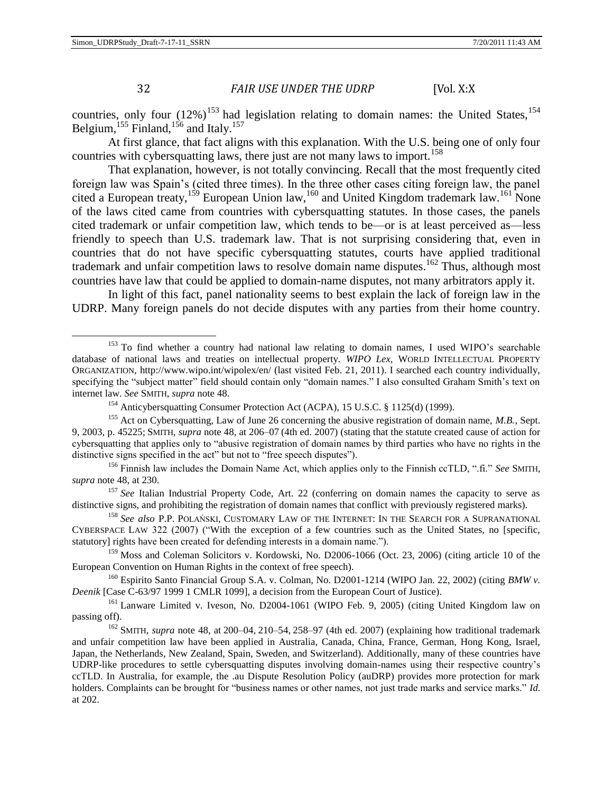#### 32 *FAIR USE UNDER THE UDRP* [Vol. X:X

<span id="page-33-1"></span><span id="page-33-0"></span>

countries, only four  $(12\%)$ <sup>153</sup> had legislation relating to domain names: the United States,<sup>154</sup> Belgium,  $155$  Finland,  $156$  and Italy.  $157$ 

At first glance, that fact aligns with this explanation. With the U.S. being one of only four countries with cybersquatting laws, there just are not many laws to import.<sup>158</sup>

That explanation, however, is not totally convincing. Recall that the most frequently cited foreign law was Spain's (cited three times). In the three other cases citing foreign law, the panel cited a European treaty,  $^{159}$  European Union law,  $^{160}$  and United Kingdom trademark law.<sup>161</sup> None of the laws cited came from countries with cybersquatting statutes. In those cases, the panels cited trademark or unfair competition law, which tends to be—or is at least perceived as—less friendly to speech than U.S. trademark law. That is not surprising considering that, even in countries that do not have specific cybersquatting statutes, courts have applied traditional trademark and unfair competition laws to resolve domain name disputes.<sup>162</sup> Thus, although most countries have law that could be applied to domain-name disputes, not many arbitrators apply it.

In light of this fact, panel nationality seems to best explain the lack of foreign law in the UDRP. Many foreign panels do not decide disputes with any parties from their home country.

<sup>&</sup>lt;sup>153</sup> To find whether a country had national law relating to domain names, I used WIPO's searchable database of national laws and treaties on intellectual property. *WIPO Lex*, WORLD INTELLECTUAL PROPERTY ORGANIZATION, http://www.wipo.int/wipolex/en/ (last visited Feb. 21, 2011). I searched each country individually, specifying the "subject matter" field should contain only "domain names." I also consulted Graham Smith's text on internet law. *See* SMITH, *supra* note [48.](#page-9-0)

<sup>&</sup>lt;sup>154</sup> Anticybersquatting Consumer Protection Act (ACPA), 15 U.S.C. § 1125(d) (1999).

<sup>&</sup>lt;sup>155</sup> Act on Cybersquatting, Law of June 26 concerning the abusive registration of domain name, *M.B.*, Sept. 9, 2003, p. 45225; SMITH, *supra* not[e 48,](#page-9-0) at 206–07 (4th ed. 2007) (stating that the statute created cause of action for cybersquatting that applies only to "abusive registration of domain names by third parties who have no rights in the distinctive signs specified in the act" but not to "free speech disputes").

<sup>&</sup>lt;sup>156</sup> Finnish law includes the Domain Name Act, which applies only to the Finnish ccTLD, ".fi." See SMITH, *supra* note [48,](#page-9-0) at 230.

<sup>&</sup>lt;sup>157</sup> See Italian Industrial Property Code, Art. 22 (conferring on domain names the capacity to serve as distinctive signs, and prohibiting the registration of domain names that conflict with previously registered marks).

<sup>158</sup> *See also* P.P. POLAŃSKI, CUSTOMARY LAW OF THE INTERNET: IN THE SEARCH FOR A SUPRANATIONAL CYBERSPACE LAW 322 (2007) ("With the exception of a few countries such as the United States, no [specific, statutory] rights have been created for defending interests in a domain name.").

<sup>&</sup>lt;sup>159</sup> Moss and Coleman Solicitors v. Kordowski, No. D2006-1066 (Oct. 23, 2006) (citing article 10 of the European Convention on Human Rights in the context of free speech).

<sup>160</sup> Espirito Santo Financial Group S.A. v. Colman, No. D2001-1214 (WIPO Jan. 22, 2002) (citing *BMW v. Deenik* [Case C-63/97 1999 1 CMLR 1099], a decision from the European Court of Justice).

<sup>161</sup> Lanware Limited v. Iveson, No. D2004-1061 (WIPO Feb. 9, 2005) (citing United Kingdom law on passing off).

<sup>&</sup>lt;sup>162</sup> SMITH, *supra* note [48,](#page-9-0) at 200–04, 210–54, 258–97 (4th ed. 2007) (explaining how traditional trademark and unfair competition law have been applied in Australia, Canada, China, France, German, Hong Kong, Israel, Japan, the Netherlands, New Zealand, Spain, Sweden, and Switzerland). Additionally, many of these countries have UDRP-like procedures to settle cybersquatting disputes involving domain-names using their respective country's ccTLD. In Australia, for example, the .au Dispute Resolution Policy (auDRP) provides more protection for mark holders. Complaints can be brought for "business names or other names, not just trade marks and service marks." *Id.* at 202.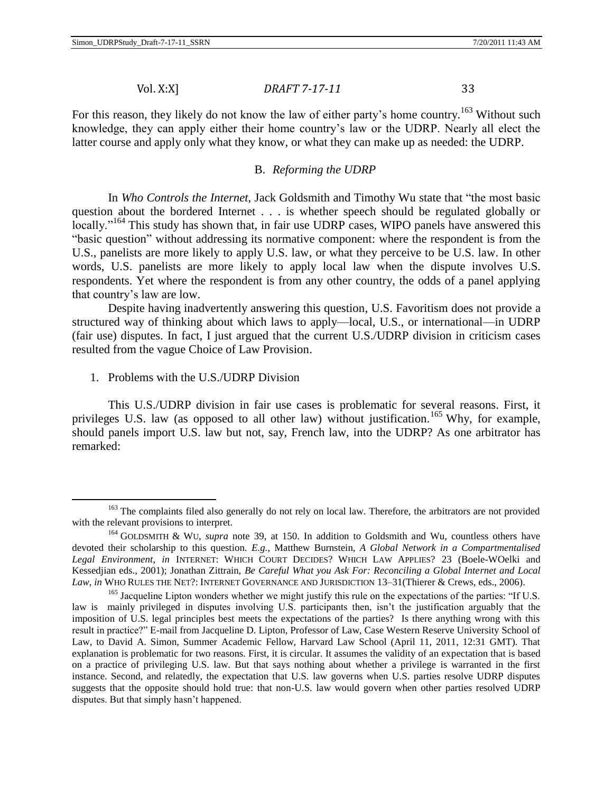For this reason, they likely do not know the law of either party's home country.<sup>163</sup> Without such knowledge, they can apply either their home country's law or the UDRP. Nearly all elect the latter course and apply only what they know, or what they can make up as needed: the UDRP.

## B. *Reforming the UDRP*

<span id="page-34-0"></span>In *Who Controls the Internet*, Jack Goldsmith and Timothy Wu state that "the most basic question about the bordered Internet . . . is whether speech should be regulated globally or locally."<sup>164</sup> This study has shown that, in fair use UDRP cases, WIPO panels have answered this "basic question" without addressing its normative component: where the respondent is from the U.S., panelists are more likely to apply U.S. law, or what they perceive to be U.S. law. In other words, U.S. panelists are more likely to apply local law when the dispute involves U.S. respondents. Yet where the respondent is from any other country, the odds of a panel applying that country's law are low.

Despite having inadvertently answering this question, U.S. Favoritism does not provide a structured way of thinking about which laws to apply—local, U.S., or international—in UDRP (fair use) disputes. In fact, I just argued that the current U.S./UDRP division in criticism cases resulted from the vague Choice of Law Provision.

<span id="page-34-1"></span>1. Problems with the U.S./UDRP Division

 $\overline{a}$ 

This U.S./UDRP division in fair use cases is problematic for several reasons. First, it privileges U.S. law (as opposed to all other law) without justification.<sup>165</sup> Why, for example, should panels import U.S. law but not, say, French law, into the UDRP? As one arbitrator has remarked:

<sup>&</sup>lt;sup>163</sup> The complaints filed also generally do not rely on local law. Therefore, the arbitrators are not provided with the relevant provisions to interpret.

<sup>164</sup> GOLDSMITH & WU, *supra* note [39,](#page-8-2) at 150. In addition to Goldsmith and Wu, countless others have devoted their scholarship to this question. *E.g.*, Matthew Burnstein, *A Global Network in a Compartmentalised Legal Environment*, *in* INTERNET: WHICH COURT DECIDES? WHICH LAW APPLIES? 23 (Boele-WOelki and Kessedjian eds., 2001); Jonathan Zittrain, *Be Careful What you Ask For: Reconciling a Global Internet and Local Law*, *in* WHO RULES THE NET?: INTERNET GOVERNANCE AND JURISDICTION 13–31(Thierer & Crews, eds., 2006).

<sup>&</sup>lt;sup>165</sup> Jacqueline Lipton wonders whether we might justify this rule on the expectations of the parties: "If U.S. law is mainly privileged in disputes involving U.S. participants then, isn't the justification arguably that the imposition of U.S. legal principles best meets the expectations of the parties? Is there anything wrong with this result in practice?‖ E-mail from Jacqueline D. Lipton, Professor of Law, Case Western Reserve University School of Law, to David A. Simon, Summer Academic Fellow, Harvard Law School (April 11, 2011, 12:31 GMT). That explanation is problematic for two reasons. First, it is circular. It assumes the validity of an expectation that is based on a practice of privileging U.S. law. But that says nothing about whether a privilege is warranted in the first instance. Second, and relatedly, the expectation that U.S. law governs when U.S. parties resolve UDRP disputes suggests that the opposite should hold true: that non-U.S. law would govern when other parties resolved UDRP disputes. But that simply hasn't happened.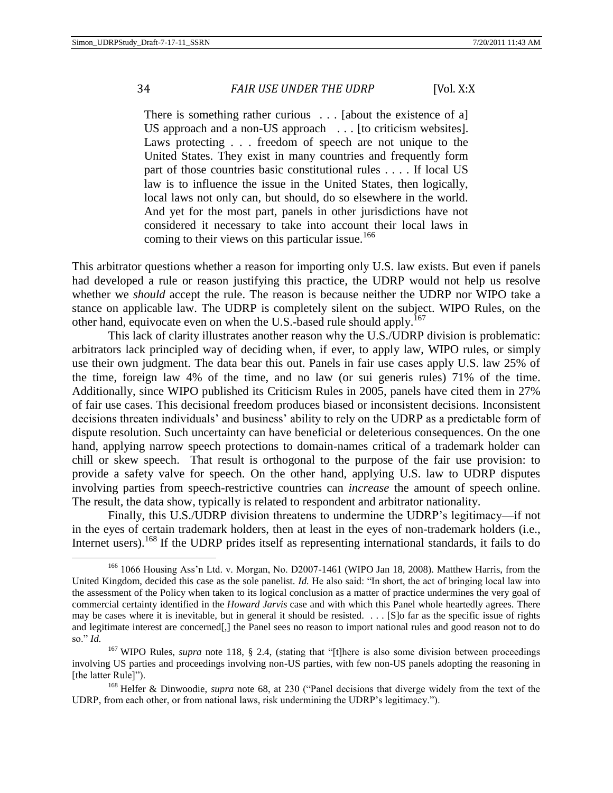## 34 *FAIR USE UNDER THE UDRP* [Vol. X:X

There is something rather curious ... [about the existence of a] US approach and a non-US approach . . . [to criticism websites]. Laws protecting . . . freedom of speech are not unique to the United States. They exist in many countries and frequently form part of those countries basic constitutional rules . . . . If local US law is to influence the issue in the United States, then logically, local laws not only can, but should, do so elsewhere in the world. And yet for the most part, panels in other jurisdictions have not considered it necessary to take into account their local laws in coming to their views on this particular issue.<sup>166</sup>

This arbitrator questions whether a reason for importing only U.S. law exists. But even if panels had developed a rule or reason justifying this practice, the UDRP would not help us resolve whether we *should* accept the rule. The reason is because neither the UDRP nor WIPO take a stance on applicable law. The UDRP is completely silent on the subject. WIPO Rules, on the other hand, equivocate even on when the U.S.-based rule should apply.<sup>167</sup>

This lack of clarity illustrates another reason why the U.S./UDRP division is problematic: arbitrators lack principled way of deciding when, if ever, to apply law, WIPO rules, or simply use their own judgment. The data bear this out. Panels in fair use cases apply U.S. law 25% of the time, foreign law 4% of the time, and no law (or sui generis rules) 71% of the time. Additionally, since WIPO published its Criticism Rules in 2005, panels have cited them in 27% of fair use cases. This decisional freedom produces biased or inconsistent decisions. Inconsistent decisions threaten individuals' and business' ability to rely on the UDRP as a predictable form of dispute resolution. Such uncertainty can have beneficial or deleterious consequences. On the one hand, applying narrow speech protections to domain-names critical of a trademark holder can chill or skew speech. That result is orthogonal to the purpose of the fair use provision: to provide a safety valve for speech. On the other hand, applying U.S. law to UDRP disputes involving parties from speech-restrictive countries can *increase* the amount of speech online. The result, the data show, typically is related to respondent and arbitrator nationality.

Finally, this U.S./UDRP division threatens to undermine the UDRP's legitimacy—if not in the eyes of certain trademark holders, then at least in the eyes of non-trademark holders (i.e., Internet users).<sup>168</sup> If the UDRP prides itself as representing international standards, it fails to do

<sup>&</sup>lt;sup>166</sup> 1066 Housing Ass'n Ltd. v. Morgan, No. D2007-1461 (WIPO Jan 18, 2008). Matthew Harris, from the United Kingdom, decided this case as the sole panelist. *Id.* He also said: "In short, the act of bringing local law into the assessment of the Policy when taken to its logical conclusion as a matter of practice undermines the very goal of commercial certainty identified in the *Howard Jarvis* case and with which this Panel whole heartedly agrees. There may be cases where it is inevitable, but in general it should be resisted. . . . [S]o far as the specific issue of rights and legitimate interest are concerned[,] the Panel sees no reason to import national rules and good reason not to do so.‖ *Id.*

<sup>&</sup>lt;sup>167</sup> WIPO Rules, *supra* note [118,](#page-27-1) § 2.4, (stating that "[t]here is also some division between proceedings involving US parties and proceedings involving non-US parties, with few non-US panels adopting the reasoning in [the latter Rule]").

<sup>&</sup>lt;sup>168</sup> Helfer & Dinwoodie, *supra* note [68,](#page-11-0) at 230 ("Panel decisions that diverge widely from the text of the UDRP, from each other, or from national laws, risk undermining the UDRP's legitimacy.").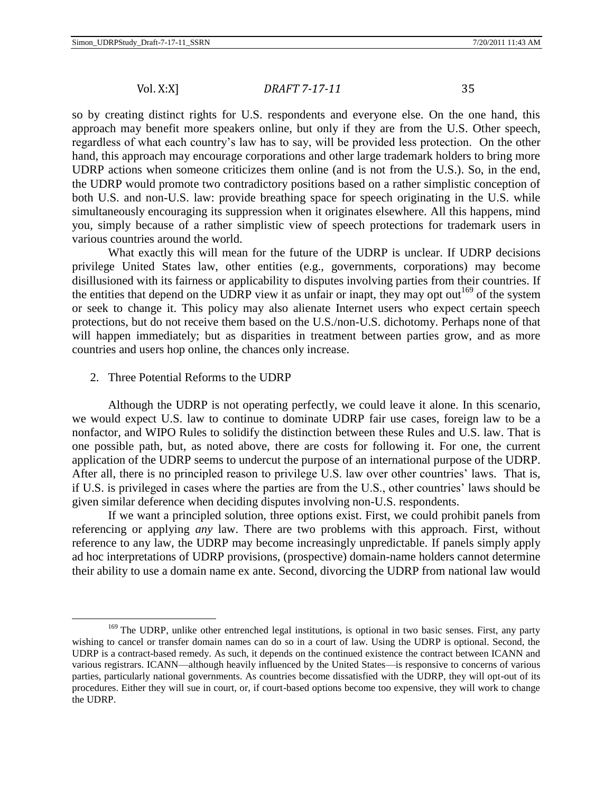so by creating distinct rights for U.S. respondents and everyone else. On the one hand, this approach may benefit more speakers online, but only if they are from the U.S. Other speech, regardless of what each country's law has to say, will be provided less protection. On the other hand, this approach may encourage corporations and other large trademark holders to bring more UDRP actions when someone criticizes them online (and is not from the U.S.). So, in the end, the UDRP would promote two contradictory positions based on a rather simplistic conception of both U.S. and non-U.S. law: provide breathing space for speech originating in the U.S. while simultaneously encouraging its suppression when it originates elsewhere. All this happens, mind you, simply because of a rather simplistic view of speech protections for trademark users in various countries around the world.

What exactly this will mean for the future of the UDRP is unclear. If UDRP decisions privilege United States law, other entities (e.g., governments, corporations) may become disillusioned with its fairness or applicability to disputes involving parties from their countries. If the entities that depend on the UDRP view it as unfair or inapt, they may opt out<sup>169</sup> of the system or seek to change it. This policy may also alienate Internet users who expect certain speech protections, but do not receive them based on the U.S./non-U.S. dichotomy. Perhaps none of that will happen immediately; but as disparities in treatment between parties grow, and as more countries and users hop online, the chances only increase.

<span id="page-36-0"></span>2. Three Potential Reforms to the UDRP

 $\overline{a}$ 

Although the UDRP is not operating perfectly, we could leave it alone. In this scenario, we would expect U.S. law to continue to dominate UDRP fair use cases, foreign law to be a nonfactor, and WIPO Rules to solidify the distinction between these Rules and U.S. law. That is one possible path, but, as noted above, there are costs for following it. For one, the current application of the UDRP seems to undercut the purpose of an international purpose of the UDRP. After all, there is no principled reason to privilege U.S. law over other countries' laws. That is, if U.S. is privileged in cases where the parties are from the U.S., other countries' laws should be given similar deference when deciding disputes involving non-U.S. respondents.

If we want a principled solution, three options exist. First, we could prohibit panels from referencing or applying *any* law. There are two problems with this approach. First, without reference to any law, the UDRP may become increasingly unpredictable. If panels simply apply ad hoc interpretations of UDRP provisions, (prospective) domain-name holders cannot determine their ability to use a domain name ex ante. Second, divorcing the UDRP from national law would

<sup>&</sup>lt;sup>169</sup> The UDRP, unlike other entrenched legal institutions, is optional in two basic senses. First, any party wishing to cancel or transfer domain names can do so in a court of law. Using the UDRP is optional. Second, the UDRP is a contract-based remedy. As such, it depends on the continued existence the contract between ICANN and various registrars. ICANN—although heavily influenced by the United States—is responsive to concerns of various parties, particularly national governments. As countries become dissatisfied with the UDRP, they will opt-out of its procedures. Either they will sue in court, or, if court-based options become too expensive, they will work to change the UDRP.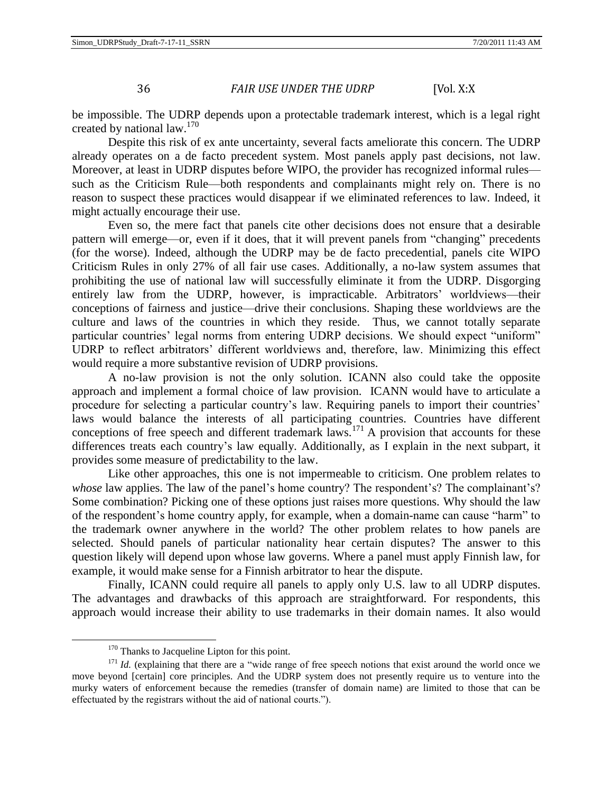be impossible. The UDRP depends upon a protectable trademark interest, which is a legal right created by national law.<sup>170</sup>

Despite this risk of ex ante uncertainty, several facts ameliorate this concern. The UDRP already operates on a de facto precedent system. Most panels apply past decisions, not law. Moreover, at least in UDRP disputes before WIPO, the provider has recognized informal rules such as the Criticism Rule—both respondents and complainants might rely on. There is no reason to suspect these practices would disappear if we eliminated references to law. Indeed, it might actually encourage their use.

Even so, the mere fact that panels cite other decisions does not ensure that a desirable pattern will emerge—or, even if it does, that it will prevent panels from "changing" precedents (for the worse). Indeed, although the UDRP may be de facto precedential, panels cite WIPO Criticism Rules in only 27% of all fair use cases. Additionally, a no-law system assumes that prohibiting the use of national law will successfully eliminate it from the UDRP. Disgorging entirely law from the UDRP, however, is impracticable. Arbitrators' worldviews—their conceptions of fairness and justice—drive their conclusions. Shaping these worldviews are the culture and laws of the countries in which they reside. Thus, we cannot totally separate particular countries' legal norms from entering UDRP decisions. We should expect "uniform" UDRP to reflect arbitrators' different worldviews and, therefore, law. Minimizing this effect would require a more substantive revision of UDRP provisions.

A no-law provision is not the only solution. ICANN also could take the opposite approach and implement a formal choice of law provision. ICANN would have to articulate a procedure for selecting a particular country's law. Requiring panels to import their countries' laws would balance the interests of all participating countries. Countries have different conceptions of free speech and different trademark laws.<sup>171</sup> A provision that accounts for these differences treats each country's law equally. Additionally, as I explain in the next subpart, it provides some measure of predictability to the law.

Like other approaches, this one is not impermeable to criticism. One problem relates to *whose* law applies. The law of the panel's home country? The respondent's? The complainant's? Some combination? Picking one of these options just raises more questions. Why should the law of the respondent's home country apply, for example, when a domain-name can cause "harm" to the trademark owner anywhere in the world? The other problem relates to how panels are selected. Should panels of particular nationality hear certain disputes? The answer to this question likely will depend upon whose law governs. Where a panel must apply Finnish law, for example, it would make sense for a Finnish arbitrator to hear the dispute.

Finally, ICANN could require all panels to apply only U.S. law to all UDRP disputes. The advantages and drawbacks of this approach are straightforward. For respondents, this approach would increase their ability to use trademarks in their domain names. It also would

<sup>&</sup>lt;sup>170</sup> Thanks to Jacqueline Lipton for this point.

<sup>&</sup>lt;sup>171</sup> *Id.* (explaining that there are a "wide range of free speech notions that exist around the world once we move beyond [certain] core principles. And the UDRP system does not presently require us to venture into the murky waters of enforcement because the remedies (transfer of domain name) are limited to those that can be effectuated by the registrars without the aid of national courts.").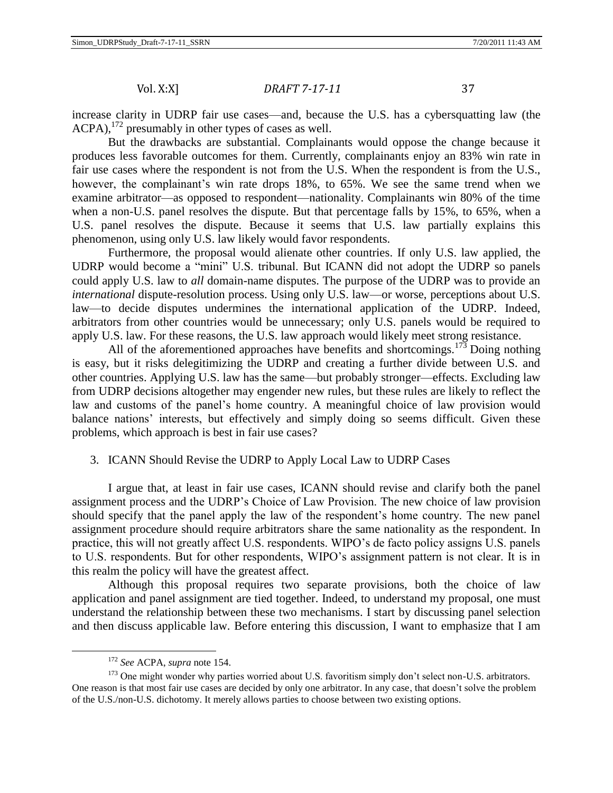increase clarity in UDRP fair use cases—and, because the U.S. has a cybersquatting law (the ACPA),<sup>172</sup> presumably in other types of cases as well.

But the drawbacks are substantial. Complainants would oppose the change because it produces less favorable outcomes for them. Currently, complainants enjoy an 83% win rate in fair use cases where the respondent is not from the U.S. When the respondent is from the U.S., however, the complainant's win rate drops 18%, to 65%. We see the same trend when we examine arbitrator—as opposed to respondent—nationality. Complainants win 80% of the time when a non-U.S. panel resolves the dispute. But that percentage falls by 15%, to 65%, when a U.S. panel resolves the dispute. Because it seems that U.S. law partially explains this phenomenon, using only U.S. law likely would favor respondents.

Furthermore, the proposal would alienate other countries. If only U.S. law applied, the UDRP would become a "mini" U.S. tribunal. But ICANN did not adopt the UDRP so panels could apply U.S. law to *all* domain-name disputes. The purpose of the UDRP was to provide an *international* dispute-resolution process. Using only U.S. law—or worse, perceptions about U.S. law—to decide disputes undermines the international application of the UDRP. Indeed, arbitrators from other countries would be unnecessary; only U.S. panels would be required to apply U.S. law. For these reasons, the U.S. law approach would likely meet strong resistance.

All of the aforementioned approaches have benefits and shortcomings.<sup>173</sup> Doing nothing is easy, but it risks delegitimizing the UDRP and creating a further divide between U.S. and other countries. Applying U.S. law has the same—but probably stronger—effects. Excluding law from UDRP decisions altogether may engender new rules, but these rules are likely to reflect the law and customs of the panel's home country. A meaningful choice of law provision would balance nations' interests, but effectively and simply doing so seems difficult. Given these problems, which approach is best in fair use cases?

## <span id="page-38-0"></span>3. ICANN Should Revise the UDRP to Apply Local Law to UDRP Cases

I argue that, at least in fair use cases, ICANN should revise and clarify both the panel assignment process and the UDRP's Choice of Law Provision. The new choice of law provision should specify that the panel apply the law of the respondent's home country. The new panel assignment procedure should require arbitrators share the same nationality as the respondent. In practice, this will not greatly affect U.S. respondents. WIPO's de facto policy assigns U.S. panels to U.S. respondents. But for other respondents, WIPO's assignment pattern is not clear. It is in this realm the policy will have the greatest affect.

Although this proposal requires two separate provisions, both the choice of law application and panel assignment are tied together. Indeed, to understand my proposal, one must understand the relationship between these two mechanisms. I start by discussing panel selection and then discuss applicable law. Before entering this discussion, I want to emphasize that I am

<sup>172</sup> *See* ACPA, *supra* note [154.](#page-33-0) 

<sup>&</sup>lt;sup>173</sup> One might wonder why parties worried about U.S. favoritism simply don't select non-U.S. arbitrators. One reason is that most fair use cases are decided by only one arbitrator. In any case, that doesn't solve the problem of the U.S./non-U.S. dichotomy. It merely allows parties to choose between two existing options.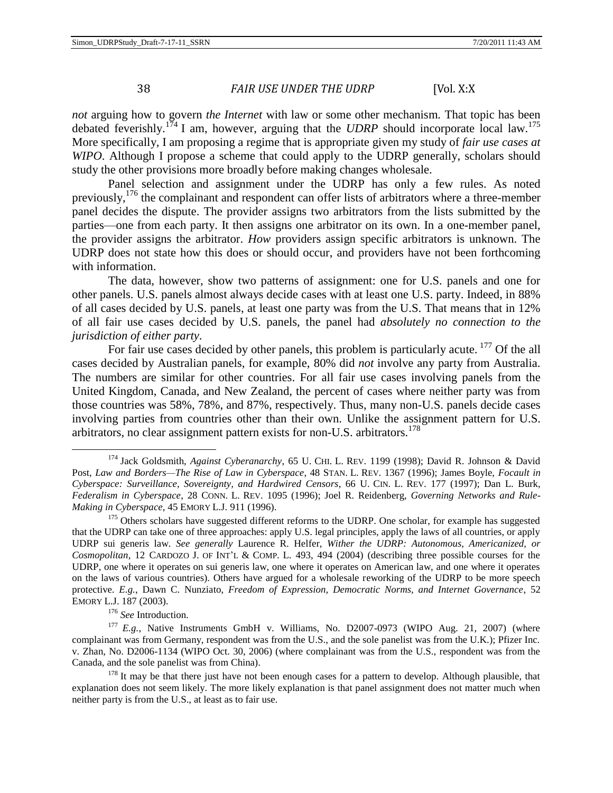*not* arguing how to govern *the Internet* with law or some other mechanism*.* That topic has been debated feverishly.<sup>174</sup> I am, however, arguing that the *UDRP* should incorporate local law.<sup>175</sup> More specifically, I am proposing a regime that is appropriate given my study of *fair use cases at WIPO*. Although I propose a scheme that could apply to the UDRP generally, scholars should study the other provisions more broadly before making changes wholesale.

Panel selection and assignment under the UDRP has only a few rules. As noted previously,<sup>176</sup> the complainant and respondent can offer lists of arbitrators where a three-member panel decides the dispute. The provider assigns two arbitrators from the lists submitted by the parties—one from each party. It then assigns one arbitrator on its own. In a one-member panel, the provider assigns the arbitrator. *How* providers assign specific arbitrators is unknown. The UDRP does not state how this does or should occur, and providers have not been forthcoming with information.

The data, however, show two patterns of assignment: one for U.S. panels and one for other panels. U.S. panels almost always decide cases with at least one U.S. party. Indeed, in 88% of all cases decided by U.S. panels, at least one party was from the U.S. That means that in 12% of all fair use cases decided by U.S. panels, the panel had *absolutely no connection to the jurisdiction of either party*.

For fair use cases decided by other panels, this problem is particularly acute. <sup>177</sup> Of the all cases decided by Australian panels, for example, 80% did *not* involve any party from Australia. The numbers are similar for other countries. For all fair use cases involving panels from the United Kingdom, Canada, and New Zealand, the percent of cases where neither party was from those countries was 58%, 78%, and 87%, respectively. Thus, many non-U.S. panels decide cases involving parties from countries other than their own. Unlike the assignment pattern for U.S. arbitrators, no clear assignment pattern exists for non-U.S. arbitrators.<sup>178</sup>

<sup>174</sup> Jack Goldsmith, *Against Cyberanarchy*, 65 U. CHI. L. REV. 1199 (1998); David R. Johnson & David Post, *Law and Borders—The Rise of Law in Cyberspace*, 48 STAN. L. REV. 1367 (1996); James Boyle, *Focault in Cyberspace: Surveillance, Sovereignty, and Hardwired Censors*, 66 U. CIN. L. REV. 177 (1997); Dan L. Burk, *Federalism in Cyberspace*, 28 CONN. L. REV. 1095 (1996); Joel R. Reidenberg, *Governing Networks and Rule-Making in Cyberspace*, 45 EMORY L.J. 911 (1996).

<sup>&</sup>lt;sup>175</sup> Others scholars have suggested different reforms to the UDRP. One scholar, for example has suggested that the UDRP can take one of three approaches: apply U.S. legal principles, apply the laws of all countries, or apply UDRP sui generis law. *See generally* Laurence R. Helfer, *Wither the UDRP: Autonomous, Americanized, or Cosmopolitan*, 12 CARDOZO J. OF INT'L & COMP. L. 493, 494 (2004) (describing three possible courses for the UDRP, one where it operates on sui generis law, one where it operates on American law, and one where it operates on the laws of various countries). Others have argued for a wholesale reworking of the UDRP to be more speech protective. *E.g.*, Dawn C. Nunziato, *Freedom of Expression, Democratic Norms, and Internet Governance*, 52 EMORY L.J. 187 (2003).

<sup>176</sup> *See* Introduction.

<sup>&</sup>lt;sup>177</sup> *E.g.*, Native Instruments GmbH v. Williams, No. D2007-0973 (WIPO Aug. 21, 2007) (where complainant was from Germany, respondent was from the U.S., and the sole panelist was from the U.K.); Pfizer Inc. v. Zhan, No. D2006-1134 (WIPO Oct. 30, 2006) (where complainant was from the U.S., respondent was from the Canada, and the sole panelist was from China).

 $178$  It may be that there just have not been enough cases for a pattern to develop. Although plausible, that explanation does not seem likely. The more likely explanation is that panel assignment does not matter much when neither party is from the U.S., at least as to fair use.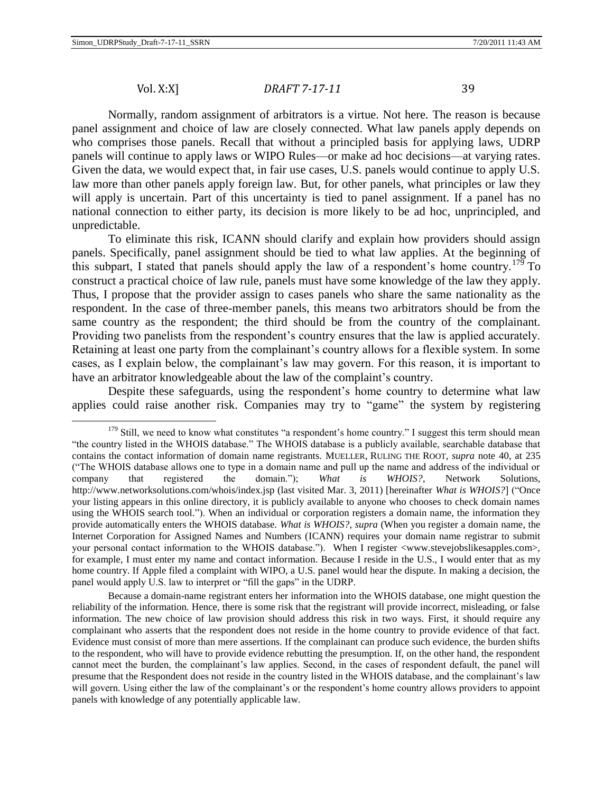# Vol. X:X] *DRAFT 7-17-11* 39

Normally, random assignment of arbitrators is a virtue. Not here. The reason is because panel assignment and choice of law are closely connected. What law panels apply depends on who comprises those panels. Recall that without a principled basis for applying laws, UDRP panels will continue to apply laws or WIPO Rules—or make ad hoc decisions—at varying rates. Given the data, we would expect that, in fair use cases, U.S. panels would continue to apply U.S. law more than other panels apply foreign law. But, for other panels, what principles or law they will apply is uncertain. Part of this uncertainty is tied to panel assignment. If a panel has no national connection to either party, its decision is more likely to be ad hoc, unprincipled, and unpredictable.

To eliminate this risk, ICANN should clarify and explain how providers should assign panels. Specifically, panel assignment should be tied to what law applies. At the beginning of this subpart, I stated that panels should apply the law of a respondent's home country.<sup>179</sup> To construct a practical choice of law rule, panels must have some knowledge of the law they apply. Thus, I propose that the provider assign to cases panels who share the same nationality as the respondent. In the case of three-member panels, this means two arbitrators should be from the same country as the respondent; the third should be from the country of the complainant. Providing two panelists from the respondent's country ensures that the law is applied accurately. Retaining at least one party from the complainant's country allows for a flexible system. In some cases, as I explain below, the complainant's law may govern. For this reason, it is important to have an arbitrator knowledgeable about the law of the complaint's country.

Despite these safeguards, using the respondent's home country to determine what law applies could raise another risk. Companies may try to "game" the system by registering

 $179$  Still, we need to know what constitutes "a respondent's home country." I suggest this term should mean "the country listed in the WHOIS database." The WHOIS database is a publicly available, searchable database that contains the contact information of domain name registrants. MUELLER, RULING THE ROOT, *supra* note [40,](#page-8-1) at 235 (―The WHOIS database allows one to type in a domain name and pull up the name and address of the individual or company that registered the domain.‖); *What is WHOIS?*, Network Solutions, http://www.networksolutions.com/whois/index.jsp (last visited Mar. 3, 2011) [hereinafter *What is WHOIS?*] ("Once your listing appears in this online directory, it is publicly available to anyone who chooses to check domain names using the WHOIS search tool."). When an individual or corporation registers a domain name, the information they provide automatically enters the WHOIS database. *What is WHOIS?*, *supra* (When you register a domain name, the Internet Corporation for Assigned Names and Numbers (ICANN) requires your domain name registrar to submit your personal contact information to the WHOIS database."). When I register <www.stevejobslikesapples.com>, for example, I must enter my name and contact information. Because I reside in the U.S., I would enter that as my home country. If Apple filed a complaint with WIPO, a U.S. panel would hear the dispute. In making a decision, the panel would apply U.S. law to interpret or "fill the gaps" in the UDRP.

Because a domain-name registrant enters her information into the WHOIS database, one might question the reliability of the information. Hence, there is some risk that the registrant will provide incorrect, misleading, or false information. The new choice of law provision should address this risk in two ways. First, it should require any complainant who asserts that the respondent does not reside in the home country to provide evidence of that fact. Evidence must consist of more than mere assertions. If the complainant can produce such evidence, the burden shifts to the respondent, who will have to provide evidence rebutting the presumption. If, on the other hand, the respondent cannot meet the burden, the complainant's law applies. Second, in the cases of respondent default, the panel will presume that the Respondent does not reside in the country listed in the WHOIS database, and the complainant's law will govern. Using either the law of the complainant's or the respondent's home country allows providers to appoint panels with knowledge of any potentially applicable law.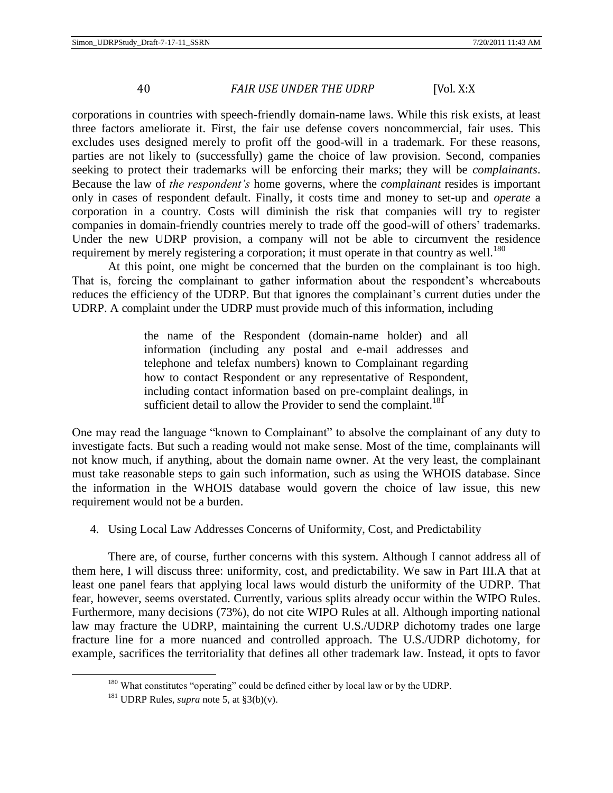corporations in countries with speech-friendly domain-name laws. While this risk exists, at least three factors ameliorate it. First, the fair use defense covers noncommercial, fair uses. This excludes uses designed merely to profit off the good-will in a trademark. For these reasons, parties are not likely to (successfully) game the choice of law provision. Second, companies seeking to protect their trademarks will be enforcing their marks; they will be *complainants*. Because the law of *the respondent's* home governs, where the *complainant* resides is important only in cases of respondent default. Finally, it costs time and money to set-up and *operate* a corporation in a country. Costs will diminish the risk that companies will try to register companies in domain-friendly countries merely to trade off the good-will of others' trademarks. Under the new UDRP provision, a company will not be able to circumvent the residence requirement by merely registering a corporation; it must operate in that country as well.<sup>180</sup>

At this point, one might be concerned that the burden on the complainant is too high. That is, forcing the complainant to gather information about the respondent's whereabouts reduces the efficiency of the UDRP. But that ignores the complainant's current duties under the UDRP. A complaint under the UDRP must provide much of this information, including

> the name of the Respondent (domain-name holder) and all information (including any postal and e-mail addresses and telephone and telefax numbers) known to Complainant regarding how to contact Respondent or any representative of Respondent, including contact information based on pre-complaint dealings, in sufficient detail to allow the Provider to send the complaint.<sup>181</sup>

One may read the language "known to Complainant" to absolve the complainant of any duty to investigate facts. But such a reading would not make sense. Most of the time, complainants will not know much, if anything, about the domain name owner. At the very least, the complainant must take reasonable steps to gain such information, such as using the WHOIS database. Since the information in the WHOIS database would govern the choice of law issue, this new requirement would not be a burden.

<span id="page-41-0"></span>4. Using Local Law Addresses Concerns of Uniformity, Cost, and Predictability

There are, of course, further concerns with this system. Although I cannot address all of them here, I will discuss three: uniformity, cost, and predictability. We saw in Part III.A that at least one panel fears that applying local laws would disturb the uniformity of the UDRP. That fear, however, seems overstated. Currently, various splits already occur within the WIPO Rules. Furthermore, many decisions (73%), do not cite WIPO Rules at all. Although importing national law may fracture the UDRP, maintaining the current U.S./UDRP dichotomy trades one large fracture line for a more nuanced and controlled approach. The U.S./UDRP dichotomy, for example, sacrifices the territoriality that defines all other trademark law. Instead, it opts to favor

<sup>&</sup>lt;sup>180</sup> What constitutes "operating" could be defined either by local law or by the UDRP.

<sup>181</sup> UDRP Rules, *supra* note [5,](#page-3-1) at §3(b)(v).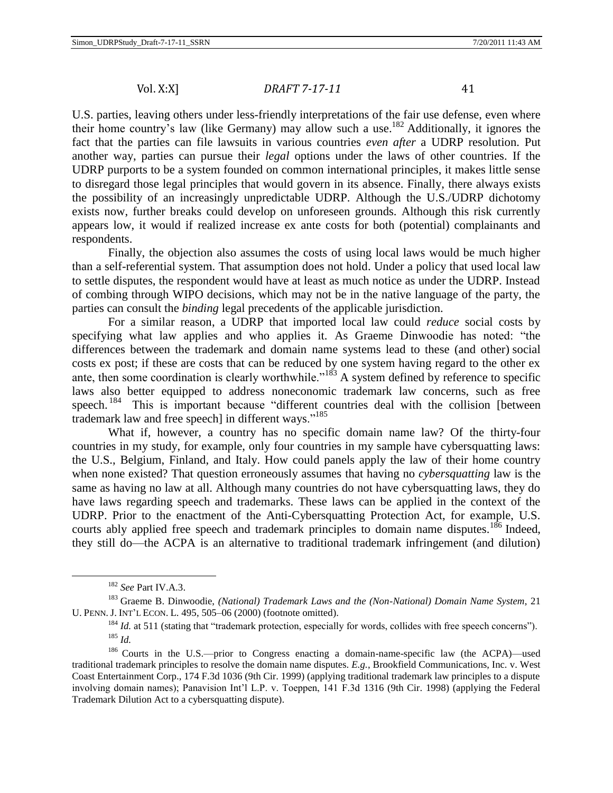U.S. parties, leaving others under less-friendly interpretations of the fair use defense, even where their home country's law (like Germany) may allow such a use. <sup>182</sup> Additionally, it ignores the fact that the parties can file lawsuits in various countries *even after* a UDRP resolution. Put another way, parties can pursue their *legal* options under the laws of other countries. If the UDRP purports to be a system founded on common international principles, it makes little sense to disregard those legal principles that would govern in its absence. Finally, there always exists the possibility of an increasingly unpredictable UDRP. Although the U.S./UDRP dichotomy exists now, further breaks could develop on unforeseen grounds. Although this risk currently appears low, it would if realized increase ex ante costs for both (potential) complainants and respondents.

Finally, the objection also assumes the costs of using local laws would be much higher than a self-referential system. That assumption does not hold. Under a policy that used local law to settle disputes, the respondent would have at least as much notice as under the UDRP. Instead of combing through WIPO decisions, which may not be in the native language of the party, the parties can consult the *binding* legal precedents of the applicable jurisdiction.

For a similar reason, a UDRP that imported local law could *reduce* social costs by specifying what law applies and who applies it. As Graeme Dinwoodie has noted: "the differences between the trademark and domain name systems lead to these (and other) social costs ex post; if these are costs that can be reduced by one system having regard to the other ex ante, then some coordination is clearly worthwhile.<sup>183</sup> A system defined by reference to specific laws also better equipped to address noneconomic trademark law concerns, such as free speech.  $184$  This is important because "different countries deal with the collision [between trademark law and free speech] in different ways."<sup>185</sup>

What if, however, a country has no specific domain name law? Of the thirty-four countries in my study, for example, only four countries in my sample have cybersquatting laws: the U.S., Belgium, Finland, and Italy. How could panels apply the law of their home country when none existed? That question erroneously assumes that having no *cybersquatting* law is the same as having no law at all. Although many countries do not have cybersquatting laws, they do have laws regarding speech and trademarks. These laws can be applied in the context of the UDRP. Prior to the enactment of the Anti-Cybersquatting Protection Act, for example, U.S. courts ably applied free speech and trademark principles to domain name disputes.<sup>186</sup> Indeed, they still do—the ACPA is an alternative to traditional trademark infringement (and dilution)

<sup>182</sup> *See* Part IV.A.3.

<sup>183</sup> Graeme B. Dinwoodie, *(National) Trademark Laws and the (Non-National) Domain Name System*, 21 U. PENN. J. INT'L ECON. L. 495, 505–06 (2000) (footnote omitted).

 $184$  *Id.* at 511 (stating that "trademark protection, especially for words, collides with free speech concerns").  $185$  *Id.* 

<sup>186</sup> Courts in the U.S.—prior to Congress enacting a domain-name-specific law (the ACPA)—used traditional trademark principles to resolve the domain name disputes. *E.g.*, Brookfield Communications, Inc. v. West Coast Entertainment Corp., 174 F.3d 1036 (9th Cir. 1999) (applying traditional trademark law principles to a dispute involving domain names); Panavision Int'l L.P. v. Toeppen, 141 F.3d 1316 (9th Cir. 1998) (applying the Federal Trademark Dilution Act to a cybersquatting dispute).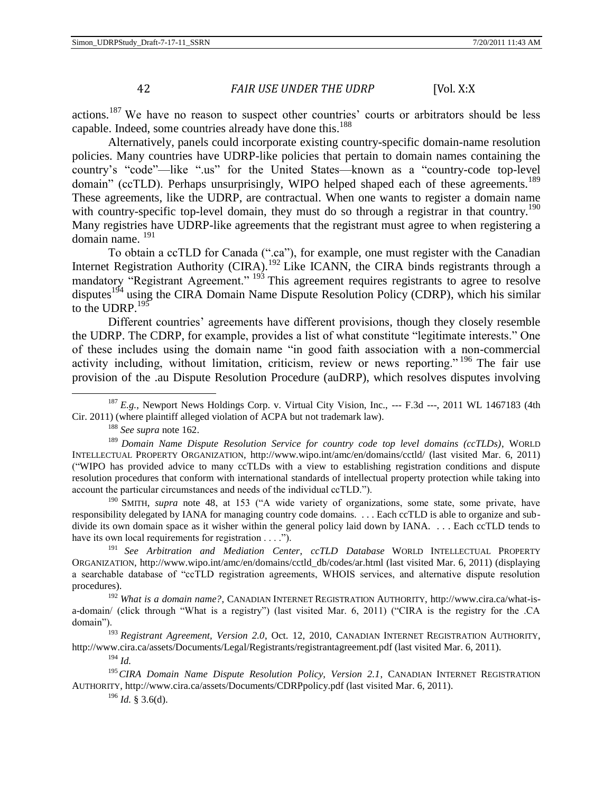<span id="page-43-0"></span>

actions.<sup>187</sup> We have no reason to suspect other countries' courts or arbitrators should be less capable. Indeed, some countries already have done this.<sup>188</sup>

Alternatively, panels could incorporate existing country-specific domain-name resolution policies. Many countries have UDRP-like policies that pertain to domain names containing the country's "code"—like ".us" for the United States—known as a "country-code top-level" domain" (ccTLD). Perhaps unsurprisingly, WIPO helped shaped each of these agreements.<sup>189</sup> These agreements, like the UDRP, are contractual. When one wants to register a domain name with country-specific top-level domain, they must do so through a registrar in that country.<sup>190</sup> Many registries have UDRP-like agreements that the registrant must agree to when registering a domain name. 191

To obtain a ccTLD for Canada (".ca"), for example, one must register with the Canadian Internet Registration Authority (CIRA).<sup>192</sup> Like ICANN, the CIRA binds registrants through a mandatory "Registrant Agreement."  $193$  This agreement requires registrants to agree to resolve disputes<sup>194</sup> using the CIRA Domain Name Dispute Resolution Policy (CDRP), which his similar to the UDRP. $^{195}$ 

Different countries' agreements have different provisions, though they closely resemble the UDRP. The CDRP, for example, provides a list of what constitute "legitimate interests." One of these includes using the domain name "in good faith association with a non-commercial activity including, without limitation, criticism, review or news reporting.<sup> $196$ </sup> The fair use provision of the .au Dispute Resolution Procedure (auDRP), which resolves disputes involving

 $\overline{a}$ 

<sup>190</sup> SMITH, *supra* note [48,](#page-9-0) at 153 ("A wide variety of organizations, some state, some private, have responsibility delegated by IANA for managing country code domains. . . . Each ccTLD is able to organize and subdivide its own domain space as it wisher within the general policy laid down by IANA. . . . Each ccTLD tends to have its own local requirements for registration  $\dots$  ...").

<sup>191</sup> *See Arbitration and Mediation Center*, *ccTLD Database* WORLD INTELLECTUAL PROPERTY ORGANIZATION, http://www.wipo.int/amc/en/domains/cctld\_db/codes/ar.html (last visited Mar. 6, 2011) (displaying a searchable database of "ccTLD registration agreements, WHOIS services, and alternative dispute resolution procedures).

<sup>192</sup> *What is a domain name?*, CANADIAN INTERNET REGISTRATION AUTHORITY, http://www.cira.ca/what-isa-domain/ (click through "What is a registry") (last visited Mar. 6, 2011) ("CIRA is the registry for the .CA domain").

<sup>193</sup> *Registrant Agreement, Version 2.0*, Oct. 12, 2010, CANADIAN INTERNET REGISTRATION AUTHORITY, http://www.cira.ca/assets/Documents/Legal/Registrants/registrantagreement.pdf (last visited Mar. 6, 2011).

<sup>194</sup> *Id.*

<sup>195</sup> CIRA Domain Name Dispute Resolution Policy, Version 2.1, CANADIAN INTERNET REGISTRATION AUTHORITY, http://www.cira.ca/assets/Documents/CDRPpolicy.pdf (last visited Mar. 6, 2011).

<sup>196</sup> *Id.* § 3.6(d).

<sup>&</sup>lt;sup>187</sup> *E.g.*, Newport News Holdings Corp. v. Virtual City Vision, Inc., --- F.3d ---, 2011 WL 1467183 (4th Cir. 2011) (where plaintiff alleged violation of ACPA but not trademark law).

<sup>188</sup> *See supra* not[e 162.](#page-33-1)

<sup>189</sup> *Domain Name Dispute Resolution Service for country code top level domains (ccTLDs)*, WORLD INTELLECTUAL PROPERTY ORGANIZATION, http://www.wipo.int/amc/en/domains/cctld/ (last visited Mar. 6, 2011) (―WIPO has provided advice to many ccTLDs with a view to establishing registration conditions and dispute resolution procedures that conform with international standards of intellectual property protection while taking into account the particular circumstances and needs of the individual ccTLD.").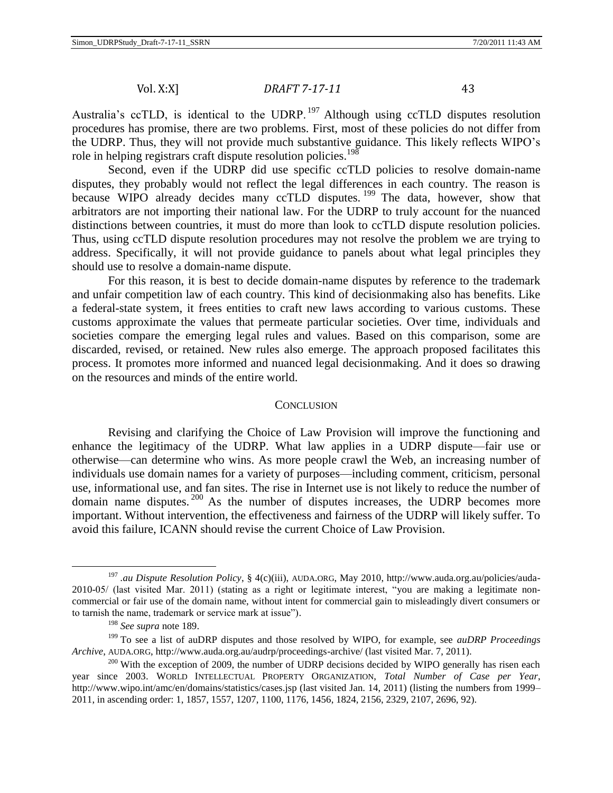Australia's ccTLD, is identical to the UDRP.  $197$  Although using ccTLD disputes resolution procedures has promise, there are two problems. First, most of these policies do not differ from the UDRP. Thus, they will not provide much substantive guidance. This likely reflects WIPO's role in helping registrars craft dispute resolution policies.<sup>198</sup>

Second, even if the UDRP did use specific ccTLD policies to resolve domain-name disputes, they probably would not reflect the legal differences in each country. The reason is because WIPO already decides many ccTLD disputes.<sup>199</sup> The data, however, show that arbitrators are not importing their national law. For the UDRP to truly account for the nuanced distinctions between countries, it must do more than look to ccTLD dispute resolution policies. Thus, using ccTLD dispute resolution procedures may not resolve the problem we are trying to address. Specifically, it will not provide guidance to panels about what legal principles they should use to resolve a domain-name dispute.

For this reason, it is best to decide domain-name disputes by reference to the trademark and unfair competition law of each country. This kind of decisionmaking also has benefits. Like a federal-state system, it frees entities to craft new laws according to various customs. These customs approximate the values that permeate particular societies. Over time, individuals and societies compare the emerging legal rules and values. Based on this comparison, some are discarded, revised, or retained. New rules also emerge. The approach proposed facilitates this process. It promotes more informed and nuanced legal decisionmaking. And it does so drawing on the resources and minds of the entire world.

#### **CONCLUSION**

<span id="page-44-0"></span>Revising and clarifying the Choice of Law Provision will improve the functioning and enhance the legitimacy of the UDRP. What law applies in a UDRP dispute—fair use or otherwise—can determine who wins. As more people crawl the Web, an increasing number of individuals use domain names for a variety of purposes—including comment, criticism, personal use, informational use, and fan sites. The rise in Internet use is not likely to reduce the number of domain name disputes. <sup>200</sup> As the number of disputes increases, the UDRP becomes more important. Without intervention, the effectiveness and fairness of the UDRP will likely suffer. To avoid this failure, ICANN should revise the current Choice of Law Provision.

<sup>197</sup> *.au Dispute Resolution Policy*, § 4(c)(iii), AUDA.ORG, May 2010, http://www.auda.org.au/policies/auda-2010-05/ (last visited Mar. 2011) (stating as a right or legitimate interest, "you are making a legitimate noncommercial or fair use of the domain name, without intent for commercial gain to misleadingly divert consumers or to tarnish the name, trademark or service mark at issue").

<sup>198</sup> *See supra* not[e 189.](#page-43-0)

<sup>199</sup> To see a list of auDRP disputes and those resolved by WIPO, for example, see *auDRP Proceedings Archive*, AUDA.ORG, http://www.auda.org.au/audrp/proceedings-archive/ (last visited Mar. 7, 2011).

<sup>&</sup>lt;sup>200</sup> With the exception of 2009, the number of UDRP decisions decided by WIPO generally has risen each year since 2003. WORLD INTELLECTUAL PROPERTY ORGANIZATION, *Total Number of Case per Year*, http://www.wipo.int/amc/en/domains/statistics/cases.jsp (last visited Jan. 14, 2011) (listing the numbers from 1999– 2011, in ascending order: 1, 1857, 1557, 1207, 1100, 1176, 1456, 1824, 2156, 2329, 2107, 2696, 92).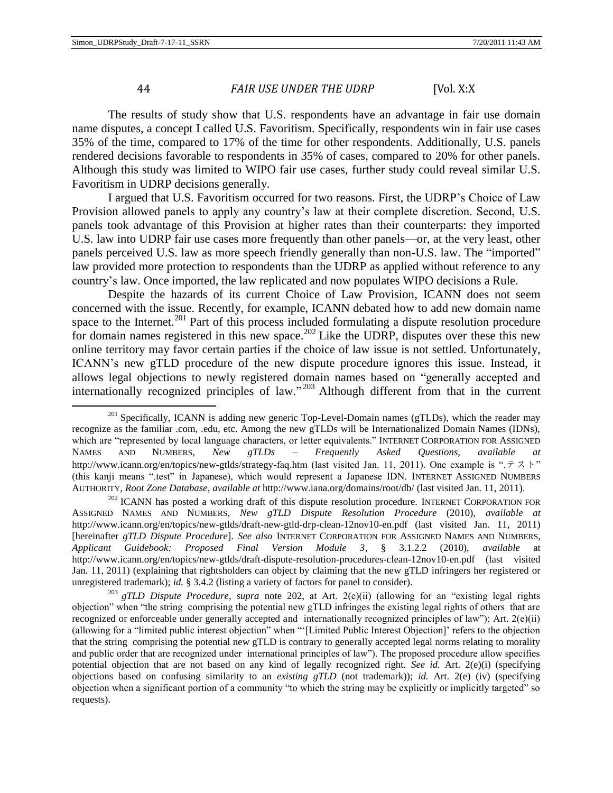### 44 *FAIR USE UNDER THE UDRP* [Vol. X:X

The results of study show that U.S. respondents have an advantage in fair use domain name disputes, a concept I called U.S. Favoritism. Specifically, respondents win in fair use cases 35% of the time, compared to 17% of the time for other respondents. Additionally, U.S. panels rendered decisions favorable to respondents in 35% of cases, compared to 20% for other panels. Although this study was limited to WIPO fair use cases, further study could reveal similar U.S. Favoritism in UDRP decisions generally.

I argued that U.S. Favoritism occurred for two reasons. First, the UDRP's Choice of Law Provision allowed panels to apply any country's law at their complete discretion. Second, U.S. panels took advantage of this Provision at higher rates than their counterparts: they imported U.S. law into UDRP fair use cases more frequently than other panels—or, at the very least, other panels perceived U.S. law as more speech friendly generally than non-U.S. law. The "imported" law provided more protection to respondents than the UDRP as applied without reference to any country's law. Once imported, the law replicated and now populates WIPO decisions a Rule.

<span id="page-45-0"></span>Despite the hazards of its current Choice of Law Provision, ICANN does not seem concerned with the issue. Recently, for example, ICANN debated how to add new domain name space to the Internet.<sup>201</sup> Part of this process included formulating a dispute resolution procedure for domain names registered in this new space.<sup>202</sup> Like the UDRP, disputes over these this new online territory may favor certain parties if the choice of law issue is not settled. Unfortunately, ICANN's new gTLD procedure of the new dispute procedure ignores this issue. Instead, it allows legal objections to newly registered domain names based on "generally accepted and internationally recognized principles of law." $^{203}$  Although different from that in the current

<sup>&</sup>lt;sup>201</sup> Specifically, ICANN is adding new generic Top-Level-Domain names (gTLDs), which the reader may recognize as the familiar .com, .edu, etc. Among the new gTLDs will be Internationalized Domain Names (IDNs), which are "represented by local language characters, or letter equivalents." INTERNET CORPORATION FOR ASSIGNED NAMES AND NUMBERS, *New gTLDs – Frequently Asked Questions*, *available at* http://www.icann.org/en/topics/new-gtlds/strategy-faq.htm (last visited Jan. 11, 2011). One example is ". $\bar{\tau} \lambda$  \" (this kanji means ".test" in Japanese), which would represent a Japanese IDN. INTERNET ASSIGNED NUMBERS AUTHORITY, *Root Zone Database*, *available at* http://www.iana.org/domains/root/db/ (last visited Jan. 11, 2011).

<sup>&</sup>lt;sup>202</sup> ICANN has posted a working draft of this dispute resolution procedure. INTERNET CORPORATION FOR ASSIGNED NAMES AND NUMBERS, *New gTLD Dispute Resolution Procedure* (2010), *available at*  http://www.icann.org/en/topics/new-gtlds/draft-new-gtld-drp-clean-12nov10-en.pdf (last visited Jan. 11, 2011) [hereinafter *gTLD Dispute Procedure*]. *See also* INTERNET CORPORATION FOR ASSIGNED NAMES AND NUMBERS, *Applicant Guidebook: Proposed Final Version Module 3*, § 3.1.2.2 (2010), *available* at http://www.icann.org/en/topics/new-gtlds/draft-dispute-resolution-procedures-clean-12nov10-en.pdf (last visited Jan. 11, 2011) (explaining that rightsholders can object by claiming that the new gTLD infringers her registered or unregistered trademark); *id.* § 3.4.2 (listing a variety of factors for panel to consider).

<sup>&</sup>lt;sup>203</sup> gTLD Dispute Procedure, *supra* note [202,](#page-45-0) at Art. 2(e)(ii) (allowing for an "existing legal rights objection" when "the string comprising the potential new gTLD infringes the existing legal rights of others that are recognized or enforceable under generally accepted and internationally recognized principles of law"); Art.  $2(e)(ii)$ (allowing for a "limited public interest objection" when "'[Limited Public Interest Objection]' refers to the objection that the string comprising the potential new gTLD is contrary to generally accepted legal norms relating to morality and public order that are recognized under international principles of law"). The proposed procedure allow specifies potential objection that are not based on any kind of legally recognized right. *See id.* Art. 2(e)(i) (specifying objections based on confusing similarity to an *existing gTLD* (not trademark)); *id.* Art. 2(e) (iv) (specifying objection when a significant portion of a community "to which the string may be explicitly or implicitly targeted" so requests).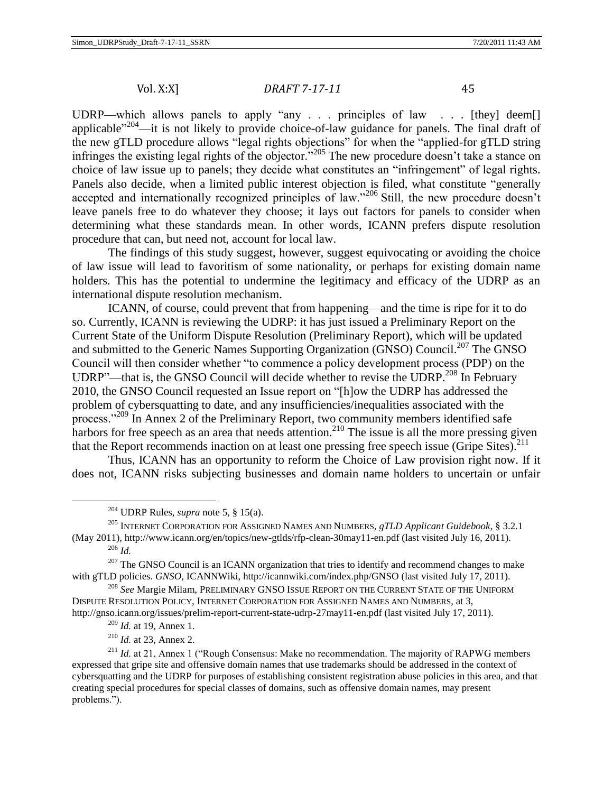UDRP—which allows panels to apply "any . . . principles of law . . . [they] deem[] applicable<sup> $204$ </sup>—it is not likely to provide choice-of-law guidance for panels. The final draft of the new gTLD procedure allows "legal rights objections" for when the "applied-for gTLD string infringes the existing legal rights of the objector.<sup>3205</sup> The new procedure doesn't take a stance on choice of law issue up to panels; they decide what constitutes an "infringement" of legal rights. Panels also decide, when a limited public interest objection is filed, what constitute "generally accepted and internationally recognized principles of law."<sup>206</sup> Still, the new procedure doesn't leave panels free to do whatever they choose; it lays out factors for panels to consider when determining what these standards mean. In other words, ICANN prefers dispute resolution procedure that can, but need not, account for local law.

The findings of this study suggest, however, suggest equivocating or avoiding the choice of law issue will lead to favoritism of some nationality, or perhaps for existing domain name holders. This has the potential to undermine the legitimacy and efficacy of the UDRP as an international dispute resolution mechanism.

ICANN, of course, could prevent that from happening—and the time is ripe for it to do so. Currently, ICANN is reviewing the UDRP: it has just issued a Preliminary Report on the Current State of the Uniform Dispute Resolution (Preliminary Report), which will be updated and submitted to the Generic Names Supporting Organization (GNSO) Council.<sup>207</sup> The GNSO Council will then consider whether "to commence a policy development process (PDP) on the UDRP"—that is, the GNSO Council will decide whether to revise the UDRP.<sup>208</sup> In February 2010, the GNSO Council requested an Issue report on "[h]ow the UDRP has addressed the problem of cybersquatting to date, and any insufficiencies/inequalities associated with the process."<sup>209</sup> In Annex 2 of the Preliminary Report, two community members identified safe harbors for free speech as an area that needs attention.<sup>210</sup> The issue is all the more pressing given that the Report recommends inaction on at least one pressing free speech issue (Gripe Sites).<sup>211</sup>

Thus, ICANN has an opportunity to reform the Choice of Law provision right now. If it does not, ICANN risks subjecting businesses and domain name holders to uncertain or unfair

<sup>204</sup> UDRP Rules, *supra* note [5,](#page-3-1) § 15(a).

<sup>205</sup> INTERNET CORPORATION FOR ASSIGNED NAMES AND NUMBERS, *gTLD Applicant Guidebook*, § 3.2.1 (May 2011), http://www.icann.org/en/topics/new-gtlds/rfp-clean-30may11-en.pdf (last visited July 16, 2011).

 $206$  *Id.* 

 $207$  The GNSO Council is an ICANN organization that tries to identify and recommend changes to make with gTLD policies. *GNSO*, ICANNWiki, http://icannwiki.com/index.php/GNSO (last visited July 17, 2011).

<sup>208</sup> *See* Margie Milam, PRELIMINARY GNSO ISSUE REPORT ON THE CURRENT STATE OF THE UNIFORM DISPUTE RESOLUTION POLICY, INTERNET CORPORATION FOR ASSIGNED NAMES AND NUMBERS, at 3, http://gnso.icann.org/issues/prelim-report-current-state-udrp-27may11-en.pdf (last visited July 17, 2011).

<sup>209</sup> *Id.* at 19, Annex 1.

<sup>210</sup> *Id.* at 23, Annex 2.

<sup>&</sup>lt;sup>211</sup> *Id.* at 21, Annex 1 ("Rough Consensus: Make no recommendation. The majority of RAPWG members expressed that gripe site and offensive domain names that use trademarks should be addressed in the context of cybersquatting and the UDRP for purposes of establishing consistent registration abuse policies in this area, and that creating special procedures for special classes of domains, such as offensive domain names, may present problems.").